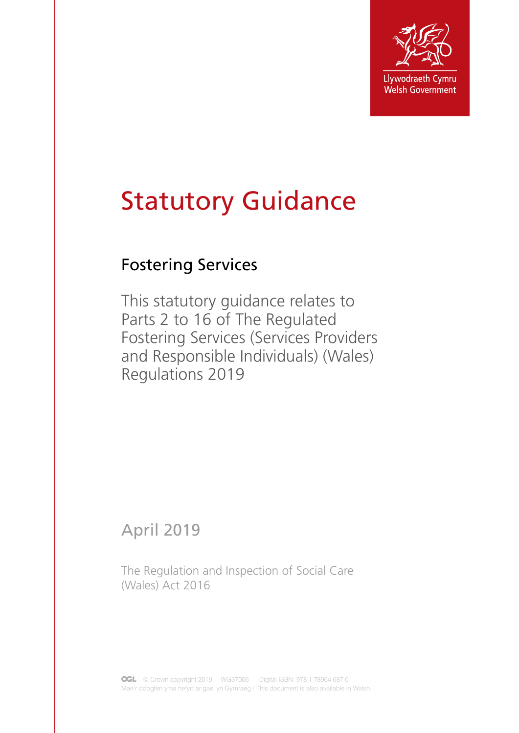

# Statutory Guidance

# Fostering Services

This statutory guidance relates to Parts 2 to 16 of The Regulated Fostering Services (Services Providers and Responsible Individuals) (Wales) Regulations 2019

April 2019

The Regulation and Inspection of Social Care (Wales) Act 2016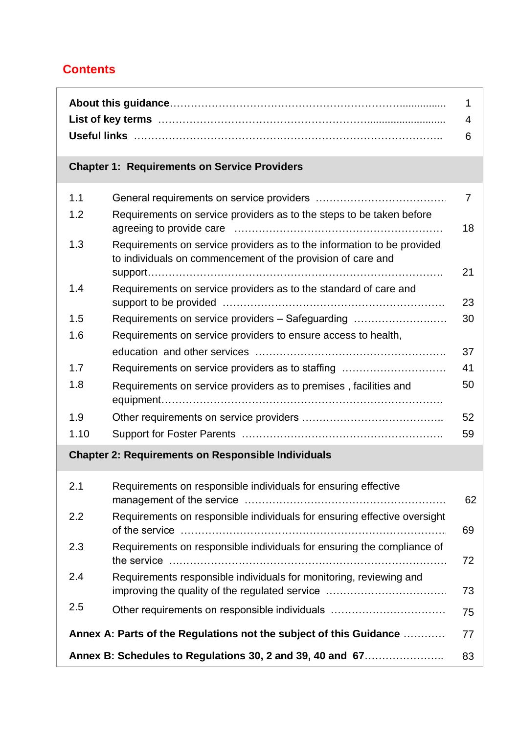## **Contents**

| 1<br>4<br>6                                               |                                                                                                                                       |                |
|-----------------------------------------------------------|---------------------------------------------------------------------------------------------------------------------------------------|----------------|
|                                                           | <b>Chapter 1: Requirements on Service Providers</b>                                                                                   |                |
| 1.1                                                       |                                                                                                                                       | $\overline{7}$ |
| 1.2                                                       | Requirements on service providers as to the steps to be taken before                                                                  | 18             |
| 1.3                                                       | Requirements on service providers as to the information to be provided<br>to individuals on commencement of the provision of care and |                |
|                                                           |                                                                                                                                       | 21             |
| 1.4                                                       | Requirements on service providers as to the standard of care and                                                                      | 23             |
| 1.5                                                       | Requirements on service providers – Safeguarding                                                                                      | 30             |
| 1.6                                                       | Requirements on service providers to ensure access to health,                                                                         |                |
|                                                           |                                                                                                                                       | 37             |
| 1.7                                                       | Requirements on service providers as to staffing                                                                                      | 41             |
| 1.8                                                       | Requirements on service providers as to premises, facilities and                                                                      | 50             |
| 1.9                                                       |                                                                                                                                       | 52             |
| 1.10                                                      |                                                                                                                                       | 59             |
| <b>Chapter 2: Requirements on Responsible Individuals</b> |                                                                                                                                       |                |
| 2.1                                                       | Requirements on responsible individuals for ensuring effective                                                                        | 62             |
| 2.2                                                       | Requirements on responsible individuals for ensuring effective oversight                                                              | 69             |
| 2.3                                                       | Requirements on responsible individuals for ensuring the compliance of                                                                |                |

|                                                           |                                                                                                                      | 72. |
|-----------------------------------------------------------|----------------------------------------------------------------------------------------------------------------------|-----|
| 2.4                                                       | Requirements responsible individuals for monitoring, reviewing and<br>improving the quality of the regulated service | 73  |
| 2.5                                                       | Other requirements on responsible individuals                                                                        | 75  |
|                                                           |                                                                                                                      |     |
| Annex B: Schedules to Regulations 30, 2 and 39, 40 and 67 |                                                                                                                      | 83  |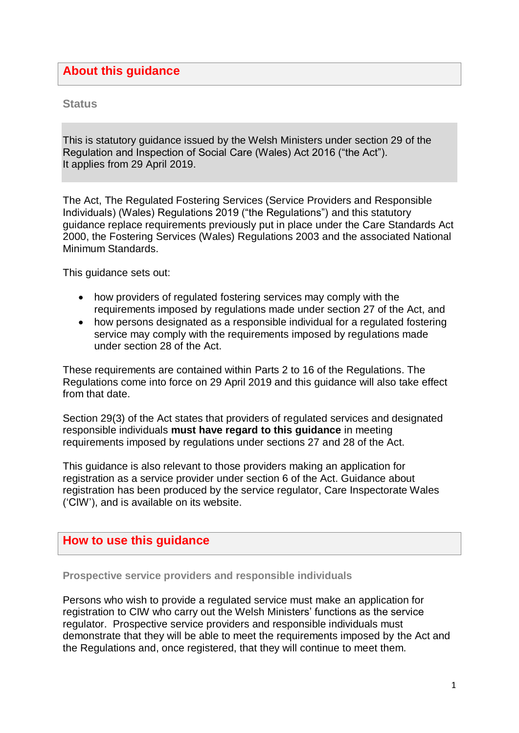### **About this guidance**

**Status**

This is statutory guidance issued by the Welsh Ministers under section 29 of the Regulation and Inspection of Social Care (Wales) Act 2016 ("the Act"). It applies from 29 April 2019.

The Act, The Regulated Fostering Services (Service Providers and Responsible Individuals) (Wales) Regulations 2019 ("the Regulations") and this statutory guidance replace requirements previously put in place under the Care Standards Act 2000, the Fostering Services (Wales) Regulations 2003 and the associated National Minimum Standards.

This guidance sets out:

- how providers of regulated fostering services may comply with the requirements imposed by regulations made under section 27 of the Act, and
- how persons designated as a responsible individual for a regulated fostering service may comply with the requirements imposed by regulations made under section 28 of the Act.

These requirements are contained within Parts 2 to 16 of the Regulations. The Regulations come into force on 29 April 2019 and this guidance will also take effect from that date.

Section 29(3) of the Act states that providers of regulated services and designated responsible individuals **must have regard to this guidance** in meeting requirements imposed by regulations under sections 27 and 28 of the Act.

This guidance is also relevant to those providers making an application for registration as a service provider under section 6 of the Act. Guidance about registration has been produced by the service regulator, Care Inspectorate Wales ('CIW'), and is available on its website.

### **How to use this guidance**

**Prospective service providers and responsible individuals**

Persons who wish to provide a regulated service must make an application for registration to CIW who carry out the Welsh Ministers' functions as the service regulator. Prospective service providers and responsible individuals must demonstrate that they will be able to meet the requirements imposed by the Act and the Regulations and, once registered, that they will continue to meet them.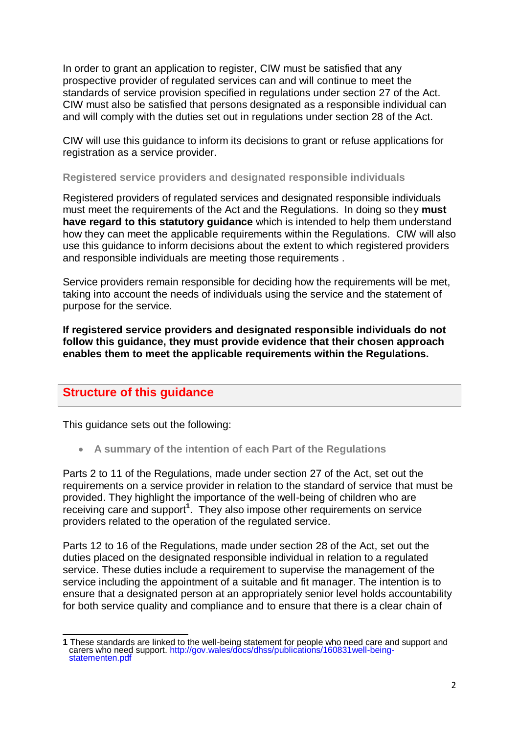In order to grant an application to register, CIW must be satisfied that any prospective provider of regulated services can and will continue to meet the standards of service provision specified in regulations under section 27 of the Act. CIW must also be satisfied that persons designated as a responsible individual can and will comply with the duties set out in regulations under section 28 of the Act.

CIW will use this guidance to inform its decisions to grant or refuse applications for registration as a service provider.

#### **Registered service providers and designated responsible individuals**

Registered providers of regulated services and designated responsible individuals must meet the requirements of the Act and the Regulations. In doing so they **must have regard to this statutory guidance** which is intended to help them understand how they can meet the applicable requirements within the Regulations. CIW will also use this guidance to inform decisions about the extent to which registered providers and responsible individuals are meeting those requirements .

Service providers remain responsible for deciding how the requirements will be met, taking into account the needs of individuals using the service and the statement of purpose for the service.

**If registered service providers and designated responsible individuals do not follow this guidance, they must provide evidence that their chosen approach enables them to meet the applicable requirements within the Regulations.**

### **Structure of this guidance**

This guidance sets out the following:

**A summary of the intention of each Part of the Regulations**

Parts 2 to 11 of the Regulations, made under section 27 of the Act, set out the requirements on a service provider in relation to the standard of service that must be provided. They highlight the importance of the well-being of children who are receiving care and support**<sup>1</sup>** . They also impose other requirements on service providers related to the operation of the regulated service.

Parts 12 to 16 of the Regulations, made under section 28 of the Act, set out the duties placed on the designated responsible individual in relation to a regulated service. These duties include a requirement to supervise the management of the service including the appointment of a suitable and fit manager. The intention is to ensure that a designated person at an appropriately senior level holds accountability for both service quality and compliance and to ensure that there is a clear chain of

<sup>-</sup>**1** These standards are linked to the well-being statement for people who need care and support and carers who need support. [http://gov.wales/docs/dhss/publications/160831well-being](http://gov.wales/docs/dhss/publications/160831well-being-statementen.pdf)[statementen.pdf](http://gov.wales/docs/dhss/publications/160831well-being-statementen.pdf)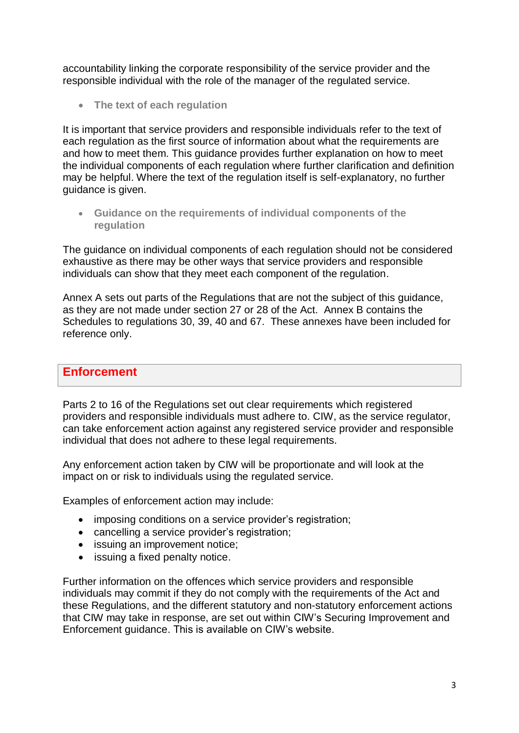accountability linking the corporate responsibility of the service provider and the responsible individual with the role of the manager of the regulated service.

**The text of each regulation** 

It is important that service providers and responsible individuals refer to the text of each regulation as the first source of information about what the requirements are and how to meet them. This guidance provides further explanation on how to meet the individual components of each regulation where further clarification and definition may be helpful. Where the text of the regulation itself is self-explanatory, no further guidance is given.

 **Guidance on the requirements of individual components of the regulation**

The guidance on individual components of each regulation should not be considered exhaustive as there may be other ways that service providers and responsible individuals can show that they meet each component of the regulation.

Annex A sets out parts of the Regulations that are not the subject of this guidance, as they are not made under section 27 or 28 of the Act. Annex B contains the Schedules to regulations 30, 39, 40 and 67. These annexes have been included for reference only.

#### **Enforcement**

Parts 2 to 16 of the Regulations set out clear requirements which registered providers and responsible individuals must adhere to. CIW, as the service regulator, can take enforcement action against any registered service provider and responsible individual that does not adhere to these legal requirements.

Any enforcement action taken by CIW will be proportionate and will look at the impact on or risk to individuals using the regulated service.

Examples of enforcement action may include:

- imposing conditions on a service provider's registration;
- cancelling a service provider's registration;
- issuing an improvement notice;
- issuing a fixed penalty notice.

Further information on the offences which service providers and responsible individuals may commit if they do not comply with the requirements of the Act and these Regulations, and the different statutory and non-statutory enforcement actions that CIW may take in response, are set out within CIW's Securing Improvement and Enforcement guidance. This is available on CIW's website.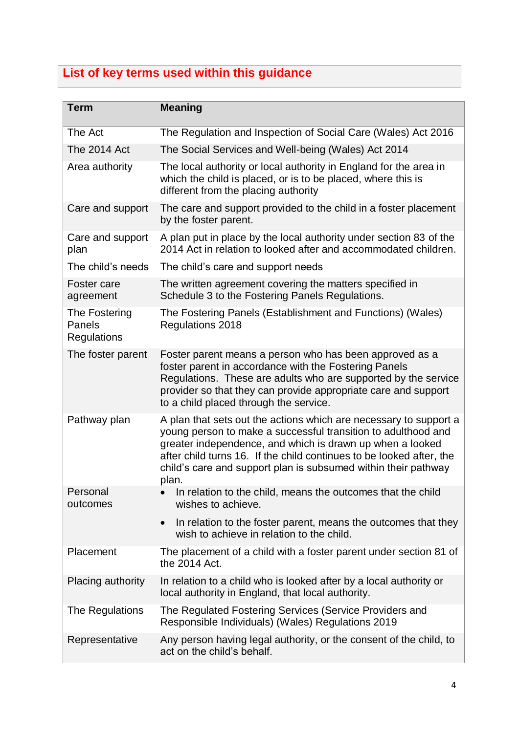# **List of key terms used within this guidance**

| <b>Term</b>                                   | <b>Meaning</b>                                                                                                                                                                                                                                                                                                                                     |
|-----------------------------------------------|----------------------------------------------------------------------------------------------------------------------------------------------------------------------------------------------------------------------------------------------------------------------------------------------------------------------------------------------------|
| The Act                                       | The Regulation and Inspection of Social Care (Wales) Act 2016                                                                                                                                                                                                                                                                                      |
| The 2014 Act                                  | The Social Services and Well-being (Wales) Act 2014                                                                                                                                                                                                                                                                                                |
| Area authority                                | The local authority or local authority in England for the area in<br>which the child is placed, or is to be placed, where this is<br>different from the placing authority                                                                                                                                                                          |
| Care and support                              | The care and support provided to the child in a foster placement<br>by the foster parent.                                                                                                                                                                                                                                                          |
| Care and support<br>plan                      | A plan put in place by the local authority under section 83 of the<br>2014 Act in relation to looked after and accommodated children.                                                                                                                                                                                                              |
| The child's needs                             | The child's care and support needs                                                                                                                                                                                                                                                                                                                 |
| Foster care<br>agreement                      | The written agreement covering the matters specified in<br>Schedule 3 to the Fostering Panels Regulations.                                                                                                                                                                                                                                         |
| The Fostering<br>Panels<br><b>Regulations</b> | The Fostering Panels (Establishment and Functions) (Wales)<br>Regulations 2018                                                                                                                                                                                                                                                                     |
| The foster parent                             | Foster parent means a person who has been approved as a<br>foster parent in accordance with the Fostering Panels<br>Regulations. These are adults who are supported by the service<br>provider so that they can provide appropriate care and support<br>to a child placed through the service.                                                     |
| Pathway plan                                  | A plan that sets out the actions which are necessary to support a<br>young person to make a successful transition to adulthood and<br>greater independence, and which is drawn up when a looked<br>after child turns 16. If the child continues to be looked after, the<br>child's care and support plan is subsumed within their pathway<br>plan. |
| Personal<br>outcomes                          | In relation to the child, means the outcomes that the child<br>wishes to achieve.                                                                                                                                                                                                                                                                  |
|                                               | In relation to the foster parent, means the outcomes that they<br>$\bullet$<br>wish to achieve in relation to the child.                                                                                                                                                                                                                           |
| Placement                                     | The placement of a child with a foster parent under section 81 of<br>the 2014 Act.                                                                                                                                                                                                                                                                 |
| Placing authority                             | In relation to a child who is looked after by a local authority or<br>local authority in England, that local authority.                                                                                                                                                                                                                            |
| The Regulations                               | The Regulated Fostering Services (Service Providers and<br>Responsible Individuals) (Wales) Regulations 2019                                                                                                                                                                                                                                       |
| Representative                                | Any person having legal authority, or the consent of the child, to<br>act on the child's behalf.                                                                                                                                                                                                                                                   |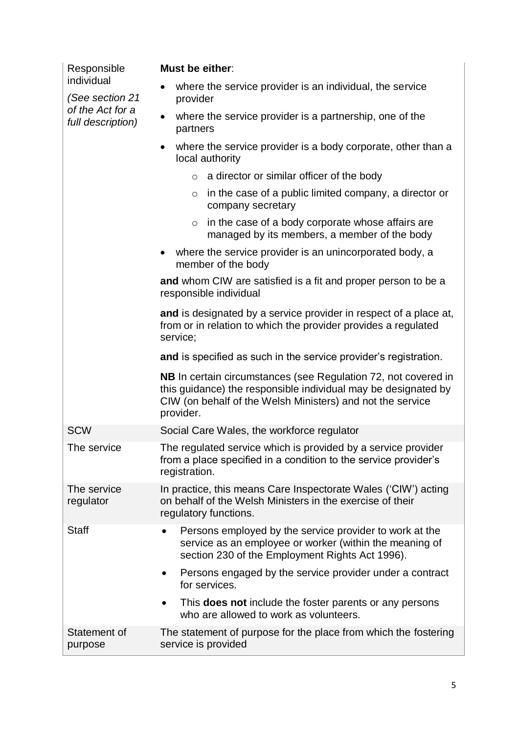| Responsible                           | Must be either:                                                                                                                                                                                                    |
|---------------------------------------|--------------------------------------------------------------------------------------------------------------------------------------------------------------------------------------------------------------------|
| individual<br>(See section 21         | where the service provider is an individual, the service<br>provider                                                                                                                                               |
| of the Act for a<br>full description) | where the service provider is a partnership, one of the<br>partners                                                                                                                                                |
|                                       | where the service provider is a body corporate, other than a<br>$\bullet$<br>local authority                                                                                                                       |
|                                       | $\circ$ a director or similar officer of the body                                                                                                                                                                  |
|                                       | in the case of a public limited company, a director or<br>$\circ$<br>company secretary                                                                                                                             |
|                                       | in the case of a body corporate whose affairs are<br>$\circ$<br>managed by its members, a member of the body                                                                                                       |
|                                       | where the service provider is an unincorporated body, a<br>member of the body                                                                                                                                      |
|                                       | and whom CIW are satisfied is a fit and proper person to be a<br>responsible individual                                                                                                                            |
|                                       | and is designated by a service provider in respect of a place at,<br>from or in relation to which the provider provides a regulated<br>service;                                                                    |
|                                       | and is specified as such in the service provider's registration.                                                                                                                                                   |
|                                       | <b>NB</b> In certain circumstances (see Regulation 72, not covered in<br>this guidance) the responsible individual may be designated by<br>CIW (on behalf of the Welsh Ministers) and not the service<br>provider. |
| <b>SCW</b>                            | Social Care Wales, the workforce regulator                                                                                                                                                                         |
| The service                           | The regulated service which is provided by a service provider<br>from a place specified in a condition to the service provider's<br>registration.                                                                  |
| The service<br>regulator              | In practice, this means Care Inspectorate Wales ('CIW') acting<br>on behalf of the Welsh Ministers in the exercise of their<br>regulatory functions.                                                               |
| <b>Staff</b>                          | Persons employed by the service provider to work at the<br>service as an employee or worker (within the meaning of<br>section 230 of the Employment Rights Act 1996).                                              |
|                                       | Persons engaged by the service provider under a contract<br>for services.                                                                                                                                          |
|                                       | This <b>does not</b> include the foster parents or any persons<br>who are allowed to work as volunteers.                                                                                                           |
| Statement of<br>purpose               | The statement of purpose for the place from which the fostering<br>service is provided                                                                                                                             |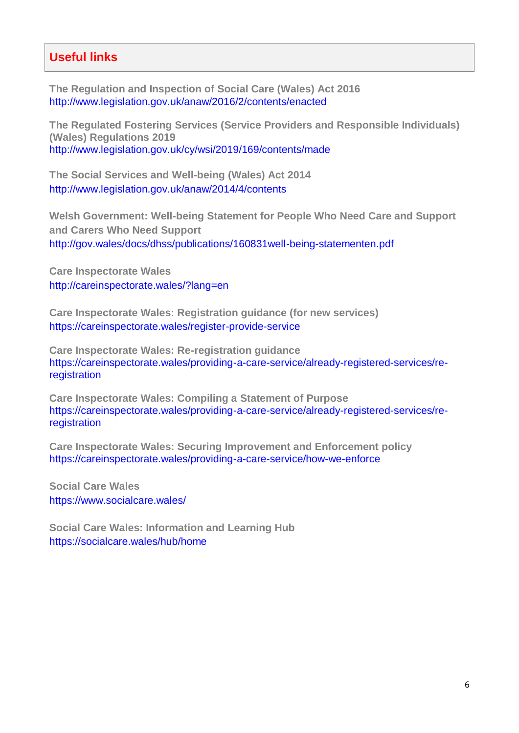### **Useful links**

**The Regulation and Inspection of Social Care (Wales) Act 2016** http://www.legislation.gov.uk/anaw/2016/2/contents/enacted

**The Regulated Fostering Services (Service Providers and Responsible Individuals) (Wales) Regulations 2019** <http://www.legislation.gov.uk/cy/wsi/2019/169/contents/made>

**The Social Services and Well-being (Wales) Act 2014** <http://www.legislation.gov.uk/anaw/2014/4/contents>

**Welsh Government: Well-being Statement for People Who Need Care and Support and Carers Who Need Support** <http://gov.wales/docs/dhss/publications/160831well-being-statementen.pdf>

**Care Inspectorate Wales** <http://careinspectorate.wales/?lang=en>

**Care Inspectorate Wales: Registration guidance (for new services)** <https://careinspectorate.wales/register-provide-service>

**Care Inspectorate Wales: Re-registration guidance** https://careinspectorate.wales/providing-a-care-service/already-registered-services/reregistration

**Care Inspectorate Wales: Compiling a Statement of Purpose** [https://careinspectorate.wales/providing-a-care-service/already-registered-services/re](https://careinspectorate.wales/providing-a-care-service/already-registered-services/re-registration)[registration](https://careinspectorate.wales/providing-a-care-service/already-registered-services/re-registration)

**Care Inspectorate Wales: Securing Improvement and Enforcement policy**  <https://careinspectorate.wales/providing-a-care-service/how-we-enforce>

**Social Care Wales** <https://www.socialcare.wales/>

**Social Care Wales: Information and Learning Hub** <https://socialcare.wales/hub/home>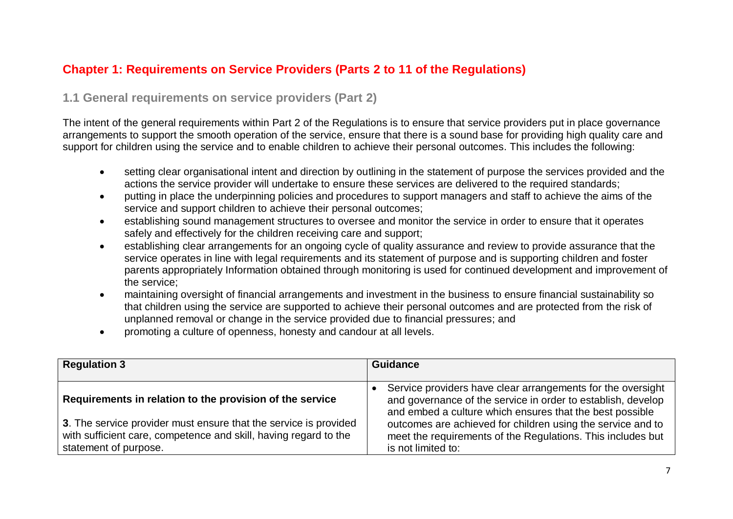### **Chapter 1: Requirements on Service Providers (Parts 2 to 11 of the Regulations)**

### **1.1 General requirements on service providers (Part 2)**

The intent of the general requirements within Part 2 of the Regulations is to ensure that service providers put in place governance arrangements to support the smooth operation of the service, ensure that there is a sound base for providing high quality care and support for children using the service and to enable children to achieve their personal outcomes. This includes the following:

- setting clear organisational intent and direction by outlining in the statement of purpose the services provided and the actions the service provider will undertake to ensure these services are delivered to the required standards;
- putting in place the underpinning policies and procedures to support managers and staff to achieve the aims of the service and support children to achieve their personal outcomes;
- establishing sound management structures to oversee and monitor the service in order to ensure that it operates safely and effectively for the children receiving care and support;
- establishing clear arrangements for an ongoing cycle of quality assurance and review to provide assurance that the service operates in line with legal requirements and its statement of purpose and is supporting children and foster parents appropriately Information obtained through monitoring is used for continued development and improvement of the service;
- maintaining oversight of financial arrangements and investment in the business to ensure financial sustainability so that children using the service are supported to achieve their personal outcomes and are protected from the risk of unplanned removal or change in the service provided due to financial pressures; and
- promoting a culture of openness, honesty and candour at all levels.

| <b>Regulation 3</b>                                                                                                                                           | Guidance                                                                                                                                                                                |
|---------------------------------------------------------------------------------------------------------------------------------------------------------------|-----------------------------------------------------------------------------------------------------------------------------------------------------------------------------------------|
| Requirements in relation to the provision of the service                                                                                                      | Service providers have clear arrangements for the oversight<br>and governance of the service in order to establish, develop<br>and embed a culture which ensures that the best possible |
| 3. The service provider must ensure that the service is provided<br>with sufficient care, competence and skill, having regard to the<br>statement of purpose. | outcomes are achieved for children using the service and to<br>meet the requirements of the Regulations. This includes but<br>is not limited to:                                        |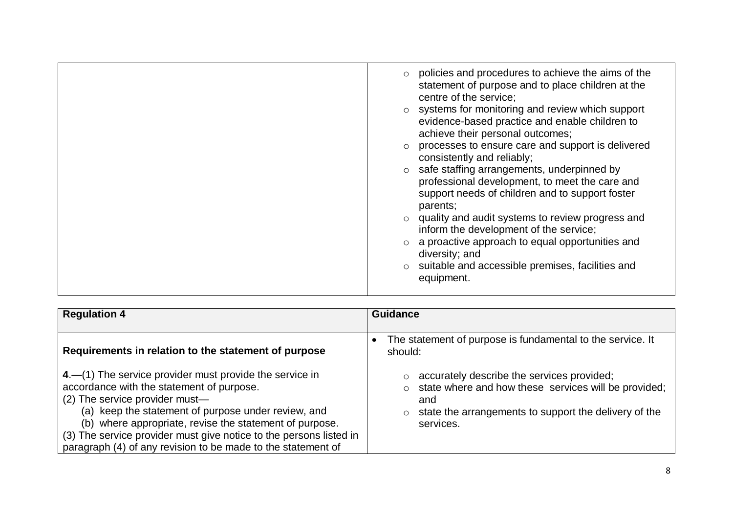| $\circ$ policies and procedures to achieve the aims of the<br>statement of purpose and to place children at the<br>centre of the service;<br>$\circ$ systems for monitoring and review which support<br>evidence-based practice and enable children to<br>achieve their personal outcomes;<br>processes to ensure care and support is delivered<br>consistently and reliably;<br>$\circ$ safe staffing arrangements, underpinned by<br>professional development, to meet the care and<br>support needs of children and to support foster<br>parents;<br>quality and audit systems to review progress and<br>inform the development of the service;<br>a proactive approach to equal opportunities and<br>diversity; and<br>suitable and accessible premises, facilities and<br>equipment. |
|-------------------------------------------------------------------------------------------------------------------------------------------------------------------------------------------------------------------------------------------------------------------------------------------------------------------------------------------------------------------------------------------------------------------------------------------------------------------------------------------------------------------------------------------------------------------------------------------------------------------------------------------------------------------------------------------------------------------------------------------------------------------------------------------|
|                                                                                                                                                                                                                                                                                                                                                                                                                                                                                                                                                                                                                                                                                                                                                                                           |

| <b>Regulation 4</b>                                                                                                                                                                                                                                                                                                                                                                            | <b>Guidance</b>                                                                                                                                                                                    |
|------------------------------------------------------------------------------------------------------------------------------------------------------------------------------------------------------------------------------------------------------------------------------------------------------------------------------------------------------------------------------------------------|----------------------------------------------------------------------------------------------------------------------------------------------------------------------------------------------------|
| Requirements in relation to the statement of purpose                                                                                                                                                                                                                                                                                                                                           | The statement of purpose is fundamental to the service. It<br>should:                                                                                                                              |
| 4.–(1) The service provider must provide the service in<br>accordance with the statement of purpose.<br>(2) The service provider must-<br>(a) keep the statement of purpose under review, and<br>(b) where appropriate, revise the statement of purpose.<br>(3) The service provider must give notice to the persons listed in<br>paragraph (4) of any revision to be made to the statement of | accurately describe the services provided;<br>$\circ$ state where and how these services will be provided;<br>and<br>state the arrangements to support the delivery of the<br>$\circ$<br>services. |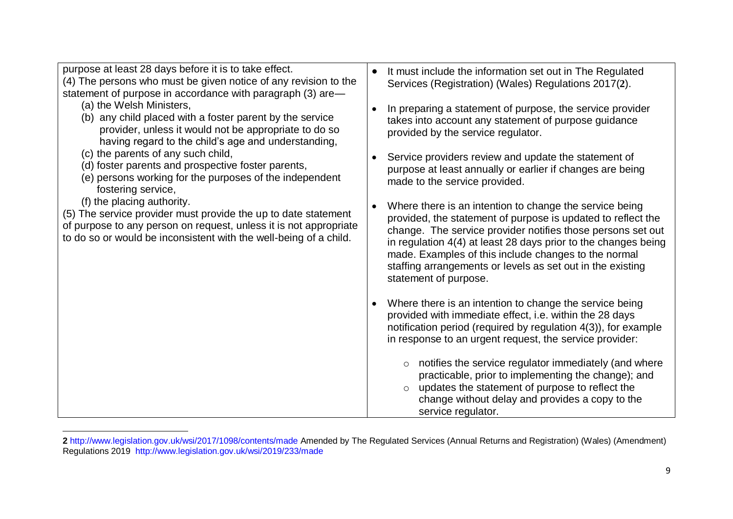| purpose at least 28 days before it is to take effect.                                                                                                                                                                                  | It must include the information set out in The Regulated                                                                                                                                                                                                                                                                                                                                                             |
|----------------------------------------------------------------------------------------------------------------------------------------------------------------------------------------------------------------------------------------|----------------------------------------------------------------------------------------------------------------------------------------------------------------------------------------------------------------------------------------------------------------------------------------------------------------------------------------------------------------------------------------------------------------------|
| (4) The persons who must be given notice of any revision to the                                                                                                                                                                        | $\bullet$                                                                                                                                                                                                                                                                                                                                                                                                            |
| statement of purpose in accordance with paragraph (3) are-                                                                                                                                                                             | Services (Registration) (Wales) Regulations 2017(2).                                                                                                                                                                                                                                                                                                                                                                 |
| (a) the Welsh Ministers,                                                                                                                                                                                                               | In preparing a statement of purpose, the service provider                                                                                                                                                                                                                                                                                                                                                            |
| (b) any child placed with a foster parent by the service                                                                                                                                                                               | $\bullet$                                                                                                                                                                                                                                                                                                                                                                                                            |
| provider, unless it would not be appropriate to do so                                                                                                                                                                                  | takes into account any statement of purpose guidance                                                                                                                                                                                                                                                                                                                                                                 |
| having regard to the child's age and understanding,                                                                                                                                                                                    | provided by the service regulator.                                                                                                                                                                                                                                                                                                                                                                                   |
| (c) the parents of any such child,                                                                                                                                                                                                     | Service providers review and update the statement of                                                                                                                                                                                                                                                                                                                                                                 |
| (d) foster parents and prospective foster parents,                                                                                                                                                                                     | $\bullet$                                                                                                                                                                                                                                                                                                                                                                                                            |
| (e) persons working for the purposes of the independent                                                                                                                                                                                | purpose at least annually or earlier if changes are being                                                                                                                                                                                                                                                                                                                                                            |
| fostering service,                                                                                                                                                                                                                     | made to the service provided.                                                                                                                                                                                                                                                                                                                                                                                        |
| (f) the placing authority.<br>(5) The service provider must provide the up to date statement<br>of purpose to any person on request, unless it is not appropriate<br>to do so or would be inconsistent with the well-being of a child. | Where there is an intention to change the service being<br>$\bullet$<br>provided, the statement of purpose is updated to reflect the<br>change. The service provider notifies those persons set out<br>in regulation 4(4) at least 28 days prior to the changes being<br>made. Examples of this include changes to the normal<br>staffing arrangements or levels as set out in the existing<br>statement of purpose. |
|                                                                                                                                                                                                                                        | Where there is an intention to change the service being<br>$\bullet$<br>provided with immediate effect, i.e. within the 28 days<br>notification period (required by regulation 4(3)), for example<br>in response to an urgent request, the service provider:                                                                                                                                                         |
|                                                                                                                                                                                                                                        | notifies the service regulator immediately (and where<br>$\circ$<br>practicable, prior to implementing the change); and<br>updates the statement of purpose to reflect the<br>$\circ$<br>change without delay and provides a copy to the<br>service regulator.                                                                                                                                                       |

 $\overline{\phantom{a}}$ **2** <http://www.legislation.gov.uk/wsi/2017/1098/contents/made> Amended by The Regulated Services (Annual Returns and Registration) (Wales) (Amendment) Regulations 2019 <http://www.legislation.gov.uk/wsi/2019/233/made>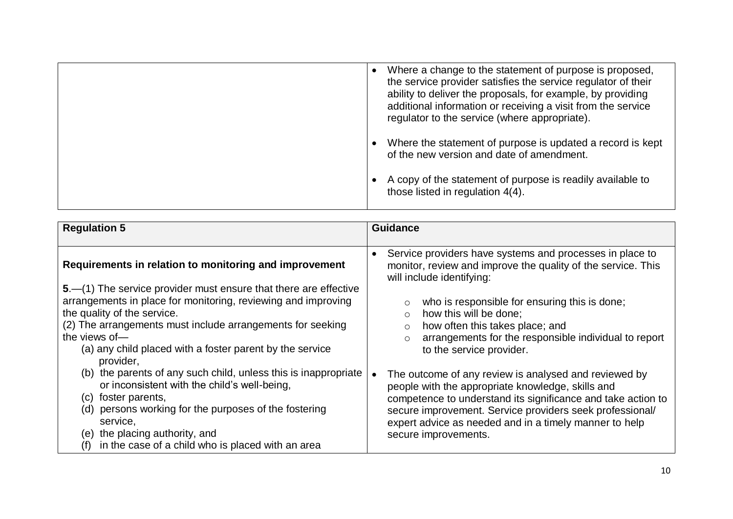| Where a change to the statement of purpose is proposed,<br>the service provider satisfies the service regulator of their<br>ability to deliver the proposals, for example, by providing<br>additional information or receiving a visit from the service<br>regulator to the service (where appropriate). |
|----------------------------------------------------------------------------------------------------------------------------------------------------------------------------------------------------------------------------------------------------------------------------------------------------------|
| Where the statement of purpose is updated a record is kept<br>of the new version and date of amendment.                                                                                                                                                                                                  |
| A copy of the statement of purpose is readily available to<br>those listed in regulation 4(4).                                                                                                                                                                                                           |

| <b>Regulation 5</b>                                                                                                                                                                                                                                                                                                      | <b>Guidance</b>                                                                                                                                                                                                                                                                                                          |
|--------------------------------------------------------------------------------------------------------------------------------------------------------------------------------------------------------------------------------------------------------------------------------------------------------------------------|--------------------------------------------------------------------------------------------------------------------------------------------------------------------------------------------------------------------------------------------------------------------------------------------------------------------------|
|                                                                                                                                                                                                                                                                                                                          |                                                                                                                                                                                                                                                                                                                          |
| Requirements in relation to monitoring and improvement                                                                                                                                                                                                                                                                   | Service providers have systems and processes in place to<br>$\bullet$<br>monitor, review and improve the quality of the service. This<br>will include identifying:                                                                                                                                                       |
| 5.—(1) The service provider must ensure that there are effective<br>arrangements in place for monitoring, reviewing and improving<br>the quality of the service.<br>(2) The arrangements must include arrangements for seeking<br>the views of-<br>(a) any child placed with a foster parent by the service<br>provider, | who is responsible for ensuring this is done;<br>$\circ$<br>how this will be done;<br>$\circ$<br>how often this takes place; and<br>$\circ$<br>arrangements for the responsible individual to report<br>$\circ$<br>to the service provider.                                                                              |
| (b) the parents of any such child, unless this is inappropriate<br>or inconsistent with the child's well-being,<br>foster parents,<br>(C)<br>persons working for the purposes of the fostering<br>(d)<br>service,<br>the placing authority, and<br>(e)<br>in the case of a child who is placed with an area<br>(f)       | The outcome of any review is analysed and reviewed by<br>people with the appropriate knowledge, skills and<br>competence to understand its significance and take action to<br>secure improvement. Service providers seek professional/<br>expert advice as needed and in a timely manner to help<br>secure improvements. |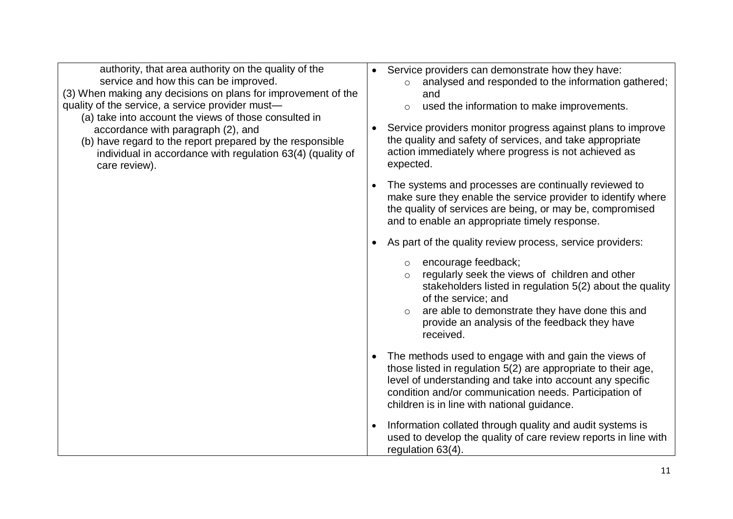| authority, that area authority on the quality of the<br>service and how this can be improved.<br>(3) When making any decisions on plans for improvement of the<br>quality of the service, a service provider must-<br>(a) take into account the views of those consulted in<br>accordance with paragraph (2), and<br>(b) have regard to the report prepared by the responsible<br>individual in accordance with regulation 63(4) (quality of<br>care review). | Service providers can demonstrate how they have:<br>analysed and responded to the information gathered;<br>and<br>used the information to make improvements.<br>Service providers monitor progress against plans to improve<br>the quality and safety of services, and take appropriate<br>action immediately where progress is not achieved as<br>expected. |
|---------------------------------------------------------------------------------------------------------------------------------------------------------------------------------------------------------------------------------------------------------------------------------------------------------------------------------------------------------------------------------------------------------------------------------------------------------------|--------------------------------------------------------------------------------------------------------------------------------------------------------------------------------------------------------------------------------------------------------------------------------------------------------------------------------------------------------------|
|                                                                                                                                                                                                                                                                                                                                                                                                                                                               | The systems and processes are continually reviewed to<br>make sure they enable the service provider to identify where<br>the quality of services are being, or may be, compromised<br>and to enable an appropriate timely response.                                                                                                                          |
|                                                                                                                                                                                                                                                                                                                                                                                                                                                               | As part of the quality review process, service providers:                                                                                                                                                                                                                                                                                                    |
|                                                                                                                                                                                                                                                                                                                                                                                                                                                               | encourage feedback;<br>$\circ$<br>regularly seek the views of children and other<br>$\circ$<br>stakeholders listed in regulation 5(2) about the quality<br>of the service; and<br>are able to demonstrate they have done this and<br>$\circ$<br>provide an analysis of the feedback they have<br>received.                                                   |
|                                                                                                                                                                                                                                                                                                                                                                                                                                                               | The methods used to engage with and gain the views of<br>those listed in regulation 5(2) are appropriate to their age,<br>level of understanding and take into account any specific<br>condition and/or communication needs. Participation of<br>children is in line with national guidance.                                                                 |
|                                                                                                                                                                                                                                                                                                                                                                                                                                                               | Information collated through quality and audit systems is<br>used to develop the quality of care review reports in line with<br>regulation 63(4).                                                                                                                                                                                                            |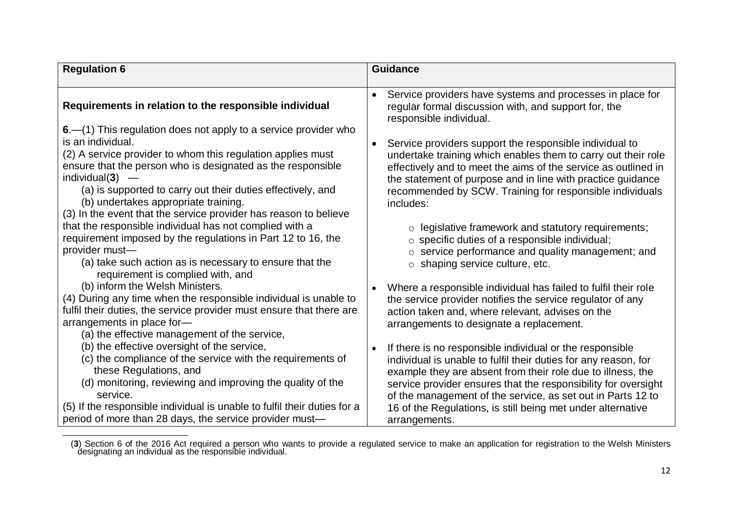| <b>Regulation 6</b>                                                                                                                                                                                                                                                                                                                                                                                                                                                                                                                                                                                                      | <b>Guidance</b>                                                                                                                                                                                                                                                                                                                                                                                                                                                                                              |
|--------------------------------------------------------------------------------------------------------------------------------------------------------------------------------------------------------------------------------------------------------------------------------------------------------------------------------------------------------------------------------------------------------------------------------------------------------------------------------------------------------------------------------------------------------------------------------------------------------------------------|--------------------------------------------------------------------------------------------------------------------------------------------------------------------------------------------------------------------------------------------------------------------------------------------------------------------------------------------------------------------------------------------------------------------------------------------------------------------------------------------------------------|
|                                                                                                                                                                                                                                                                                                                                                                                                                                                                                                                                                                                                                          |                                                                                                                                                                                                                                                                                                                                                                                                                                                                                                              |
| Requirements in relation to the responsible individual                                                                                                                                                                                                                                                                                                                                                                                                                                                                                                                                                                   | Service providers have systems and processes in place for<br>regular formal discussion with, and support for, the<br>responsible individual.                                                                                                                                                                                                                                                                                                                                                                 |
| 6. - (1) This regulation does not apply to a service provider who<br>is an individual.<br>(2) A service provider to whom this regulation applies must<br>ensure that the person who is designated as the responsible<br>individual(3)<br>(a) is supported to carry out their duties effectively, and<br>(b) undertakes appropriate training.<br>(3) In the event that the service provider has reason to believe<br>that the responsible individual has not complied with a<br>requirement imposed by the regulations in Part 12 to 16, the<br>provider must-<br>(a) take such action as is necessary to ensure that the | Service providers support the responsible individual to<br>undertake training which enables them to carry out their role<br>effectively and to meet the aims of the service as outlined in<br>the statement of purpose and in line with practice guidance<br>recommended by SCW. Training for responsible individuals<br>includes:<br>$\circ$ legislative framework and statutory requirements;<br>o specific duties of a responsible individual;<br>$\circ$ service performance and quality management; and |
| requirement is complied with, and<br>(b) inform the Welsh Ministers.<br>(4) During any time when the responsible individual is unable to<br>fulfil their duties, the service provider must ensure that there are<br>arrangements in place for-<br>(a) the effective management of the service,                                                                                                                                                                                                                                                                                                                           | $\circ$ shaping service culture, etc.<br>Where a responsible individual has failed to fulfil their role<br>$\bullet$<br>the service provider notifies the service regulator of any<br>action taken and, where relevant, advises on the<br>arrangements to designate a replacement.                                                                                                                                                                                                                           |
| (b) the effective oversight of the service,<br>(c) the compliance of the service with the requirements of<br>these Regulations, and<br>(d) monitoring, reviewing and improving the quality of the<br>service.<br>(5) If the responsible individual is unable to fulfil their duties for a<br>period of more than 28 days, the service provider must-                                                                                                                                                                                                                                                                     | If there is no responsible individual or the responsible<br>individual is unable to fulfil their duties for any reason, for<br>example they are absent from their role due to illness, the<br>service provider ensures that the responsibility for oversight<br>of the management of the service, as set out in Parts 12 to<br>16 of the Regulations, is still being met under alternative<br>arrangements.                                                                                                  |

**<sup>3</sup>** (**3**) Section 6 of the 2016 Act required a person who wants to provide a regulated service to make an application for registration to the Welsh Ministers designating an individual as the responsible individual.

 $\overline{a}$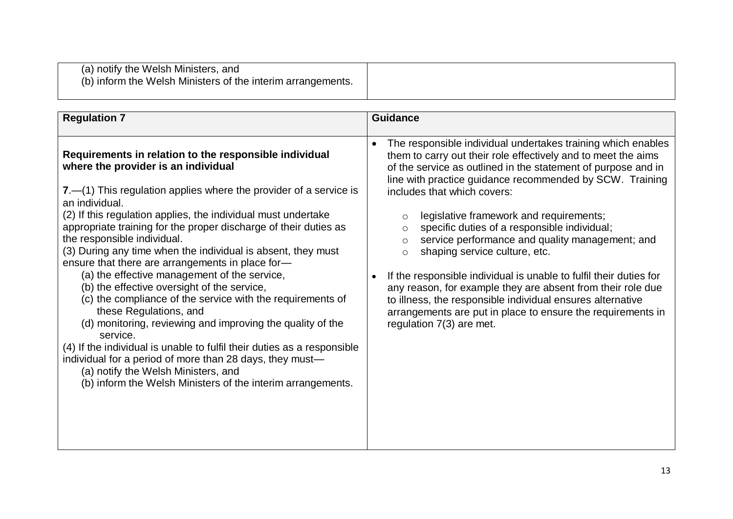| <b>Regulation 7</b>                                                                                                                                                                                                                                                                                                                                                                                                                                                                                                                                                                                                                                                                                                                                                                                                                                                                                                                                                                           | <b>Guidance</b>                                                                                                                                                                                                                                                                                                                                                                                                                                                                                                                                                                                                                                                                                                                                                                                                                  |
|-----------------------------------------------------------------------------------------------------------------------------------------------------------------------------------------------------------------------------------------------------------------------------------------------------------------------------------------------------------------------------------------------------------------------------------------------------------------------------------------------------------------------------------------------------------------------------------------------------------------------------------------------------------------------------------------------------------------------------------------------------------------------------------------------------------------------------------------------------------------------------------------------------------------------------------------------------------------------------------------------|----------------------------------------------------------------------------------------------------------------------------------------------------------------------------------------------------------------------------------------------------------------------------------------------------------------------------------------------------------------------------------------------------------------------------------------------------------------------------------------------------------------------------------------------------------------------------------------------------------------------------------------------------------------------------------------------------------------------------------------------------------------------------------------------------------------------------------|
| Requirements in relation to the responsible individual<br>where the provider is an individual<br>$7 - (1)$ This regulation applies where the provider of a service is<br>an individual.<br>(2) If this regulation applies, the individual must undertake<br>appropriate training for the proper discharge of their duties as<br>the responsible individual.<br>(3) During any time when the individual is absent, they must<br>ensure that there are arrangements in place for-<br>(a) the effective management of the service,<br>(b) the effective oversight of the service,<br>(c) the compliance of the service with the requirements of<br>these Regulations, and<br>(d) monitoring, reviewing and improving the quality of the<br>service.<br>(4) If the individual is unable to fulfil their duties as a responsible<br>individual for a period of more than 28 days, they must—<br>(a) notify the Welsh Ministers, and<br>(b) inform the Welsh Ministers of the interim arrangements. | The responsible individual undertakes training which enables<br>$\bullet$<br>them to carry out their role effectively and to meet the aims<br>of the service as outlined in the statement of purpose and in<br>line with practice guidance recommended by SCW. Training<br>includes that which covers:<br>legislative framework and requirements;<br>O<br>specific duties of a responsible individual;<br>$\circ$<br>service performance and quality management; and<br>O<br>shaping service culture, etc.<br>$\circ$<br>If the responsible individual is unable to fulfil their duties for<br>$\bullet$<br>any reason, for example they are absent from their role due<br>to illness, the responsible individual ensures alternative<br>arrangements are put in place to ensure the requirements in<br>regulation 7(3) are met. |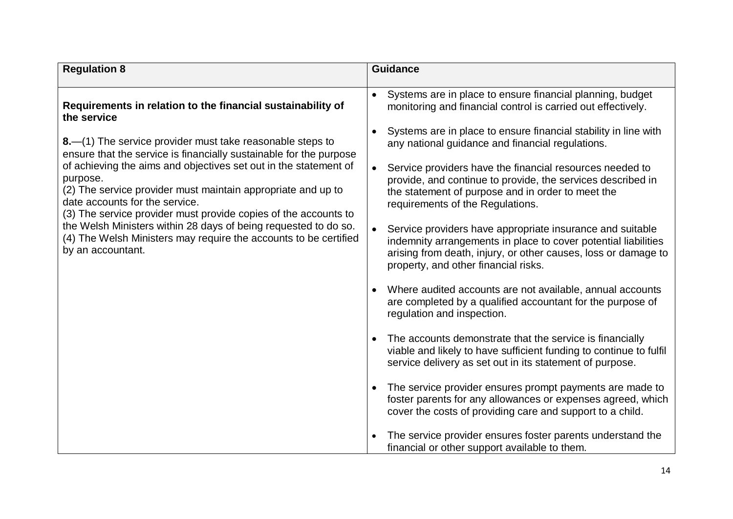| <b>Regulation 8</b>                                                                                                                                                                                                                               | <b>Guidance</b>                                                                                                                                                                                                                       |
|---------------------------------------------------------------------------------------------------------------------------------------------------------------------------------------------------------------------------------------------------|---------------------------------------------------------------------------------------------------------------------------------------------------------------------------------------------------------------------------------------|
|                                                                                                                                                                                                                                                   |                                                                                                                                                                                                                                       |
| Requirements in relation to the financial sustainability of<br>the service                                                                                                                                                                        | Systems are in place to ensure financial planning, budget<br>monitoring and financial control is carried out effectively.                                                                                                             |
| 8.—(1) The service provider must take reasonable steps to<br>ensure that the service is financially sustainable for the purpose                                                                                                                   | Systems are in place to ensure financial stability in line with<br>any national guidance and financial regulations.                                                                                                                   |
| of achieving the aims and objectives set out in the statement of<br>purpose.<br>(2) The service provider must maintain appropriate and up to<br>date accounts for the service.<br>(3) The service provider must provide copies of the accounts to | Service providers have the financial resources needed to<br>$\bullet$<br>provide, and continue to provide, the services described in<br>the statement of purpose and in order to meet the<br>requirements of the Regulations.         |
| the Welsh Ministers within 28 days of being requested to do so.<br>(4) The Welsh Ministers may require the accounts to be certified<br>by an accountant.                                                                                          | Service providers have appropriate insurance and suitable<br>indemnity arrangements in place to cover potential liabilities<br>arising from death, injury, or other causes, loss or damage to<br>property, and other financial risks. |
|                                                                                                                                                                                                                                                   | Where audited accounts are not available, annual accounts<br>are completed by a qualified accountant for the purpose of<br>regulation and inspection.                                                                                 |
|                                                                                                                                                                                                                                                   | The accounts demonstrate that the service is financially<br>$\bullet$<br>viable and likely to have sufficient funding to continue to fulfil<br>service delivery as set out in its statement of purpose.                               |
|                                                                                                                                                                                                                                                   | The service provider ensures prompt payments are made to<br>foster parents for any allowances or expenses agreed, which<br>cover the costs of providing care and support to a child.                                                  |
|                                                                                                                                                                                                                                                   | The service provider ensures foster parents understand the<br>financial or other support available to them.                                                                                                                           |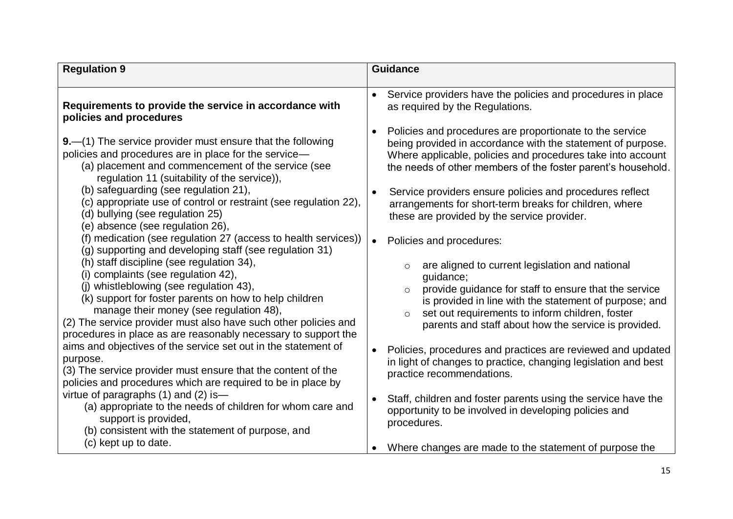| <b>Regulation 9</b>                                                                                                                                                                                                                                                                                                                                                   | <b>Guidance</b>                                                                                                                                                                                                                                                                                                             |
|-----------------------------------------------------------------------------------------------------------------------------------------------------------------------------------------------------------------------------------------------------------------------------------------------------------------------------------------------------------------------|-----------------------------------------------------------------------------------------------------------------------------------------------------------------------------------------------------------------------------------------------------------------------------------------------------------------------------|
|                                                                                                                                                                                                                                                                                                                                                                       |                                                                                                                                                                                                                                                                                                                             |
| Requirements to provide the service in accordance with                                                                                                                                                                                                                                                                                                                | Service providers have the policies and procedures in place                                                                                                                                                                                                                                                                 |
| policies and procedures                                                                                                                                                                                                                                                                                                                                               | as required by the Regulations.                                                                                                                                                                                                                                                                                             |
| 9. - (1) The service provider must ensure that the following<br>policies and procedures are in place for the service-<br>(a) placement and commencement of the service (see<br>regulation 11 (suitability of the service)),                                                                                                                                           | Policies and procedures are proportionate to the service<br>$\bullet$<br>being provided in accordance with the statement of purpose.<br>Where applicable, policies and procedures take into account<br>the needs of other members of the foster parent's household.                                                         |
| (b) safeguarding (see regulation 21),                                                                                                                                                                                                                                                                                                                                 | Service providers ensure policies and procedures reflect                                                                                                                                                                                                                                                                    |
| (c) appropriate use of control or restraint (see regulation 22),                                                                                                                                                                                                                                                                                                      | $\bullet$                                                                                                                                                                                                                                                                                                                   |
| (d) bullying (see regulation 25)                                                                                                                                                                                                                                                                                                                                      | arrangements for short-term breaks for children, where                                                                                                                                                                                                                                                                      |
| (e) absence (see regulation 26),                                                                                                                                                                                                                                                                                                                                      | these are provided by the service provider.                                                                                                                                                                                                                                                                                 |
| (f) medication (see regulation 27 (access to health services))                                                                                                                                                                                                                                                                                                        | Policies and procedures:                                                                                                                                                                                                                                                                                                    |
| (g) supporting and developing staff (see regulation 31)                                                                                                                                                                                                                                                                                                               | $\bullet$                                                                                                                                                                                                                                                                                                                   |
| (h) staff discipline (see regulation 34),<br>(i) complaints (see regulation 42),<br>(j) whistleblowing (see regulation 43),<br>(k) support for foster parents on how to help children<br>manage their money (see regulation 48),<br>(2) The service provider must also have such other policies and<br>procedures in place as are reasonably necessary to support the | are aligned to current legislation and national<br>$\circ$<br>guidance;<br>provide guidance for staff to ensure that the service<br>$\circ$<br>is provided in line with the statement of purpose; and<br>set out requirements to inform children, foster<br>$\circ$<br>parents and staff about how the service is provided. |
| aims and objectives of the service set out in the statement of                                                                                                                                                                                                                                                                                                        | Policies, procedures and practices are reviewed and updated                                                                                                                                                                                                                                                                 |
| purpose.                                                                                                                                                                                                                                                                                                                                                              | $\bullet$                                                                                                                                                                                                                                                                                                                   |
| (3) The service provider must ensure that the content of the                                                                                                                                                                                                                                                                                                          | in light of changes to practice, changing legislation and best                                                                                                                                                                                                                                                              |
| policies and procedures which are required to be in place by                                                                                                                                                                                                                                                                                                          | practice recommendations.                                                                                                                                                                                                                                                                                                   |
| virtue of paragraphs $(1)$ and $(2)$ is-                                                                                                                                                                                                                                                                                                                              | Staff, children and foster parents using the service have the                                                                                                                                                                                                                                                               |
| (a) appropriate to the needs of children for whom care and                                                                                                                                                                                                                                                                                                            | $\bullet$                                                                                                                                                                                                                                                                                                                   |
| support is provided,                                                                                                                                                                                                                                                                                                                                                  | opportunity to be involved in developing policies and                                                                                                                                                                                                                                                                       |
| (b) consistent with the statement of purpose, and                                                                                                                                                                                                                                                                                                                     | procedures.                                                                                                                                                                                                                                                                                                                 |
| (c) kept up to date.                                                                                                                                                                                                                                                                                                                                                  | Where changes are made to the statement of purpose the                                                                                                                                                                                                                                                                      |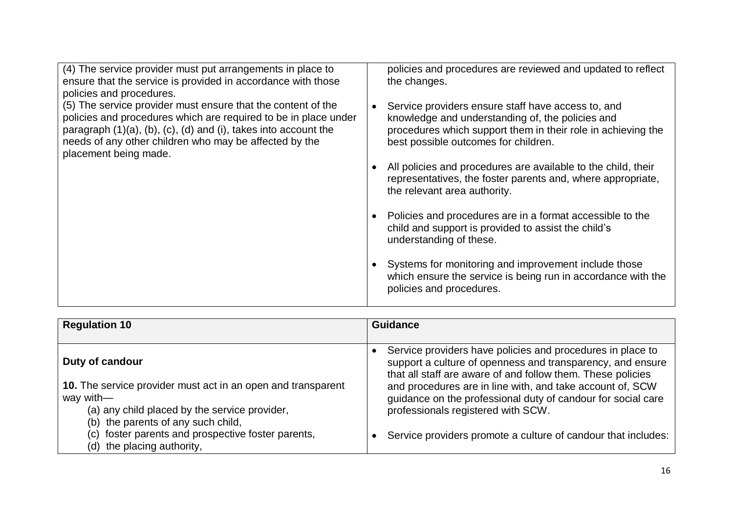| (4) The service provider must put arrangements in place to<br>ensure that the service is provided in accordance with those<br>policies and procedures.                                                                                                                                | policies and procedures are reviewed and updated to reflect<br>the changes.                                                                                                                                    |
|---------------------------------------------------------------------------------------------------------------------------------------------------------------------------------------------------------------------------------------------------------------------------------------|----------------------------------------------------------------------------------------------------------------------------------------------------------------------------------------------------------------|
| (5) The service provider must ensure that the content of the<br>policies and procedures which are required to be in place under<br>paragraph (1)(a), (b), (c), (d) and (i), takes into account the<br>needs of any other children who may be affected by the<br>placement being made. | Service providers ensure staff have access to, and<br>knowledge and understanding of, the policies and<br>procedures which support them in their role in achieving the<br>best possible outcomes for children. |
|                                                                                                                                                                                                                                                                                       | All policies and procedures are available to the child, their<br>representatives, the foster parents and, where appropriate,<br>the relevant area authority.                                                   |
|                                                                                                                                                                                                                                                                                       | Policies and procedures are in a format accessible to the<br>child and support is provided to assist the child's<br>understanding of these.                                                                    |
|                                                                                                                                                                                                                                                                                       | Systems for monitoring and improvement include those<br>which ensure the service is being run in accordance with the<br>policies and procedures.                                                               |

| <b>Regulation 10</b>                                                                                                                                                                                                                                                       | <b>Guidance</b>                                                                                                                                                                                                                                                                                                                                                                                                             |
|----------------------------------------------------------------------------------------------------------------------------------------------------------------------------------------------------------------------------------------------------------------------------|-----------------------------------------------------------------------------------------------------------------------------------------------------------------------------------------------------------------------------------------------------------------------------------------------------------------------------------------------------------------------------------------------------------------------------|
| Duty of candour<br>10. The service provider must act in an open and transparent<br>way with-<br>(a) any child placed by the service provider,<br>the parents of any such child,<br>(b)<br>(c) foster parents and prospective foster parents,<br>(d) the placing authority, | Service providers have policies and procedures in place to<br>support a culture of openness and transparency, and ensure<br>that all staff are aware of and follow them. These policies<br>and procedures are in line with, and take account of, SCW<br>guidance on the professional duty of candour for social care<br>professionals registered with SCW.<br>Service providers promote a culture of candour that includes: |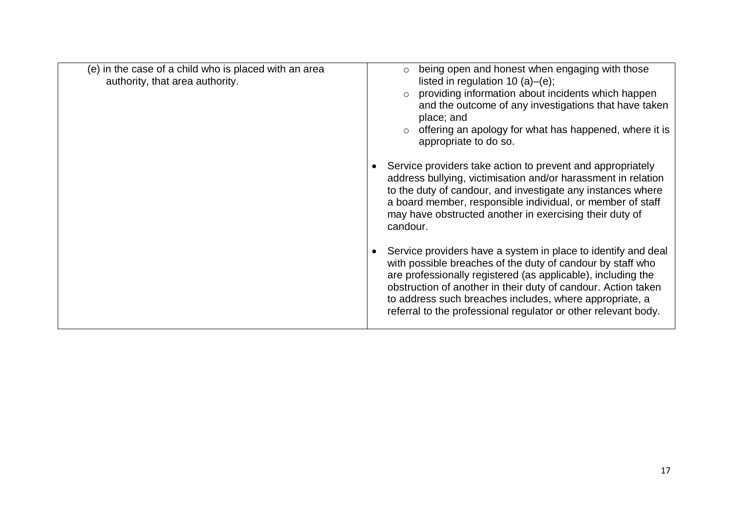| (e) in the case of a child who is placed with an area<br>authority, that area authority. | being open and honest when engaging with those<br>listed in regulation 10 (a)–(e);<br>providing information about incidents which happen<br>$\circ$<br>and the outcome of any investigations that have taken<br>place; and<br>$\circ$ offering an apology for what has happened, where it is<br>appropriate to do so.<br>Service providers take action to prevent and appropriately<br>address bullying, victimisation and/or harassment in relation<br>to the duty of candour, and investigate any instances where<br>a board member, responsible individual, or member of staff<br>may have obstructed another in exercising their duty of<br>candour.<br>Service providers have a system in place to identify and deal<br>with possible breaches of the duty of candour by staff who<br>are professionally registered (as applicable), including the<br>obstruction of another in their duty of candour. Action taken<br>to address such breaches includes, where appropriate, a |
|------------------------------------------------------------------------------------------|-------------------------------------------------------------------------------------------------------------------------------------------------------------------------------------------------------------------------------------------------------------------------------------------------------------------------------------------------------------------------------------------------------------------------------------------------------------------------------------------------------------------------------------------------------------------------------------------------------------------------------------------------------------------------------------------------------------------------------------------------------------------------------------------------------------------------------------------------------------------------------------------------------------------------------------------------------------------------------------|
|                                                                                          | referral to the professional regulator or other relevant body.                                                                                                                                                                                                                                                                                                                                                                                                                                                                                                                                                                                                                                                                                                                                                                                                                                                                                                                      |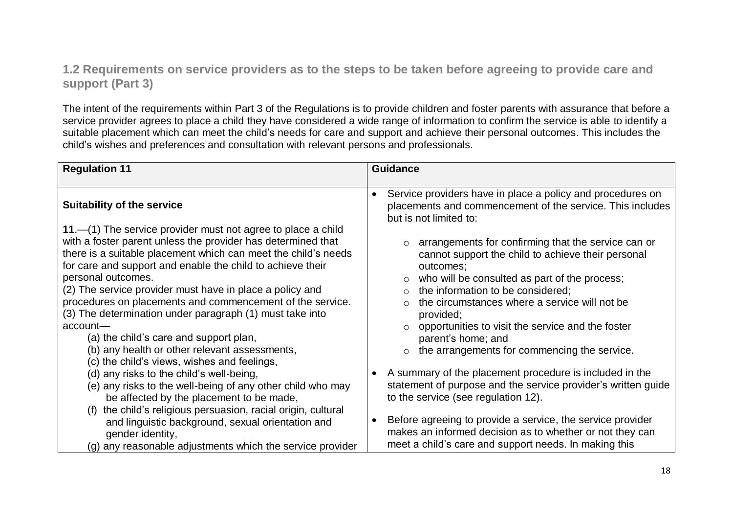### **1.2 Requirements on service providers as to the steps to be taken before agreeing to provide care and support (Part 3)**

The intent of the requirements within Part 3 of the Regulations is to provide children and foster parents with assurance that before a service provider agrees to place a child they have considered a wide range of information to confirm the service is able to identify a suitable placement which can meet the child's needs for care and support and achieve their personal outcomes. This includes the child's wishes and preferences and consultation with relevant persons and professionals.

| <b>Regulation 11</b>                                                                                                                                                                                                                                                                                                                                                                                                                                                                                                                                                                                                                                                             | <b>Guidance</b>                                                                                                                                                                                                                                                                                                                                                                                                                                                                                   |
|----------------------------------------------------------------------------------------------------------------------------------------------------------------------------------------------------------------------------------------------------------------------------------------------------------------------------------------------------------------------------------------------------------------------------------------------------------------------------------------------------------------------------------------------------------------------------------------------------------------------------------------------------------------------------------|---------------------------------------------------------------------------------------------------------------------------------------------------------------------------------------------------------------------------------------------------------------------------------------------------------------------------------------------------------------------------------------------------------------------------------------------------------------------------------------------------|
|                                                                                                                                                                                                                                                                                                                                                                                                                                                                                                                                                                                                                                                                                  |                                                                                                                                                                                                                                                                                                                                                                                                                                                                                                   |
| <b>Suitability of the service</b>                                                                                                                                                                                                                                                                                                                                                                                                                                                                                                                                                                                                                                                | Service providers have in place a policy and procedures on<br>$\bullet$<br>placements and commencement of the service. This includes<br>but is not limited to:                                                                                                                                                                                                                                                                                                                                    |
| 11. $-$ (1) The service provider must not agree to place a child<br>with a foster parent unless the provider has determined that<br>there is a suitable placement which can meet the child's needs<br>for care and support and enable the child to achieve their<br>personal outcomes.<br>(2) The service provider must have in place a policy and<br>procedures on placements and commencement of the service.<br>(3) The determination under paragraph (1) must take into<br>$account$ —<br>(a) the child's care and support plan,<br>(b) any health or other relevant assessments,<br>(c) the child's views, wishes and feelings,<br>(d) any risks to the child's well-being, | arrangements for confirming that the service can or<br>$\circ$<br>cannot support the child to achieve their personal<br>outcomes;<br>who will be consulted as part of the process;<br>$\circ$<br>the information to be considered;<br>$\circ$<br>the circumstances where a service will not be<br>provided;<br>opportunities to visit the service and the foster<br>parent's home; and<br>the arrangements for commencing the service.<br>A summary of the placement procedure is included in the |
| (e) any risks to the well-being of any other child who may<br>be affected by the placement to be made,<br>the child's religious persuasion, racial origin, cultural<br>(f)                                                                                                                                                                                                                                                                                                                                                                                                                                                                                                       | statement of purpose and the service provider's written guide<br>to the service (see regulation 12).                                                                                                                                                                                                                                                                                                                                                                                              |
| and linguistic background, sexual orientation and<br>gender identity,                                                                                                                                                                                                                                                                                                                                                                                                                                                                                                                                                                                                            | Before agreeing to provide a service, the service provider<br>makes an informed decision as to whether or not they can<br>meet a child's care and support needs. In making this                                                                                                                                                                                                                                                                                                                   |
| (g) any reasonable adjustments which the service provider                                                                                                                                                                                                                                                                                                                                                                                                                                                                                                                                                                                                                        |                                                                                                                                                                                                                                                                                                                                                                                                                                                                                                   |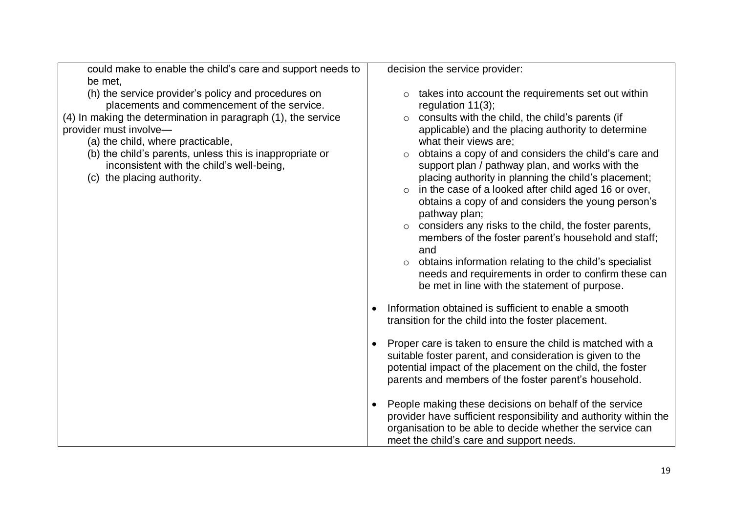| could make to enable the child's care and support needs to                                                                                                                                                                                                                                                                                                                | decision the service provider:                                                                                                                                                                                                                                                                                                                                                                                                                                                                                                                                                                                                                                                                                                                                                                                                            |
|---------------------------------------------------------------------------------------------------------------------------------------------------------------------------------------------------------------------------------------------------------------------------------------------------------------------------------------------------------------------------|-------------------------------------------------------------------------------------------------------------------------------------------------------------------------------------------------------------------------------------------------------------------------------------------------------------------------------------------------------------------------------------------------------------------------------------------------------------------------------------------------------------------------------------------------------------------------------------------------------------------------------------------------------------------------------------------------------------------------------------------------------------------------------------------------------------------------------------------|
| be met,                                                                                                                                                                                                                                                                                                                                                                   |                                                                                                                                                                                                                                                                                                                                                                                                                                                                                                                                                                                                                                                                                                                                                                                                                                           |
| (h) the service provider's policy and procedures on<br>placements and commencement of the service.<br>(4) In making the determination in paragraph (1), the service<br>provider must involve-<br>(a) the child, where practicable,<br>(b) the child's parents, unless this is inappropriate or<br>inconsistent with the child's well-being,<br>(c) the placing authority. | takes into account the requirements set out within<br>regulation $11(3)$ ;<br>consults with the child, the child's parents (if<br>$\circ$<br>applicable) and the placing authority to determine<br>what their views are;<br>obtains a copy of and considers the child's care and<br>$\circ$<br>support plan / pathway plan, and works with the<br>placing authority in planning the child's placement;<br>o in the case of a looked after child aged 16 or over,<br>obtains a copy of and considers the young person's<br>pathway plan;<br>$\circ$ considers any risks to the child, the foster parents,<br>members of the foster parent's household and staff;<br>and<br>obtains information relating to the child's specialist<br>needs and requirements in order to confirm these can<br>be met in line with the statement of purpose. |
|                                                                                                                                                                                                                                                                                                                                                                           | Information obtained is sufficient to enable a smooth<br>transition for the child into the foster placement.                                                                                                                                                                                                                                                                                                                                                                                                                                                                                                                                                                                                                                                                                                                              |
|                                                                                                                                                                                                                                                                                                                                                                           | Proper care is taken to ensure the child is matched with a<br>suitable foster parent, and consideration is given to the<br>potential impact of the placement on the child, the foster<br>parents and members of the foster parent's household.                                                                                                                                                                                                                                                                                                                                                                                                                                                                                                                                                                                            |
|                                                                                                                                                                                                                                                                                                                                                                           | People making these decisions on behalf of the service<br>provider have sufficient responsibility and authority within the<br>organisation to be able to decide whether the service can<br>meet the child's care and support needs.                                                                                                                                                                                                                                                                                                                                                                                                                                                                                                                                                                                                       |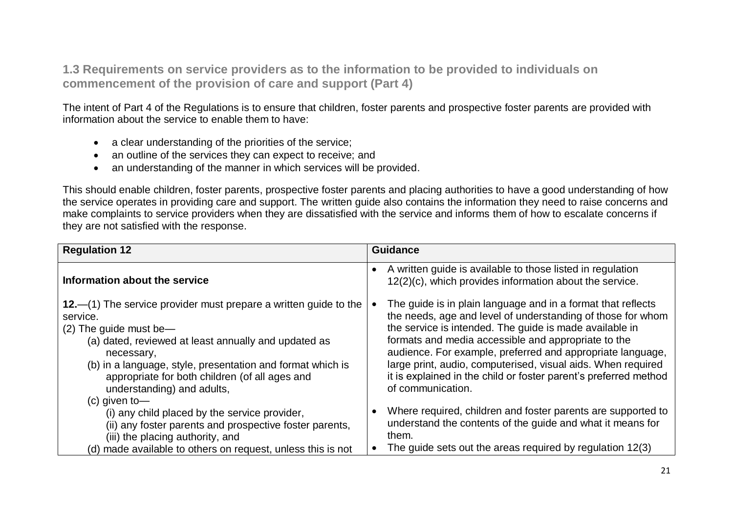**1.3 Requirements on service providers as to the information to be provided to individuals on commencement of the provision of care and support (Part 4)**

The intent of Part 4 of the Regulations is to ensure that children, foster parents and prospective foster parents are provided with information about the service to enable them to have:

- a clear understanding of the priorities of the service;
- an outline of the services they can expect to receive; and
- an understanding of the manner in which services will be provided.

This should enable children, foster parents, prospective foster parents and placing authorities to have a good understanding of how the service operates in providing care and support. The written guide also contains the information they need to raise concerns and make complaints to service providers when they are dissatisfied with the service and informs them of how to escalate concerns if they are not satisfied with the response.

| <b>Regulation 12</b>                                                                                                                                                                                                                                                                                                                                | Guidance                                                                                                                                                                                                                                                                                                                                                                                                                                                             |
|-----------------------------------------------------------------------------------------------------------------------------------------------------------------------------------------------------------------------------------------------------------------------------------------------------------------------------------------------------|----------------------------------------------------------------------------------------------------------------------------------------------------------------------------------------------------------------------------------------------------------------------------------------------------------------------------------------------------------------------------------------------------------------------------------------------------------------------|
| Information about the service                                                                                                                                                                                                                                                                                                                       | A written guide is available to those listed in regulation<br>$\bullet$<br>12(2)(c), which provides information about the service.                                                                                                                                                                                                                                                                                                                                   |
| 12. $-$ (1) The service provider must prepare a written guide to the<br>service.<br>$(2)$ The guide must be-<br>(a) dated, reviewed at least annually and updated as<br>necessary,<br>(b) in a language, style, presentation and format which is<br>appropriate for both children (of all ages and<br>understanding) and adults,<br>$(c)$ given to- | The guide is in plain language and in a format that reflects<br>the needs, age and level of understanding of those for whom<br>the service is intended. The guide is made available in<br>formats and media accessible and appropriate to the<br>audience. For example, preferred and appropriate language,<br>large print, audio, computerised, visual aids. When required<br>it is explained in the child or foster parent's preferred method<br>of communication. |
| (i) any child placed by the service provider,<br>(ii) any foster parents and prospective foster parents,<br>(iii) the placing authority, and<br>(d) made available to others on request, unless this is not                                                                                                                                         | Where required, children and foster parents are supported to<br>understand the contents of the guide and what it means for<br>them.<br>The guide sets out the areas required by regulation 12(3)                                                                                                                                                                                                                                                                     |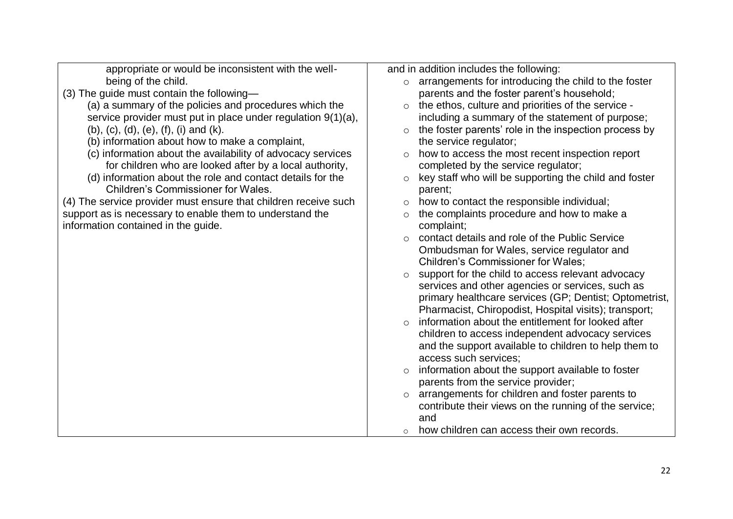| appropriate or would be inconsistent with the well-             | and in addition includes the following:                          |  |
|-----------------------------------------------------------------|------------------------------------------------------------------|--|
| being of the child.                                             | arrangements for introducing the child to the foster<br>$\circ$  |  |
| (3) The guide must contain the following-                       | parents and the foster parent's household;                       |  |
| (a) a summary of the policies and procedures which the          | the ethos, culture and priorities of the service -               |  |
| service provider must put in place under regulation $9(1)(a)$ , | including a summary of the statement of purpose;                 |  |
| $(b)$ , $(c)$ , $(d)$ , $(e)$ , $(f)$ , $(i)$ and $(k)$ .       | the foster parents' role in the inspection process by<br>$\circ$ |  |
| (b) information about how to make a complaint,                  | the service regulator;                                           |  |
| (c) information about the availability of advocacy services     | how to access the most recent inspection report<br>$\circ$       |  |
| for children who are looked after by a local authority,         | completed by the service regulator;                              |  |
| (d) information about the role and contact details for the      | key staff who will be supporting the child and foster<br>$\circ$ |  |
| <b>Children's Commissioner for Wales.</b>                       | parent;                                                          |  |
| (4) The service provider must ensure that children receive such | how to contact the responsible individual;<br>$\circ$            |  |
| support as is necessary to enable them to understand the        | the complaints procedure and how to make a<br>$\circ$            |  |
| information contained in the guide.                             | complaint;                                                       |  |
|                                                                 | contact details and role of the Public Service<br>$\circ$        |  |
|                                                                 | Ombudsman for Wales, service regulator and                       |  |
|                                                                 | Children's Commissioner for Wales;                               |  |
|                                                                 | support for the child to access relevant advocacy                |  |
|                                                                 | services and other agencies or services, such as                 |  |
|                                                                 | primary healthcare services (GP; Dentist; Optometrist,           |  |
|                                                                 | Pharmacist, Chiropodist, Hospital visits); transport;            |  |
|                                                                 | information about the entitlement for looked after<br>$\circ$    |  |
|                                                                 | children to access independent advocacy services                 |  |
|                                                                 | and the support available to children to help them to            |  |
|                                                                 | access such services;                                            |  |
|                                                                 | information about the support available to foster<br>$\circ$     |  |
|                                                                 | parents from the service provider;                               |  |
|                                                                 | arrangements for children and foster parents to<br>$\circ$       |  |
|                                                                 | contribute their views on the running of the service;            |  |
|                                                                 | and                                                              |  |
|                                                                 | how children can access their own records.<br>$\circ$            |  |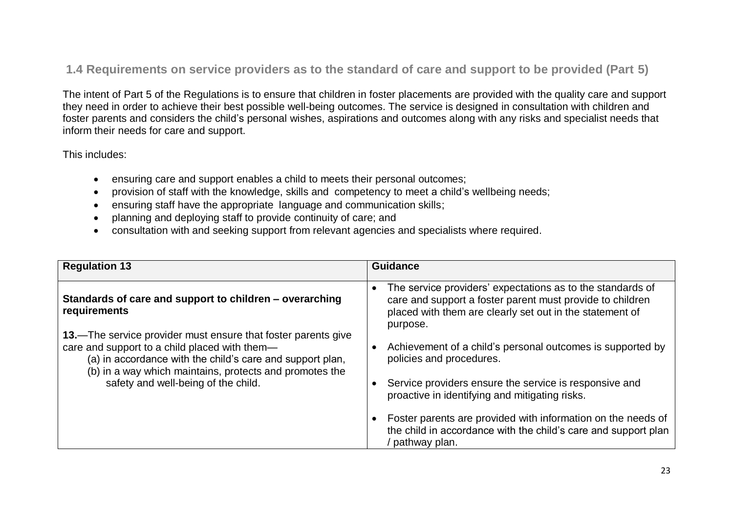### **1.4 Requirements on service providers as to the standard of care and support to be provided (Part 5)**

The intent of Part 5 of the Regulations is to ensure that children in foster placements are provided with the quality care and support they need in order to achieve their best possible well-being outcomes. The service is designed in consultation with children and foster parents and considers the child's personal wishes, aspirations and outcomes along with any risks and specialist needs that inform their needs for care and support.

This includes:

- ensuring care and support enables a child to meets their personal outcomes;
- provision of staff with the knowledge, skills and competency to meet a child's wellbeing needs;
- ensuring staff have the appropriate language and communication skills;
- planning and deploying staff to provide continuity of care; and
- consultation with and seeking support from relevant agencies and specialists where required.

| <b>Regulation 13</b>                                                                                                                                                  | <b>Guidance</b>                                                                                                                                                                                              |
|-----------------------------------------------------------------------------------------------------------------------------------------------------------------------|--------------------------------------------------------------------------------------------------------------------------------------------------------------------------------------------------------------|
| Standards of care and support to children – overarching<br>requirements<br>13.—The service provider must ensure that foster parents give                              | The service providers' expectations as to the standards of<br>$\bullet$<br>care and support a foster parent must provide to children<br>placed with them are clearly set out in the statement of<br>purpose. |
| care and support to a child placed with them-<br>(a) in accordance with the child's care and support plan,<br>(b) in a way which maintains, protects and promotes the | Achievement of a child's personal outcomes is supported by<br>policies and procedures.                                                                                                                       |
| safety and well-being of the child.                                                                                                                                   | Service providers ensure the service is responsive and<br>proactive in identifying and mitigating risks.                                                                                                     |
|                                                                                                                                                                       | Foster parents are provided with information on the needs of<br>the child in accordance with the child's care and support plan<br>' pathway plan.                                                            |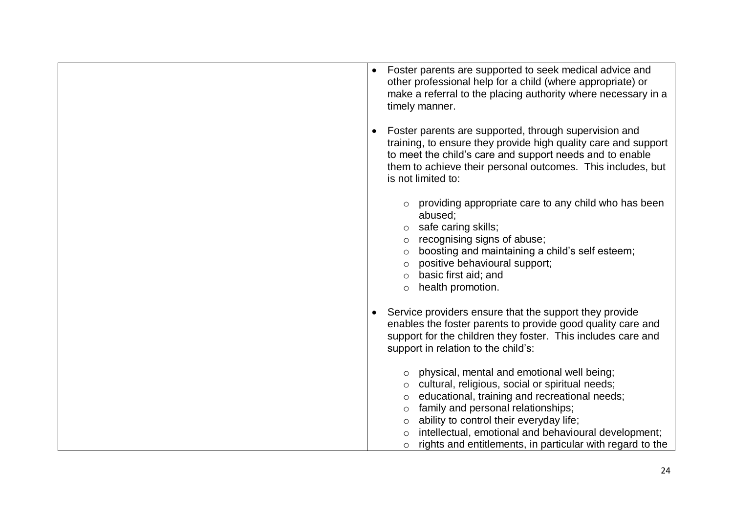| Foster parents are supported to seek medical advice and<br>$\bullet$<br>other professional help for a child (where appropriate) or<br>make a referral to the placing authority where necessary in a<br>timely manner.                                                                                                                                                                            |
|--------------------------------------------------------------------------------------------------------------------------------------------------------------------------------------------------------------------------------------------------------------------------------------------------------------------------------------------------------------------------------------------------|
| Foster parents are supported, through supervision and<br>$\bullet$<br>training, to ensure they provide high quality care and support<br>to meet the child's care and support needs and to enable<br>them to achieve their personal outcomes. This includes, but<br>is not limited to:                                                                                                            |
| providing appropriate care to any child who has been<br>abused;<br>$\circ$ safe caring skills;<br>recognising signs of abuse;<br>boosting and maintaining a child's self esteem;<br>$\circ$<br>positive behavioural support;<br>$\circ$<br>basic first aid; and<br>$\circ$<br>health promotion.<br>$\circ$                                                                                       |
| Service providers ensure that the support they provide<br>$\bullet$<br>enables the foster parents to provide good quality care and<br>support for the children they foster. This includes care and<br>support in relation to the child's:                                                                                                                                                        |
| physical, mental and emotional well being;<br>cultural, religious, social or spiritual needs;<br>educational, training and recreational needs;<br>$\circ$<br>family and personal relationships;<br>$\circ$<br>ability to control their everyday life;<br>$\circ$<br>intellectual, emotional and behavioural development;<br>rights and entitlements, in particular with regard to the<br>$\circ$ |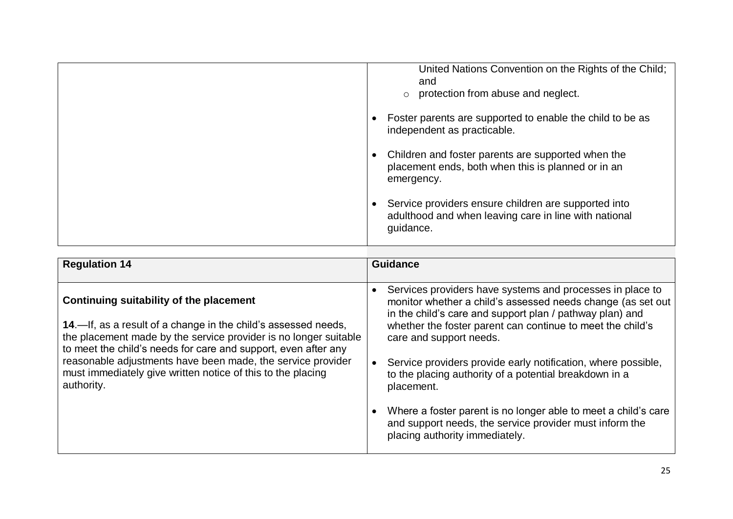| United Nations Convention on the Rights of the Child;<br>and<br>protection from abuse and neglect.<br>$\circ$              |
|----------------------------------------------------------------------------------------------------------------------------|
| Foster parents are supported to enable the child to be as<br>independent as practicable.                                   |
| Children and foster parents are supported when the<br>placement ends, both when this is planned or in an<br>emergency.     |
| Service providers ensure children are supported into<br>adulthood and when leaving care in line with national<br>guidance. |

| <b>Regulation 14</b>                                                                                                                                                                                                                            | <b>Guidance</b>                                                                                                                                                                                                                                                                |
|-------------------------------------------------------------------------------------------------------------------------------------------------------------------------------------------------------------------------------------------------|--------------------------------------------------------------------------------------------------------------------------------------------------------------------------------------------------------------------------------------------------------------------------------|
|                                                                                                                                                                                                                                                 |                                                                                                                                                                                                                                                                                |
| Continuing suitability of the placement<br>14.—If, as a result of a change in the child's assessed needs,<br>the placement made by the service provider is no longer suitable<br>to meet the child's needs for care and support, even after any | Services providers have systems and processes in place to<br>monitor whether a child's assessed needs change (as set out)<br>in the child's care and support plan / pathway plan) and<br>whether the foster parent can continue to meet the child's<br>care and support needs. |
| reasonable adjustments have been made, the service provider<br>must immediately give written notice of this to the placing<br>authority.                                                                                                        | Service providers provide early notification, where possible,<br>to the placing authority of a potential breakdown in a<br>placement.                                                                                                                                          |
|                                                                                                                                                                                                                                                 | Where a foster parent is no longer able to meet a child's care<br>and support needs, the service provider must inform the<br>placing authority immediately.                                                                                                                    |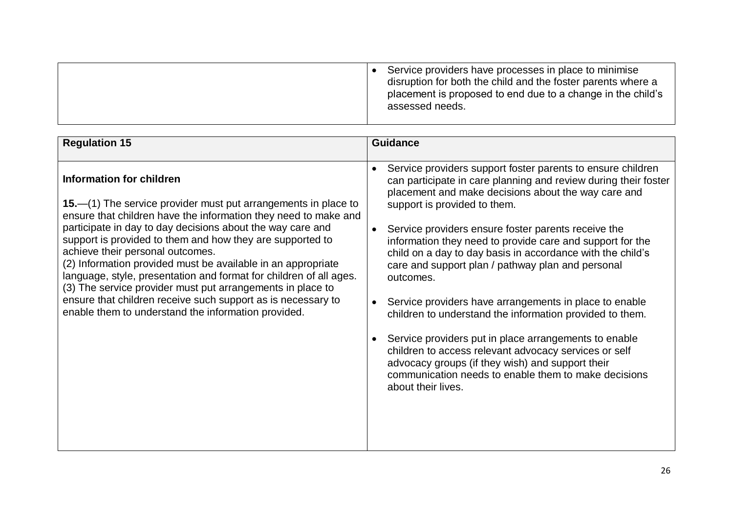| <b>Regulation 15</b>                                                                                                                                                                                                                                                                                                                                                                                                                                                                                                                                                                                                                                                   | <b>Guidance</b>                                                                                                                                                                                                                                                                                                                                                                                                                                                                                                                                                                                                                                                                                                                                                                                                                                                                            |
|------------------------------------------------------------------------------------------------------------------------------------------------------------------------------------------------------------------------------------------------------------------------------------------------------------------------------------------------------------------------------------------------------------------------------------------------------------------------------------------------------------------------------------------------------------------------------------------------------------------------------------------------------------------------|--------------------------------------------------------------------------------------------------------------------------------------------------------------------------------------------------------------------------------------------------------------------------------------------------------------------------------------------------------------------------------------------------------------------------------------------------------------------------------------------------------------------------------------------------------------------------------------------------------------------------------------------------------------------------------------------------------------------------------------------------------------------------------------------------------------------------------------------------------------------------------------------|
| <b>Information for children</b><br><b>15.</b> —(1) The service provider must put arrangements in place to<br>ensure that children have the information they need to make and<br>participate in day to day decisions about the way care and<br>support is provided to them and how they are supported to<br>achieve their personal outcomes.<br>(2) Information provided must be available in an appropriate<br>language, style, presentation and format for children of all ages.<br>(3) The service provider must put arrangements in place to<br>ensure that children receive such support as is necessary to<br>enable them to understand the information provided. | Service providers support foster parents to ensure children<br>$\bullet$<br>can participate in care planning and review during their foster<br>placement and make decisions about the way care and<br>support is provided to them.<br>Service providers ensure foster parents receive the<br>$\bullet$<br>information they need to provide care and support for the<br>child on a day to day basis in accordance with the child's<br>care and support plan / pathway plan and personal<br>outcomes.<br>Service providers have arrangements in place to enable<br>$\bullet$<br>children to understand the information provided to them.<br>Service providers put in place arrangements to enable<br>children to access relevant advocacy services or self<br>advocacy groups (if they wish) and support their<br>communication needs to enable them to make decisions<br>about their lives. |
|                                                                                                                                                                                                                                                                                                                                                                                                                                                                                                                                                                                                                                                                        |                                                                                                                                                                                                                                                                                                                                                                                                                                                                                                                                                                                                                                                                                                                                                                                                                                                                                            |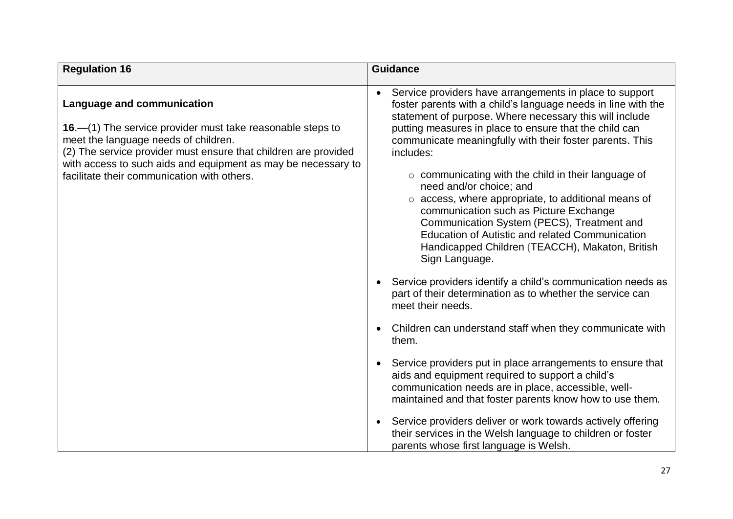| <b>Regulation 16</b>                                                                                                                                                                                                                                                                                                         | <b>Guidance</b>                                                                                                                                                                                                                                                                                                                                                                                                                                                                                                                                                                                                                                                                                                                                                                                                                               |
|------------------------------------------------------------------------------------------------------------------------------------------------------------------------------------------------------------------------------------------------------------------------------------------------------------------------------|-----------------------------------------------------------------------------------------------------------------------------------------------------------------------------------------------------------------------------------------------------------------------------------------------------------------------------------------------------------------------------------------------------------------------------------------------------------------------------------------------------------------------------------------------------------------------------------------------------------------------------------------------------------------------------------------------------------------------------------------------------------------------------------------------------------------------------------------------|
| <b>Language and communication</b><br>16. - (1) The service provider must take reasonable steps to<br>meet the language needs of children.<br>(2) The service provider must ensure that children are provided<br>with access to such aids and equipment as may be necessary to<br>facilitate their communication with others. | Service providers have arrangements in place to support<br>foster parents with a child's language needs in line with the<br>statement of purpose. Where necessary this will include<br>putting measures in place to ensure that the child can<br>communicate meaningfully with their foster parents. This<br>includes:<br>$\circ$ communicating with the child in their language of<br>need and/or choice; and<br>o access, where appropriate, to additional means of<br>communication such as Picture Exchange<br>Communication System (PECS), Treatment and<br><b>Education of Autistic and related Communication</b><br>Handicapped Children (TEACCH), Makaton, British<br>Sign Language.<br>Service providers identify a child's communication needs as<br>part of their determination as to whether the service can<br>meet their needs. |
|                                                                                                                                                                                                                                                                                                                              | Children can understand staff when they communicate with<br>them.                                                                                                                                                                                                                                                                                                                                                                                                                                                                                                                                                                                                                                                                                                                                                                             |
|                                                                                                                                                                                                                                                                                                                              | Service providers put in place arrangements to ensure that<br>aids and equipment required to support a child's<br>communication needs are in place, accessible, well-<br>maintained and that foster parents know how to use them.                                                                                                                                                                                                                                                                                                                                                                                                                                                                                                                                                                                                             |
|                                                                                                                                                                                                                                                                                                                              | Service providers deliver or work towards actively offering<br>their services in the Welsh language to children or foster<br>parents whose first language is Welsh.                                                                                                                                                                                                                                                                                                                                                                                                                                                                                                                                                                                                                                                                           |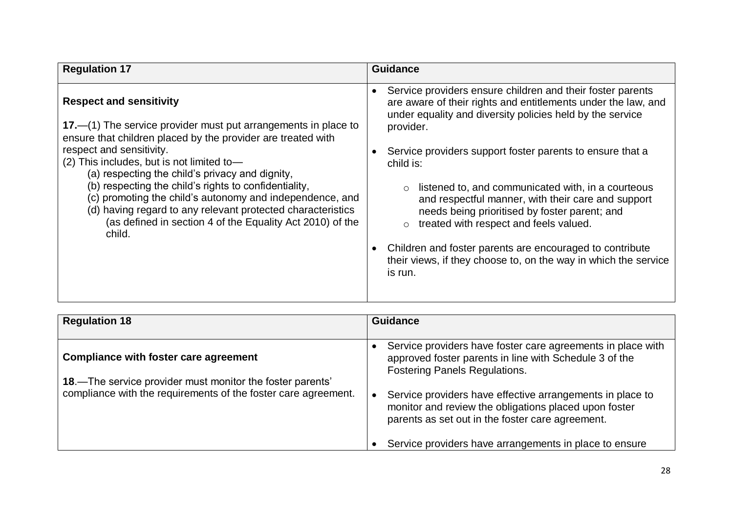| <b>Regulation 17</b>                                                                                                                                                                                                                                                                                                                                                                                                                                                                                                                                       | <b>Guidance</b>                                                                                                                                                                                                                                                                                                                                                                                                                                                                                                                                                                                                                               |
|------------------------------------------------------------------------------------------------------------------------------------------------------------------------------------------------------------------------------------------------------------------------------------------------------------------------------------------------------------------------------------------------------------------------------------------------------------------------------------------------------------------------------------------------------------|-----------------------------------------------------------------------------------------------------------------------------------------------------------------------------------------------------------------------------------------------------------------------------------------------------------------------------------------------------------------------------------------------------------------------------------------------------------------------------------------------------------------------------------------------------------------------------------------------------------------------------------------------|
| <b>Respect and sensitivity</b><br>$17$ .—(1) The service provider must put arrangements in place to<br>ensure that children placed by the provider are treated with<br>respect and sensitivity.<br>(2) This includes, but is not limited to-<br>(a) respecting the child's privacy and dignity,<br>(b) respecting the child's rights to confidentiality,<br>(c) promoting the child's autonomy and independence, and<br>(d) having regard to any relevant protected characteristics<br>(as defined in section 4 of the Equality Act 2010) of the<br>child. | Service providers ensure children and their foster parents<br>$\bullet$<br>are aware of their rights and entitlements under the law, and<br>under equality and diversity policies held by the service<br>provider.<br>Service providers support foster parents to ensure that a<br>child is:<br>listened to, and communicated with, in a courteous<br>and respectful manner, with their care and support<br>needs being prioritised by foster parent; and<br>treated with respect and feels valued.<br>Children and foster parents are encouraged to contribute<br>their views, if they choose to, on the way in which the service<br>is run. |

| <b>Regulation 18</b>                                                                                                        | <b>Guidance</b>                                                                                                                                                                     |
|-----------------------------------------------------------------------------------------------------------------------------|-------------------------------------------------------------------------------------------------------------------------------------------------------------------------------------|
|                                                                                                                             |                                                                                                                                                                                     |
| <b>Compliance with foster care agreement</b>                                                                                | Service providers have foster care agreements in place with<br>approved foster parents in line with Schedule 3 of the<br><b>Fostering Panels Regulations.</b>                       |
| 18.—The service provider must monitor the foster parents'<br>compliance with the requirements of the foster care agreement. | Service providers have effective arrangements in place to<br>$\bullet$<br>monitor and review the obligations placed upon foster<br>parents as set out in the foster care agreement. |
|                                                                                                                             | Service providers have arrangements in place to ensure                                                                                                                              |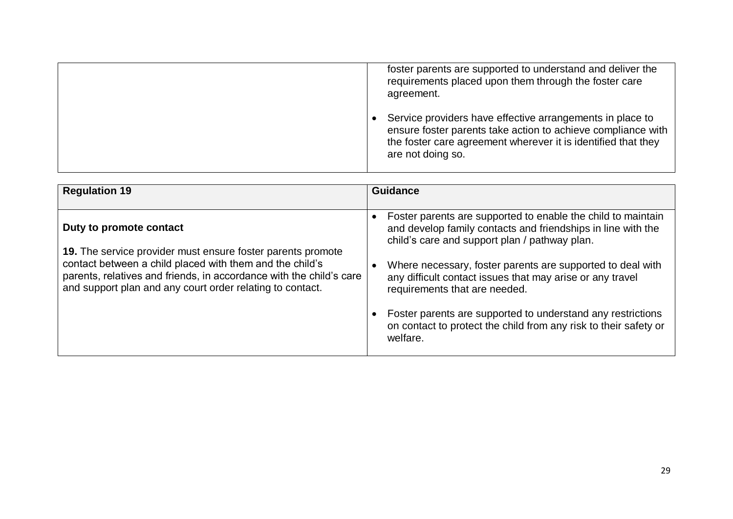|  | foster parents are supported to understand and deliver the<br>requirements placed upon them through the foster care<br>agreement.                                                                               |
|--|-----------------------------------------------------------------------------------------------------------------------------------------------------------------------------------------------------------------|
|  | Service providers have effective arrangements in place to<br>ensure foster parents take action to achieve compliance with<br>the foster care agreement wherever it is identified that they<br>are not doing so. |

| <b>Regulation 19</b>                                                                                                                                                                         | <b>Guidance</b>                                                                                                                                                               |
|----------------------------------------------------------------------------------------------------------------------------------------------------------------------------------------------|-------------------------------------------------------------------------------------------------------------------------------------------------------------------------------|
|                                                                                                                                                                                              |                                                                                                                                                                               |
| Duty to promote contact                                                                                                                                                                      | Foster parents are supported to enable the child to maintain<br>and develop family contacts and friendships in line with the<br>child's care and support plan / pathway plan. |
| 19. The service provider must ensure foster parents promote                                                                                                                                  |                                                                                                                                                                               |
| contact between a child placed with them and the child's<br>parents, relatives and friends, in accordance with the child's care<br>and support plan and any court order relating to contact. | Where necessary, foster parents are supported to deal with<br>any difficult contact issues that may arise or any travel<br>requirements that are needed.                      |
|                                                                                                                                                                                              | Foster parents are supported to understand any restrictions<br>on contact to protect the child from any risk to their safety or<br>welfare.                                   |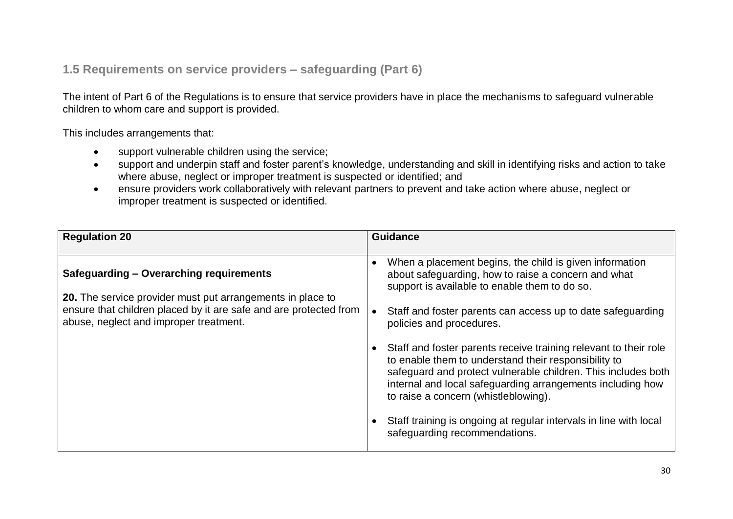### **1.5 Requirements on service providers – safeguarding (Part 6)**

The intent of Part 6 of the Regulations is to ensure that service providers have in place the mechanisms to safeguard vulnerable children to whom care and support is provided.

This includes arrangements that:

- support vulnerable children using the service;
- support and underpin staff and foster parent's knowledge, understanding and skill in identifying risks and action to take where abuse, neglect or improper treatment is suspected or identified; and
- ensure providers work collaboratively with relevant partners to prevent and take action where abuse, neglect or improper treatment is suspected or identified.

| <b>Regulation 20</b>                                                                                                                                                                                                        | <b>Guidance</b>                                                                                                                                                                                                                                                                                 |
|-----------------------------------------------------------------------------------------------------------------------------------------------------------------------------------------------------------------------------|-------------------------------------------------------------------------------------------------------------------------------------------------------------------------------------------------------------------------------------------------------------------------------------------------|
| <b>Safeguarding - Overarching requirements</b><br>20. The service provider must put arrangements in place to<br>ensure that children placed by it are safe and are protected from<br>abuse, neglect and improper treatment. | When a placement begins, the child is given information<br>about safeguarding, how to raise a concern and what<br>support is available to enable them to do so.<br>Staff and foster parents can access up to date safeguarding<br>policies and procedures.                                      |
|                                                                                                                                                                                                                             | Staff and foster parents receive training relevant to their role<br>to enable them to understand their responsibility to<br>safeguard and protect vulnerable children. This includes both<br>internal and local safeguarding arrangements including how<br>to raise a concern (whistleblowing). |
|                                                                                                                                                                                                                             | Staff training is ongoing at regular intervals in line with local<br>safeguarding recommendations.                                                                                                                                                                                              |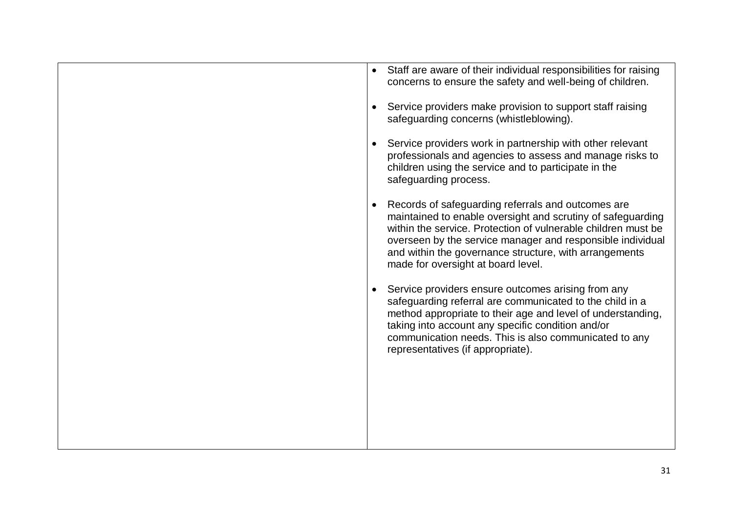|           | Staff are aware of their individual responsibilities for raising<br>concerns to ensure the safety and well-being of children.                                                                                                                                                                                                                    |
|-----------|--------------------------------------------------------------------------------------------------------------------------------------------------------------------------------------------------------------------------------------------------------------------------------------------------------------------------------------------------|
|           | Service providers make provision to support staff raising<br>safeguarding concerns (whistleblowing).                                                                                                                                                                                                                                             |
| $\bullet$ | Service providers work in partnership with other relevant<br>professionals and agencies to assess and manage risks to<br>children using the service and to participate in the<br>safeguarding process.                                                                                                                                           |
| $\bullet$ | Records of safeguarding referrals and outcomes are<br>maintained to enable oversight and scrutiny of safeguarding<br>within the service. Protection of vulnerable children must be<br>overseen by the service manager and responsible individual<br>and within the governance structure, with arrangements<br>made for oversight at board level. |
|           | Service providers ensure outcomes arising from any<br>safeguarding referral are communicated to the child in a<br>method appropriate to their age and level of understanding,<br>taking into account any specific condition and/or<br>communication needs. This is also communicated to any<br>representatives (if appropriate).                 |
|           |                                                                                                                                                                                                                                                                                                                                                  |
|           |                                                                                                                                                                                                                                                                                                                                                  |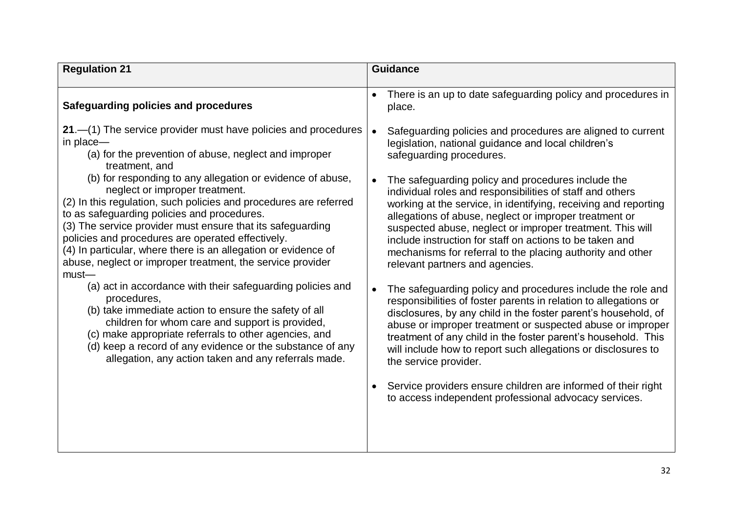| <b>Regulation 21</b>                                                                                                                                                                                                                                                                                                                                                                                                                                                            | <b>Guidance</b>                                                                                                                                                                                                                                                                                                                                                                                                                                                                                                                                                   |
|---------------------------------------------------------------------------------------------------------------------------------------------------------------------------------------------------------------------------------------------------------------------------------------------------------------------------------------------------------------------------------------------------------------------------------------------------------------------------------|-------------------------------------------------------------------------------------------------------------------------------------------------------------------------------------------------------------------------------------------------------------------------------------------------------------------------------------------------------------------------------------------------------------------------------------------------------------------------------------------------------------------------------------------------------------------|
|                                                                                                                                                                                                                                                                                                                                                                                                                                                                                 |                                                                                                                                                                                                                                                                                                                                                                                                                                                                                                                                                                   |
| Safeguarding policies and procedures                                                                                                                                                                                                                                                                                                                                                                                                                                            | There is an up to date safeguarding policy and procedures in<br>place.                                                                                                                                                                                                                                                                                                                                                                                                                                                                                            |
| $21 - (1)$ The service provider must have policies and procedures<br>in place-<br>(a) for the prevention of abuse, neglect and improper<br>treatment, and                                                                                                                                                                                                                                                                                                                       | Safeguarding policies and procedures are aligned to current<br>$\bullet$<br>legislation, national guidance and local children's<br>safeguarding procedures.                                                                                                                                                                                                                                                                                                                                                                                                       |
| (b) for responding to any allegation or evidence of abuse,<br>neglect or improper treatment.<br>(2) In this regulation, such policies and procedures are referred<br>to as safeguarding policies and procedures.<br>(3) The service provider must ensure that its safeguarding<br>policies and procedures are operated effectively.<br>(4) In particular, where there is an allegation or evidence of<br>abuse, neglect or improper treatment, the service provider<br>$must$ — | The safeguarding policy and procedures include the<br>$\bullet$<br>individual roles and responsibilities of staff and others<br>working at the service, in identifying, receiving and reporting<br>allegations of abuse, neglect or improper treatment or<br>suspected abuse, neglect or improper treatment. This will<br>include instruction for staff on actions to be taken and<br>mechanisms for referral to the placing authority and other<br>relevant partners and agencies.                                                                               |
| (a) act in accordance with their safeguarding policies and<br>procedures,<br>(b) take immediate action to ensure the safety of all<br>children for whom care and support is provided,<br>(c) make appropriate referrals to other agencies, and<br>(d) keep a record of any evidence or the substance of any<br>allegation, any action taken and any referrals made.                                                                                                             | The safeguarding policy and procedures include the role and<br>$\bullet$<br>responsibilities of foster parents in relation to allegations or<br>disclosures, by any child in the foster parent's household, of<br>abuse or improper treatment or suspected abuse or improper<br>treatment of any child in the foster parent's household. This<br>will include how to report such allegations or disclosures to<br>the service provider.<br>Service providers ensure children are informed of their right<br>to access independent professional advocacy services. |
|                                                                                                                                                                                                                                                                                                                                                                                                                                                                                 |                                                                                                                                                                                                                                                                                                                                                                                                                                                                                                                                                                   |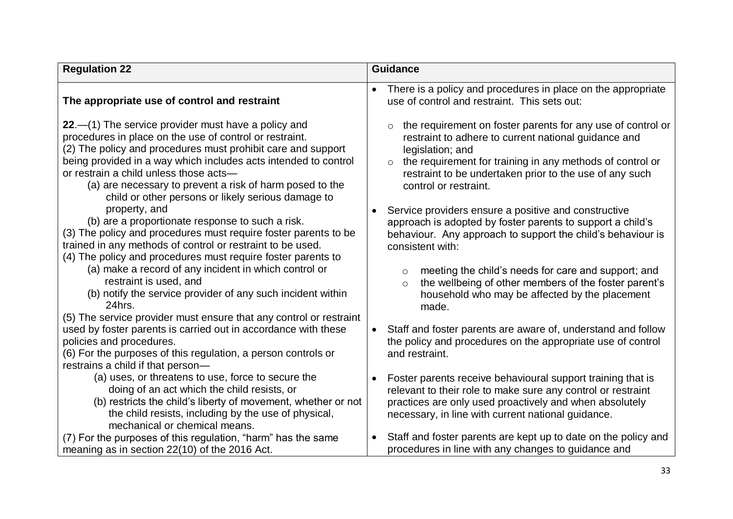| <b>Regulation 22</b>                                                                                                                                                                                                                                                                                                                                                                                            | <b>Guidance</b>                                                                                                                                                                                                                                                                                     |
|-----------------------------------------------------------------------------------------------------------------------------------------------------------------------------------------------------------------------------------------------------------------------------------------------------------------------------------------------------------------------------------------------------------------|-----------------------------------------------------------------------------------------------------------------------------------------------------------------------------------------------------------------------------------------------------------------------------------------------------|
| The appropriate use of control and restraint                                                                                                                                                                                                                                                                                                                                                                    | There is a policy and procedures in place on the appropriate<br>use of control and restraint. This sets out:                                                                                                                                                                                        |
| $22-$ (1) The service provider must have a policy and<br>procedures in place on the use of control or restraint.<br>(2) The policy and procedures must prohibit care and support<br>being provided in a way which includes acts intended to control<br>or restrain a child unless those acts-<br>(a) are necessary to prevent a risk of harm posed to the<br>child or other persons or likely serious damage to | the requirement on foster parents for any use of control or<br>restraint to adhere to current national guidance and<br>legislation; and<br>the requirement for training in any methods of control or<br>$\circ$<br>restraint to be undertaken prior to the use of any such<br>control or restraint. |
| property, and<br>(b) are a proportionate response to such a risk.<br>(3) The policy and procedures must require foster parents to be<br>trained in any methods of control or restraint to be used.<br>(4) The policy and procedures must require foster parents to                                                                                                                                              | Service providers ensure a positive and constructive<br>$\bullet$<br>approach is adopted by foster parents to support a child's<br>behaviour. Any approach to support the child's behaviour is<br>consistent with:                                                                                  |
| (a) make a record of any incident in which control or<br>restraint is used, and<br>(b) notify the service provider of any such incident within<br>24hrs.<br>(5) The service provider must ensure that any control or restraint                                                                                                                                                                                  | meeting the child's needs for care and support; and<br>$\circ$<br>the wellbeing of other members of the foster parent's<br>$\circ$<br>household who may be affected by the placement<br>made.                                                                                                       |
| used by foster parents is carried out in accordance with these<br>policies and procedures.<br>(6) For the purposes of this regulation, a person controls or<br>restrains a child if that person-                                                                                                                                                                                                                | Staff and foster parents are aware of, understand and follow<br>the policy and procedures on the appropriate use of control<br>and restraint.                                                                                                                                                       |
| (a) uses, or threatens to use, force to secure the<br>doing of an act which the child resists, or<br>(b) restricts the child's liberty of movement, whether or not<br>the child resists, including by the use of physical,<br>mechanical or chemical means.                                                                                                                                                     | Foster parents receive behavioural support training that is<br>$\bullet$<br>relevant to their role to make sure any control or restraint<br>practices are only used proactively and when absolutely<br>necessary, in line with current national guidance.                                           |
| (7) For the purposes of this regulation, "harm" has the same<br>meaning as in section 22(10) of the 2016 Act.                                                                                                                                                                                                                                                                                                   | Staff and foster parents are kept up to date on the policy and<br>$\bullet$<br>procedures in line with any changes to guidance and                                                                                                                                                                  |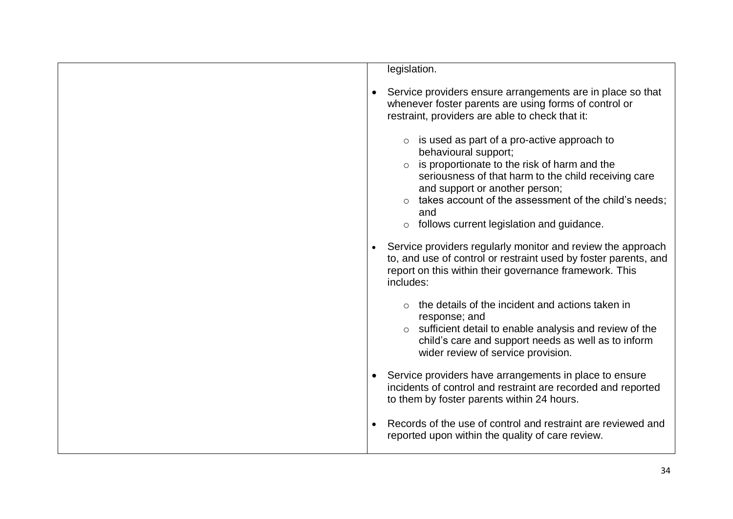| legislation.                                                                                                                                                                                                                                                                                                                                                                                                 |  |
|--------------------------------------------------------------------------------------------------------------------------------------------------------------------------------------------------------------------------------------------------------------------------------------------------------------------------------------------------------------------------------------------------------------|--|
| Service providers ensure arrangements are in place so that<br>whenever foster parents are using forms of control or<br>restraint, providers are able to check that it:                                                                                                                                                                                                                                       |  |
| $\circ$ is used as part of a pro-active approach to<br>behavioural support;<br>is proportionate to the risk of harm and the<br>seriousness of that harm to the child receiving care<br>and support or another person;<br>takes account of the assessment of the child's needs;<br>and<br>follows current legislation and guidance.<br>$\circ$<br>Service providers regularly monitor and review the approach |  |
| to, and use of control or restraint used by foster parents, and<br>report on this within their governance framework. This<br>includes:                                                                                                                                                                                                                                                                       |  |
| the details of the incident and actions taken in<br>response; and<br>sufficient detail to enable analysis and review of the<br>$\circ$<br>child's care and support needs as well as to inform<br>wider review of service provision.                                                                                                                                                                          |  |
| Service providers have arrangements in place to ensure<br>incidents of control and restraint are recorded and reported<br>to them by foster parents within 24 hours.                                                                                                                                                                                                                                         |  |
| Records of the use of control and restraint are reviewed and<br>reported upon within the quality of care review.                                                                                                                                                                                                                                                                                             |  |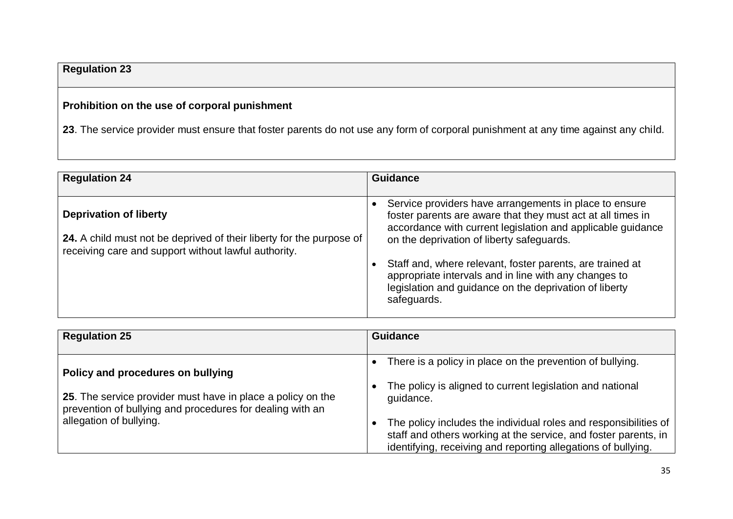# **Regulation 23**

# **Prohibition on the use of corporal punishment**

**23**. The service provider must ensure that foster parents do not use any form of corporal punishment at any time against any child.

| <b>Regulation 24</b>                                                                                                                                          | <b>Guidance</b>                                                                                                                                                                                                                   |
|---------------------------------------------------------------------------------------------------------------------------------------------------------------|-----------------------------------------------------------------------------------------------------------------------------------------------------------------------------------------------------------------------------------|
| <b>Deprivation of liberty</b><br>24. A child must not be deprived of their liberty for the purpose of<br>receiving care and support without lawful authority. | Service providers have arrangements in place to ensure<br>foster parents are aware that they must act at all times in<br>accordance with current legislation and applicable guidance<br>on the deprivation of liberty safeguards. |
|                                                                                                                                                               | Staff and, where relevant, foster parents, are trained at<br>appropriate intervals and in line with any changes to<br>legislation and guidance on the deprivation of liberty<br>safeguards.                                       |

| <b>Regulation 25</b>                                                                                                                                                                     | <b>Guidance</b>                                                                                                                                                                                                                                                                                                                             |
|------------------------------------------------------------------------------------------------------------------------------------------------------------------------------------------|---------------------------------------------------------------------------------------------------------------------------------------------------------------------------------------------------------------------------------------------------------------------------------------------------------------------------------------------|
| Policy and procedures on bullying<br>25. The service provider must have in place a policy on the<br>prevention of bullying and procedures for dealing with an<br>allegation of bullying. | There is a policy in place on the prevention of bullying.<br>The policy is aligned to current legislation and national<br>quidance.<br>The policy includes the individual roles and responsibilities of<br>staff and others working at the service, and foster parents, in<br>identifying, receiving and reporting allegations of bullying. |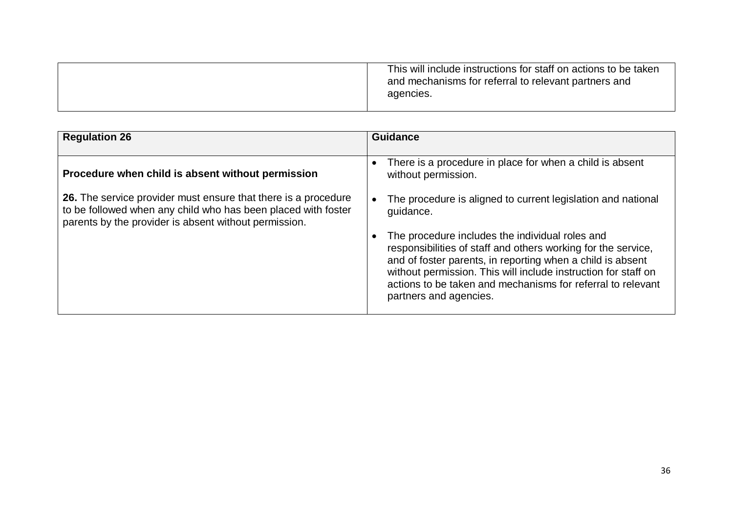|  | This will include instructions for staff on actions to be taken<br>and mechanisms for referral to relevant partners and<br>agencies. |
|--|--------------------------------------------------------------------------------------------------------------------------------------|
|--|--------------------------------------------------------------------------------------------------------------------------------------|

| <b>Regulation 26</b>                                                                                                                                                                     | <b>Guidance</b>                                                                                                                                                                                                                                                                                                                           |
|------------------------------------------------------------------------------------------------------------------------------------------------------------------------------------------|-------------------------------------------------------------------------------------------------------------------------------------------------------------------------------------------------------------------------------------------------------------------------------------------------------------------------------------------|
|                                                                                                                                                                                          |                                                                                                                                                                                                                                                                                                                                           |
| Procedure when child is absent without permission                                                                                                                                        | There is a procedure in place for when a child is absent<br>$\bullet$<br>without permission.                                                                                                                                                                                                                                              |
| 26. The service provider must ensure that there is a procedure<br>to be followed when any child who has been placed with foster<br>parents by the provider is absent without permission. | The procedure is aligned to current legislation and national<br>quidance.                                                                                                                                                                                                                                                                 |
|                                                                                                                                                                                          | The procedure includes the individual roles and<br>responsibilities of staff and others working for the service,<br>and of foster parents, in reporting when a child is absent<br>without permission. This will include instruction for staff on<br>actions to be taken and mechanisms for referral to relevant<br>partners and agencies. |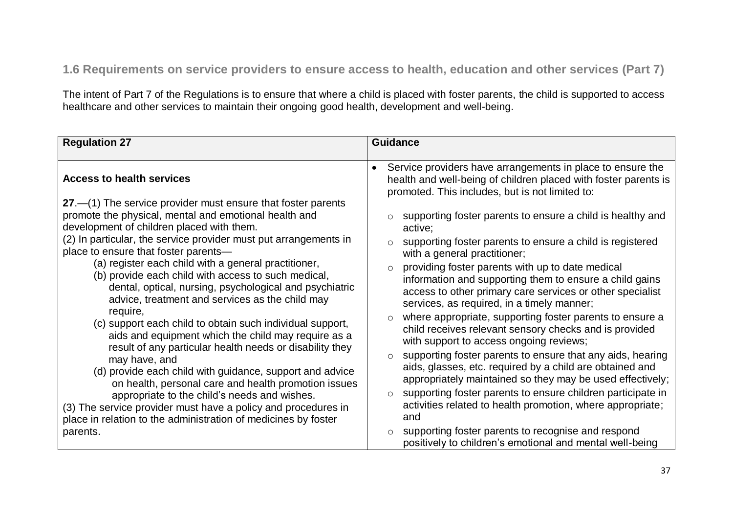# **1.6 Requirements on service providers to ensure access to health, education and other services (Part 7)**

The intent of Part 7 of the Regulations is to ensure that where a child is placed with foster parents, the child is supported to access healthcare and other services to maintain their ongoing good health, development and well-being.

| <b>Regulation 27</b>                                                                                                                                                                                                                                                                                                                                                                                                                                                                                                                                                                                                                                                                                                                                                                                                                                                                                                                                                                              | <b>Guidance</b>                                                                                                                                                                                                                                                                                                                                                                                                                                                                                                                                                                                                                                                                                                                                                                                                                                                                                                                                                                                                                                                                                                              |
|---------------------------------------------------------------------------------------------------------------------------------------------------------------------------------------------------------------------------------------------------------------------------------------------------------------------------------------------------------------------------------------------------------------------------------------------------------------------------------------------------------------------------------------------------------------------------------------------------------------------------------------------------------------------------------------------------------------------------------------------------------------------------------------------------------------------------------------------------------------------------------------------------------------------------------------------------------------------------------------------------|------------------------------------------------------------------------------------------------------------------------------------------------------------------------------------------------------------------------------------------------------------------------------------------------------------------------------------------------------------------------------------------------------------------------------------------------------------------------------------------------------------------------------------------------------------------------------------------------------------------------------------------------------------------------------------------------------------------------------------------------------------------------------------------------------------------------------------------------------------------------------------------------------------------------------------------------------------------------------------------------------------------------------------------------------------------------------------------------------------------------------|
| <b>Access to health services</b><br>27.—(1) The service provider must ensure that foster parents<br>promote the physical, mental and emotional health and<br>development of children placed with them.<br>(2) In particular, the service provider must put arrangements in<br>place to ensure that foster parents-<br>(a) register each child with a general practitioner,<br>(b) provide each child with access to such medical,<br>dental, optical, nursing, psychological and psychiatric<br>advice, treatment and services as the child may<br>require,<br>(c) support each child to obtain such individual support,<br>aids and equipment which the child may require as a<br>result of any particular health needs or disability they<br>may have, and<br>(d) provide each child with guidance, support and advice<br>on health, personal care and health promotion issues<br>appropriate to the child's needs and wishes.<br>(3) The service provider must have a policy and procedures in | Service providers have arrangements in place to ensure the<br>health and well-being of children placed with foster parents is<br>promoted. This includes, but is not limited to:<br>supporting foster parents to ensure a child is healthy and<br>active;<br>supporting foster parents to ensure a child is registered<br>$\circ$<br>with a general practitioner;<br>providing foster parents with up to date medical<br>$\circ$<br>information and supporting them to ensure a child gains<br>access to other primary care services or other specialist<br>services, as required, in a timely manner;<br>where appropriate, supporting foster parents to ensure a<br>$\circ$<br>child receives relevant sensory checks and is provided<br>with support to access ongoing reviews;<br>supporting foster parents to ensure that any aids, hearing<br>$\circ$<br>aids, glasses, etc. required by a child are obtained and<br>appropriately maintained so they may be used effectively;<br>supporting foster parents to ensure children participate in<br>$\circ$<br>activities related to health promotion, where appropriate; |
| place in relation to the administration of medicines by foster<br>parents.                                                                                                                                                                                                                                                                                                                                                                                                                                                                                                                                                                                                                                                                                                                                                                                                                                                                                                                        | and<br>supporting foster parents to recognise and respond<br>$\circ$                                                                                                                                                                                                                                                                                                                                                                                                                                                                                                                                                                                                                                                                                                                                                                                                                                                                                                                                                                                                                                                         |
|                                                                                                                                                                                                                                                                                                                                                                                                                                                                                                                                                                                                                                                                                                                                                                                                                                                                                                                                                                                                   | positively to children's emotional and mental well-being                                                                                                                                                                                                                                                                                                                                                                                                                                                                                                                                                                                                                                                                                                                                                                                                                                                                                                                                                                                                                                                                     |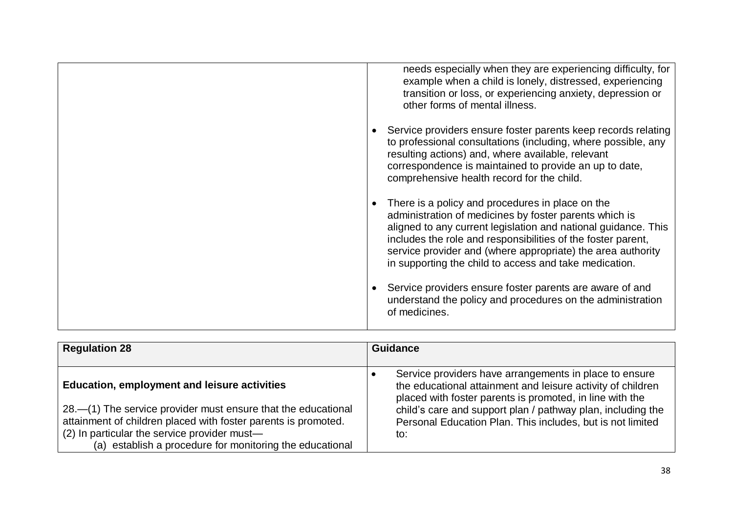| needs especially when they are experiencing difficulty, for<br>example when a child is lonely, distressed, experiencing<br>transition or loss, or experiencing anxiety, depression or<br>other forms of mental illness.                                                                                                                                               |
|-----------------------------------------------------------------------------------------------------------------------------------------------------------------------------------------------------------------------------------------------------------------------------------------------------------------------------------------------------------------------|
| Service providers ensure foster parents keep records relating<br>to professional consultations (including, where possible, any<br>resulting actions) and, where available, relevant<br>correspondence is maintained to provide an up to date,<br>comprehensive health record for the child.                                                                           |
| There is a policy and procedures in place on the<br>administration of medicines by foster parents which is<br>aligned to any current legislation and national guidance. This<br>includes the role and responsibilities of the foster parent,<br>service provider and (where appropriate) the area authority<br>in supporting the child to access and take medication. |
| Service providers ensure foster parents are aware of and<br>understand the policy and procedures on the administration<br>of medicines.                                                                                                                                                                                                                               |

| <b>Regulation 28</b>                                                                                                                                                                                                                                                                               | <b>Guidance</b>                                                                                                                                                                                                                                                                                                       |
|----------------------------------------------------------------------------------------------------------------------------------------------------------------------------------------------------------------------------------------------------------------------------------------------------|-----------------------------------------------------------------------------------------------------------------------------------------------------------------------------------------------------------------------------------------------------------------------------------------------------------------------|
| <b>Education, employment and leisure activities</b><br>28.—(1) The service provider must ensure that the educational<br>attainment of children placed with foster parents is promoted.<br>(2) In particular the service provider must-<br>(a) establish a procedure for monitoring the educational | Service providers have arrangements in place to ensure<br>the educational attainment and leisure activity of children<br>placed with foster parents is promoted, in line with the<br>child's care and support plan / pathway plan, including the<br>Personal Education Plan. This includes, but is not limited<br>to: |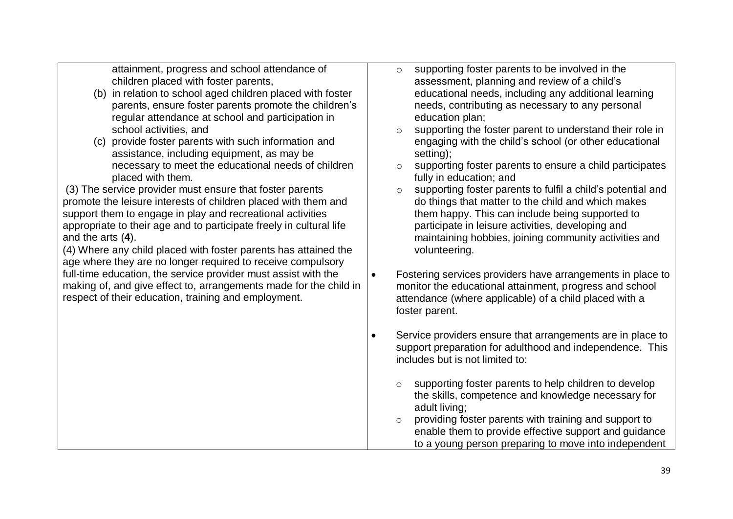attainment, progress and school attendance of children placed with foster parents,

- (b) in relation to school aged children placed with foster parents, ensure foster parents promote the children's regular attendance at school and participation in school activities, and
- (c) provide foster parents with such information and assistance, including equipment, as may be necessary to meet the educational needs of children placed with them.

(3) The service provider must ensure that foster parents promote the leisure interests of children placed with them and support them to engage in play and recreational activities appropriate to their age and to participate freely in cultural life and the arts (**4**).

(4) Where any child placed with foster parents has attained the age where they are no longer required to receive compulsory full-time education, the service provider must assist with the making of, and give effect to, arrangements made for the child in respect of their education, training and employment.

- o supporting foster parents to be involved in the assessment, planning and review of a child's educational needs, including any additional learning needs, contributing as necessary to any personal education plan;
- o supporting the foster parent to understand their role in engaging with the child's school (or other educational setting);
- o supporting foster parents to ensure a child participates fully in education; and
- o supporting foster parents to fulfil a child's potential and do things that matter to the child and which makes them happy. This can include being supported to participate in leisure activities, developing and maintaining hobbies, joining community activities and volunteering.
- Fostering services providers have arrangements in place to monitor the educational attainment, progress and school attendance (where applicable) of a child placed with a foster parent.
- Service providers ensure that arrangements are in place to support preparation for adulthood and independence. This includes but is not limited to:
	- o supporting foster parents to help children to develop the skills, competence and knowledge necessary for adult living;
	- o providing foster parents with training and support to enable them to provide effective support and guidance to a young person preparing to move into independent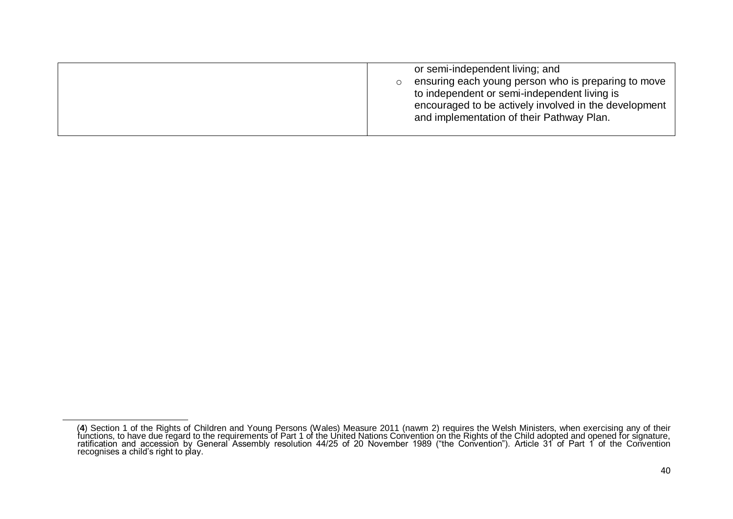| or semi-independent living; and<br>ensuring each young person who is preparing to move<br>to independent or semi-independent living is<br>encouraged to be actively involved in the development<br>and implementation of their Pathway Plan. |
|----------------------------------------------------------------------------------------------------------------------------------------------------------------------------------------------------------------------------------------------|
|----------------------------------------------------------------------------------------------------------------------------------------------------------------------------------------------------------------------------------------------|

 $\overline{a}$ 

**<sup>4</sup>** (**4**) Section 1 of the Rights of Children and Young Persons (Wales) Measure 2011 (nawm 2) requires the Welsh Ministers, when exercising any of their functions, to have due regard to the requirements of Part 1 of the United Nations Convention on the Rights of the Child adopted and opened for signature, ratification and accession by General Assembly resolution 44/25 of 20 November 1989 ("the Convention"). Article 31 of Part 1 of the Convention recognises a child's right to play.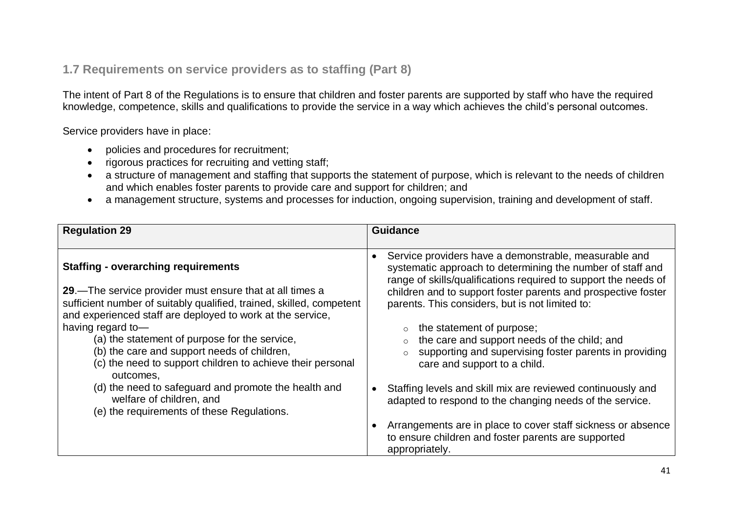### **1.7 Requirements on service providers as to staffing (Part 8)**

The intent of Part 8 of the Regulations is to ensure that children and foster parents are supported by staff who have the required knowledge, competence, skills and qualifications to provide the service in a way which achieves the child's personal outcomes.

Service providers have in place:

- policies and procedures for recruitment;
- rigorous practices for recruiting and vetting staff;
- a structure of management and staffing that supports the statement of purpose, which is relevant to the needs of children and which enables foster parents to provide care and support for children; and
- a management structure, systems and processes for induction, ongoing supervision, training and development of staff.

| <b>Regulation 29</b>                                                                                                                                                                                                                         | <b>Guidance</b>                                                                                                                                                                                                                                                                                            |
|----------------------------------------------------------------------------------------------------------------------------------------------------------------------------------------------------------------------------------------------|------------------------------------------------------------------------------------------------------------------------------------------------------------------------------------------------------------------------------------------------------------------------------------------------------------|
| <b>Staffing - overarching requirements</b><br>29.—The service provider must ensure that at all times a<br>sufficient number of suitably qualified, trained, skilled, competent<br>and experienced staff are deployed to work at the service, | Service providers have a demonstrable, measurable and<br>systematic approach to determining the number of staff and<br>range of skills/qualifications required to support the needs of<br>children and to support foster parents and prospective foster<br>parents. This considers, but is not limited to: |
| having regard to-<br>(a) the statement of purpose for the service,<br>(b) the care and support needs of children,<br>(c) the need to support children to achieve their personal<br>outcomes,                                                 | the statement of purpose;<br>the care and support needs of the child; and<br>supporting and supervising foster parents in providing<br>care and support to a child.                                                                                                                                        |
| (d) the need to safeguard and promote the health and<br>welfare of children, and<br>(e) the requirements of these Regulations.                                                                                                               | Staffing levels and skill mix are reviewed continuously and<br>adapted to respond to the changing needs of the service.                                                                                                                                                                                    |
|                                                                                                                                                                                                                                              | Arrangements are in place to cover staff sickness or absence<br>to ensure children and foster parents are supported<br>appropriately.                                                                                                                                                                      |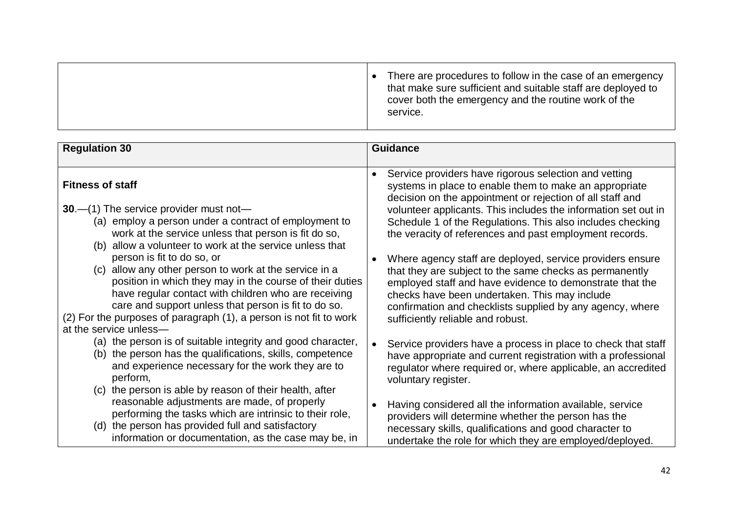| There are procedures to follow in the case of an emergency<br>that make sure sufficient and suitable staff are deployed to<br>cover both the emergency and the routine work of the<br>service. |  |
|------------------------------------------------------------------------------------------------------------------------------------------------------------------------------------------------|--|
|                                                                                                                                                                                                |  |

| <b>Regulation 30</b>                                                                                                                                                                                                                                                                                                                                                                                                            | <b>Guidance</b>                                                                                                                                                                                                                                                                                                                                                                      |
|---------------------------------------------------------------------------------------------------------------------------------------------------------------------------------------------------------------------------------------------------------------------------------------------------------------------------------------------------------------------------------------------------------------------------------|--------------------------------------------------------------------------------------------------------------------------------------------------------------------------------------------------------------------------------------------------------------------------------------------------------------------------------------------------------------------------------------|
| <b>Fitness of staff</b><br><b>30</b> .—(1) The service provider must not—<br>(a) employ a person under a contract of employment to<br>work at the service unless that person is fit do so,                                                                                                                                                                                                                                      | Service providers have rigorous selection and vetting<br>$\bullet$<br>systems in place to enable them to make an appropriate<br>decision on the appointment or rejection of all staff and<br>volunteer applicants. This includes the information set out in<br>Schedule 1 of the Regulations. This also includes checking<br>the veracity of references and past employment records. |
| allow a volunteer to work at the service unless that<br>(b)<br>person is fit to do so, or<br>(c) allow any other person to work at the service in a<br>position in which they may in the course of their duties<br>have regular contact with children who are receiving<br>care and support unless that person is fit to do so.<br>(2) For the purposes of paragraph (1), a person is not fit to work<br>at the service unless- | Where agency staff are deployed, service providers ensure<br>$\bullet$<br>that they are subject to the same checks as permanently<br>employed staff and have evidence to demonstrate that the<br>checks have been undertaken. This may include<br>confirmation and checklists supplied by any agency, where<br>sufficiently reliable and robust.                                     |
| (a) the person is of suitable integrity and good character,<br>(b) the person has the qualifications, skills, competence<br>and experience necessary for the work they are to<br>perform,<br>(c) the person is able by reason of their health, after                                                                                                                                                                            | Service providers have a process in place to check that staff<br>$\bullet$<br>have appropriate and current registration with a professional<br>regulator where required or, where applicable, an accredited<br>voluntary register.                                                                                                                                                   |
| reasonable adjustments are made, of properly<br>performing the tasks which are intrinsic to their role,<br>(d) the person has provided full and satisfactory<br>information or documentation, as the case may be, in                                                                                                                                                                                                            | Having considered all the information available, service<br>$\bullet$<br>providers will determine whether the person has the<br>necessary skills, qualifications and good character to<br>undertake the role for which they are employed/deployed.                                                                                                                                   |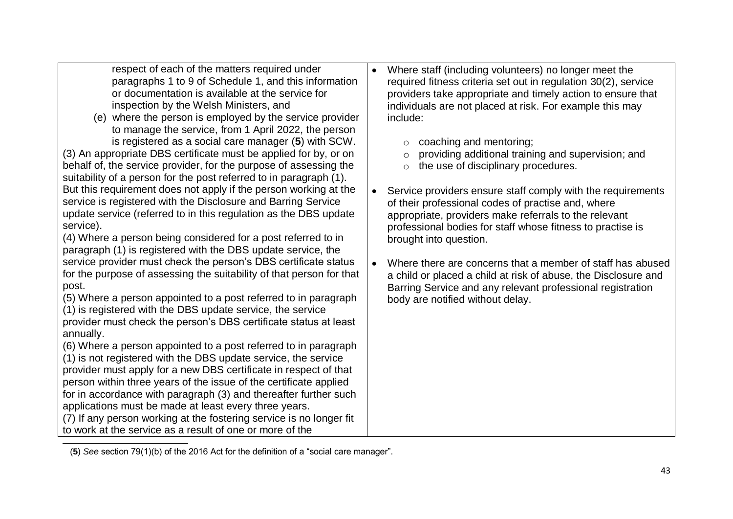respect of each of the matters required under paragraphs 1 to 9 of Schedule 1, and this information or documentation is available at the service for inspection by the Welsh Ministers, and

(e) where the person is employed by the service provider to manage the service, from 1 April 2022, the person is registered as a social care manager (5) with SCW.

(3) An appropriate DBS certificate must be applied for by, or on behalf of, the service provider, for the purpose of assessing the suitability of a person for the post referred to in paragraph (1). But this requirement does not apply if the person working at the service is registered with the Disclosure and Barring Service update service (referred to in this regulation as the DBS update service).

(4) Where a person being considered for a post referred to in paragraph (1) is registered with the DBS update service, the service provider must check the person's DBS certificate status for the purpose of assessing the suitability of that person for that post.

(5) Where a person appointed to a post referred to in paragraph (1) is registered with the DBS update service, the service provider must check the person's DBS certificate status at least annually.

(6) Where a person appointed to a post referred to in paragraph (1) is not registered with the DBS update service, the service provider must apply for a new DBS certificate in respect of that person within three years of the issue of the certificate applied for in accordance with paragraph (3) and thereafter further such applications must be made at least every three years.

(7) If any person working at the fostering service is no longer fit to work at the service as a result of one or more of the

 $\overline{a}$ 

- Where staff (including volunteers) no longer meet the required fitness criteria set out in regulation 30(2), service providers take appropriate and timely action to ensure that individuals are not placed at risk. For example this may include:
	- o coaching and mentoring;
	- $\circ$  providing additional training and supervision; and
	- o the use of disciplinary procedures.
- Service providers ensure staff comply with the requirements of their professional codes of practise and, where appropriate, providers make referrals to the relevant professional bodies for staff whose fitness to practise is brought into question.
- Where there are concerns that a member of staff has abused a child or placed a child at risk of abuse, the Disclosure and Barring Service and any relevant professional registration body are notified without delay.

**<sup>5</sup>** (**5**) *See* section 79(1)(b) of the 2016 Act for the definition of a "social care manager".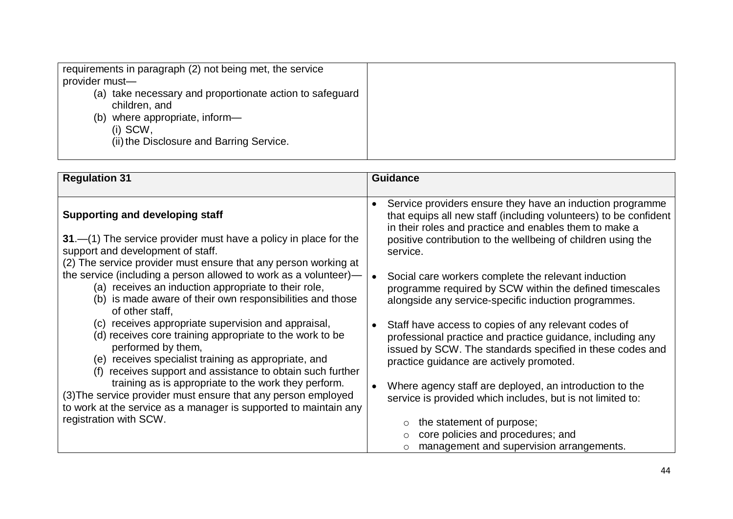| where appropriate, inform-<br>(b)<br>$(i)$ SCW,<br>(ii) the Disclosure and Barring Service. | requirements in paragraph (2) not being met, the service<br>provider must-<br>(a) take necessary and proportionate action to safeguard<br>children, and |  |
|---------------------------------------------------------------------------------------------|---------------------------------------------------------------------------------------------------------------------------------------------------------|--|
|---------------------------------------------------------------------------------------------|---------------------------------------------------------------------------------------------------------------------------------------------------------|--|

| <b>Regulation 31</b>                                                                                                                                                                                                                                    | <b>Guidance</b>                                                                                                                                                                                                             |
|---------------------------------------------------------------------------------------------------------------------------------------------------------------------------------------------------------------------------------------------------------|-----------------------------------------------------------------------------------------------------------------------------------------------------------------------------------------------------------------------------|
|                                                                                                                                                                                                                                                         |                                                                                                                                                                                                                             |
| <b>Supporting and developing staff</b>                                                                                                                                                                                                                  | Service providers ensure they have an induction programme<br>that equips all new staff (including volunteers) to be confident<br>in their roles and practice and enables them to make a                                     |
| $31 - (1)$ The service provider must have a policy in place for the<br>support and development of staff.                                                                                                                                                | positive contribution to the wellbeing of children using the<br>service.                                                                                                                                                    |
| (2) The service provider must ensure that any person working at                                                                                                                                                                                         |                                                                                                                                                                                                                             |
| the service (including a person allowed to work as a volunteer)-<br>(a) receives an induction appropriate to their role,<br>(b) is made aware of their own responsibilities and those<br>of other staff,                                                | Social care workers complete the relevant induction<br>programme required by SCW within the defined timescales<br>alongside any service-specific induction programmes.                                                      |
| (c) receives appropriate supervision and appraisal,<br>(d) receives core training appropriate to the work to be<br>performed by them,<br>(e) receives specialist training as appropriate, and<br>receives support and assistance to obtain such further | Staff have access to copies of any relevant codes of<br>professional practice and practice guidance, including any<br>issued by SCW. The standards specified in these codes and<br>practice guidance are actively promoted. |
| training as is appropriate to the work they perform.<br>(3) The service provider must ensure that any person employed<br>to work at the service as a manager is supported to maintain any                                                               | Where agency staff are deployed, an introduction to the<br>service is provided which includes, but is not limited to:                                                                                                       |
| registration with SCW.                                                                                                                                                                                                                                  | the statement of purpose;                                                                                                                                                                                                   |
|                                                                                                                                                                                                                                                         | core policies and procedures; and<br>management and supervision arrangements.                                                                                                                                               |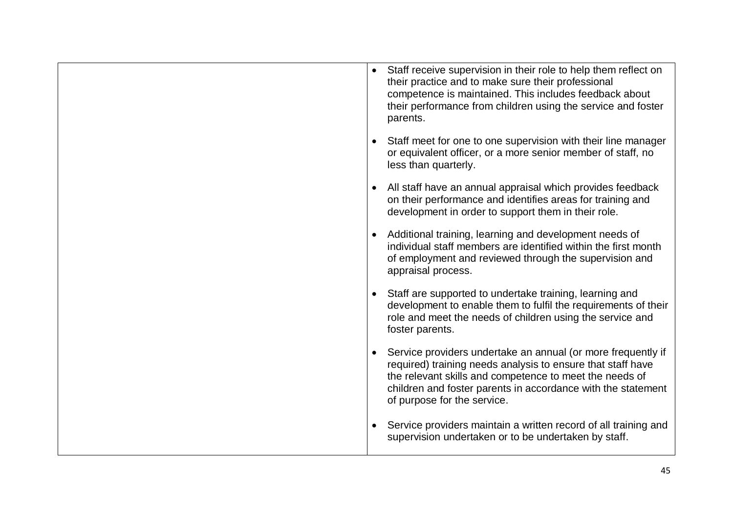|           | Staff receive supervision in their role to help them reflect on<br>their practice and to make sure their professional<br>competence is maintained. This includes feedback about<br>their performance from children using the service and foster<br>parents.                           |
|-----------|---------------------------------------------------------------------------------------------------------------------------------------------------------------------------------------------------------------------------------------------------------------------------------------|
| $\bullet$ | Staff meet for one to one supervision with their line manager<br>or equivalent officer, or a more senior member of staff, no<br>less than quarterly.                                                                                                                                  |
| $\bullet$ | All staff have an annual appraisal which provides feedback<br>on their performance and identifies areas for training and<br>development in order to support them in their role.                                                                                                       |
| $\bullet$ | Additional training, learning and development needs of<br>individual staff members are identified within the first month<br>of employment and reviewed through the supervision and<br>appraisal process.                                                                              |
| $\bullet$ | Staff are supported to undertake training, learning and<br>development to enable them to fulfil the requirements of their<br>role and meet the needs of children using the service and<br>foster parents.                                                                             |
| $\bullet$ | Service providers undertake an annual (or more frequently if<br>required) training needs analysis to ensure that staff have<br>the relevant skills and competence to meet the needs of<br>children and foster parents in accordance with the statement<br>of purpose for the service. |
| $\bullet$ | Service providers maintain a written record of all training and<br>supervision undertaken or to be undertaken by staff.                                                                                                                                                               |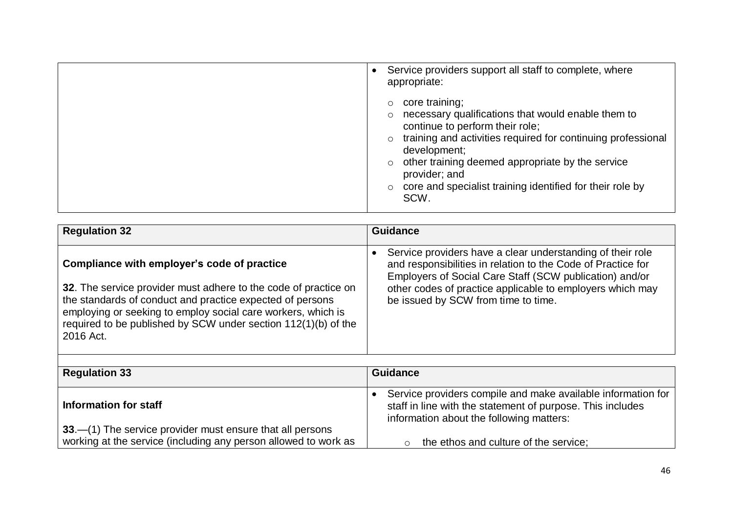| Service providers support all staff to complete, where<br>appropriate:                                                                                                                                                                                                                                                                       |
|----------------------------------------------------------------------------------------------------------------------------------------------------------------------------------------------------------------------------------------------------------------------------------------------------------------------------------------------|
| core training;<br>necessary qualifications that would enable them to<br>continue to perform their role;<br>training and activities required for continuing professional<br>development;<br>other training deemed appropriate by the service<br>$\circ$<br>provider; and<br>core and specialist training identified for their role by<br>SCW. |

| <b>Regulation 32</b>                                                                                                                                                                                                                                                        | <b>Guidance</b>                                                                                                                                                                       |
|-----------------------------------------------------------------------------------------------------------------------------------------------------------------------------------------------------------------------------------------------------------------------------|---------------------------------------------------------------------------------------------------------------------------------------------------------------------------------------|
| Compliance with employer's code of practice                                                                                                                                                                                                                                 | Service providers have a clear understanding of their role<br>and responsibilities in relation to the Code of Practice for<br>Employers of Social Care Staff (SCW publication) and/or |
| 32. The service provider must adhere to the code of practice on<br>the standards of conduct and practice expected of persons<br>employing or seeking to employ social care workers, which is<br>required to be published by SCW under section 112(1)(b) of the<br>2016 Act. | other codes of practice applicable to employers which may<br>be issued by SCW from time to time.                                                                                      |

| <b>Regulation 33</b>                                            | <b>Guidance</b>                                                                                                                                                        |
|-----------------------------------------------------------------|------------------------------------------------------------------------------------------------------------------------------------------------------------------------|
| Information for staff                                           | Service providers compile and make available information for<br>staff in line with the statement of purpose. This includes<br>information about the following matters: |
| 33.—(1) The service provider must ensure that all persons       |                                                                                                                                                                        |
| working at the service (including any person allowed to work as | the ethos and culture of the service;<br>$\circ$                                                                                                                       |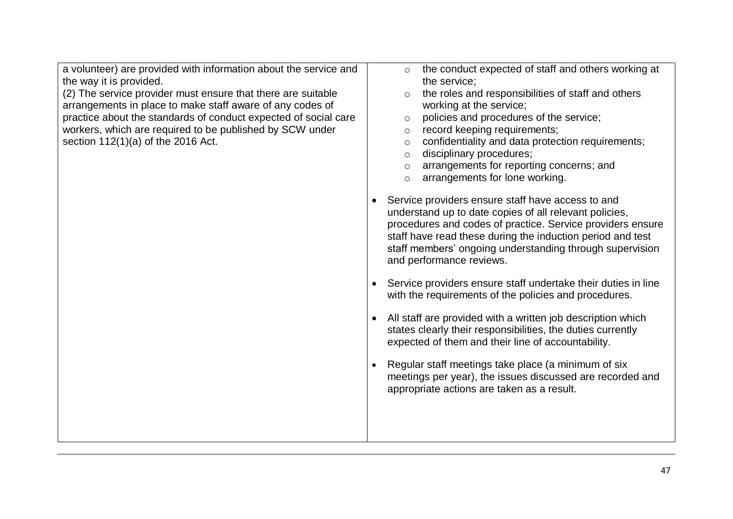a volunteer) are provided with information about the service and the way it is provided.

(2) The service provider must ensure that there are suitable arrangements in place to make staff aware of any codes of practice about the standards of conduct expected of social care workers, which are required to be published by SCW under section 112(1)(a) of the 2016 Act.

- o the conduct expected of staff and others working at the service;
- $\circ$  the roles and responsibilities of staff and others working at the service;
- o policies and procedures of the service;
- o record keeping requirements;
- $\circ$  confidentiality and data protection requirements;
- o disciplinary procedures;
- o arrangements for reporting concerns; and
- o arrangements for lone working.
- Service providers ensure staff have access to and understand up to date copies of all relevant policies, procedures and codes of practice. Service providers ensure staff have read these during the induction period and test staff members' ongoing understanding through supervision and performance reviews.
- Service providers ensure staff undertake their duties in line with the requirements of the policies and procedures.
- All staff are provided with a written job description which states clearly their responsibilities, the duties currently expected of them and their line of accountability.
- Regular staff meetings take place (a minimum of six meetings per year), the issues discussed are recorded and appropriate actions are taken as a result.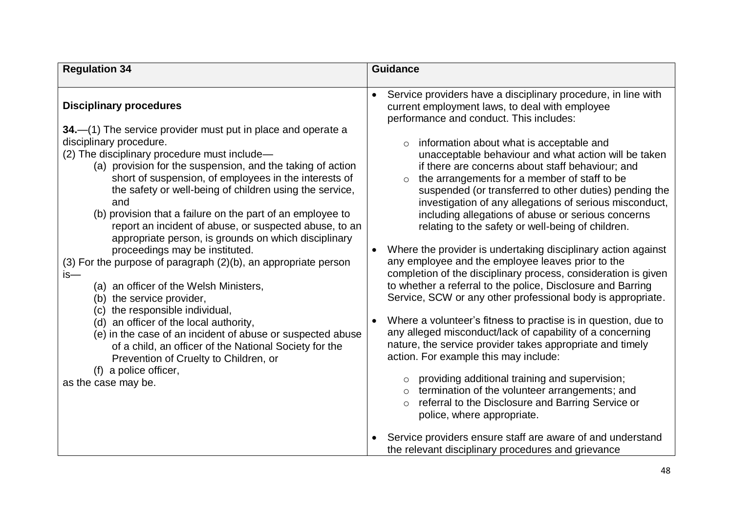| <b>Regulation 34</b>                                                                                                                                                                                                                                                                                                                                                                                                                                                                                                                               | <b>Guidance</b>                                                                                                                                                                                                                                                                                                                                                                                                                                                                                                                                                                                                                       |
|----------------------------------------------------------------------------------------------------------------------------------------------------------------------------------------------------------------------------------------------------------------------------------------------------------------------------------------------------------------------------------------------------------------------------------------------------------------------------------------------------------------------------------------------------|---------------------------------------------------------------------------------------------------------------------------------------------------------------------------------------------------------------------------------------------------------------------------------------------------------------------------------------------------------------------------------------------------------------------------------------------------------------------------------------------------------------------------------------------------------------------------------------------------------------------------------------|
|                                                                                                                                                                                                                                                                                                                                                                                                                                                                                                                                                    |                                                                                                                                                                                                                                                                                                                                                                                                                                                                                                                                                                                                                                       |
| <b>Disciplinary procedures</b><br>34.—(1) The service provider must put in place and operate a<br>disciplinary procedure.<br>(2) The disciplinary procedure must include-<br>(a) provision for the suspension, and the taking of action<br>short of suspension, of employees in the interests of<br>the safety or well-being of children using the service,<br>and<br>(b) provision that a failure on the part of an employee to<br>report an incident of abuse, or suspected abuse, to an<br>appropriate person, is grounds on which disciplinary | Service providers have a disciplinary procedure, in line with<br>$\bullet$<br>current employment laws, to deal with employee<br>performance and conduct. This includes:<br>information about what is acceptable and<br>$\circ$<br>unacceptable behaviour and what action will be taken<br>if there are concerns about staff behaviour; and<br>the arrangements for a member of staff to be<br>$\circ$<br>suspended (or transferred to other duties) pending the<br>investigation of any allegations of serious misconduct,<br>including allegations of abuse or serious concerns<br>relating to the safety or well-being of children. |
| proceedings may be instituted.<br>(3) For the purpose of paragraph (2)(b), an appropriate person<br>is—<br>(a) an officer of the Welsh Ministers,<br>(b) the service provider,                                                                                                                                                                                                                                                                                                                                                                     | Where the provider is undertaking disciplinary action against<br>$\bullet$<br>any employee and the employee leaves prior to the<br>completion of the disciplinary process, consideration is given<br>to whether a referral to the police, Disclosure and Barring<br>Service, SCW or any other professional body is appropriate.                                                                                                                                                                                                                                                                                                       |
| (c) the responsible individual,<br>(d) an officer of the local authority,<br>(e) in the case of an incident of abuse or suspected abuse<br>of a child, an officer of the National Society for the<br>Prevention of Cruelty to Children, or<br>(f) a police officer,<br>as the case may be.                                                                                                                                                                                                                                                         | Where a volunteer's fitness to practise is in question, due to<br>$\bullet$<br>any alleged misconduct/lack of capability of a concerning<br>nature, the service provider takes appropriate and timely<br>action. For example this may include:<br>providing additional training and supervision;<br>$\circ$<br>termination of the volunteer arrangements; and<br>referral to the Disclosure and Barring Service or<br>$\circ$<br>police, where appropriate.                                                                                                                                                                           |
|                                                                                                                                                                                                                                                                                                                                                                                                                                                                                                                                                    | Service providers ensure staff are aware of and understand<br>the relevant disciplinary procedures and grievance                                                                                                                                                                                                                                                                                                                                                                                                                                                                                                                      |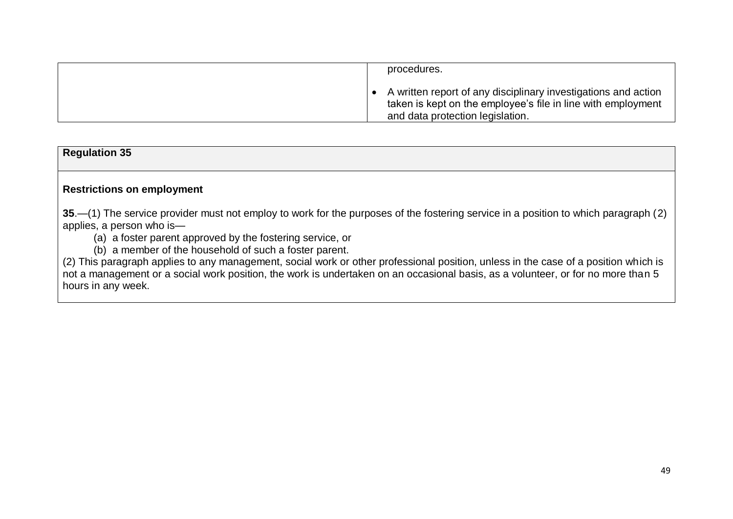|  | procedures.                                                                                                                                                        |
|--|--------------------------------------------------------------------------------------------------------------------------------------------------------------------|
|  | A written report of any disciplinary investigations and action<br>taken is kept on the employee's file in line with employment<br>and data protection legislation. |

#### **Regulation 35**

#### **Restrictions on employment**

**35**.—(1) The service provider must not employ to work for the purposes of the fostering service in a position to which paragraph (2) applies, a person who is—

(a) a foster parent approved by the fostering service, or

(b) a member of the household of such a foster parent.

(2) This paragraph applies to any management, social work or other professional position, unless in the case of a position which is not a management or a social work position, the work is undertaken on an occasional basis, as a volunteer, or for no more than 5 hours in any week.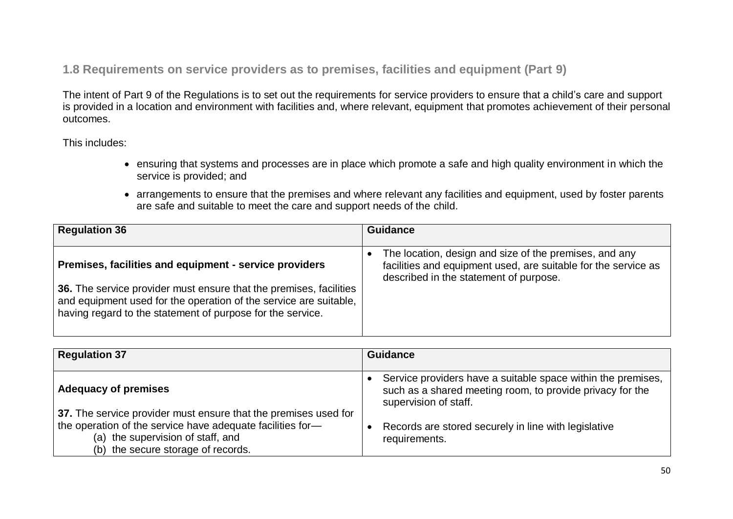**1.8 Requirements on service providers as to premises, facilities and equipment (Part 9)**

The intent of Part 9 of the Regulations is to set out the requirements for service providers to ensure that a child's care and support is provided in a location and environment with facilities and, where relevant, equipment that promotes achievement of their personal outcomes.

This includes:

- ensuring that systems and processes are in place which promote a safe and high quality environment in which the service is provided; and
- arrangements to ensure that the premises and where relevant any facilities and equipment, used by foster parents are safe and suitable to meet the care and support needs of the child.

| <b>Regulation 36</b>                                                                                                                                                                                                                                            | <b>Guidance</b>                                                                                                                                                    |
|-----------------------------------------------------------------------------------------------------------------------------------------------------------------------------------------------------------------------------------------------------------------|--------------------------------------------------------------------------------------------------------------------------------------------------------------------|
| Premises, facilities and equipment - service providers<br>36. The service provider must ensure that the premises, facilities<br>and equipment used for the operation of the service are suitable,<br>having regard to the statement of purpose for the service. | The location, design and size of the premises, and any<br>facilities and equipment used, are suitable for the service as<br>described in the statement of purpose. |

| <b>Regulation 37</b>                                                                                                                                                                                     | <b>Guidance</b>                                                                                                                                    |
|----------------------------------------------------------------------------------------------------------------------------------------------------------------------------------------------------------|----------------------------------------------------------------------------------------------------------------------------------------------------|
| <b>Adequacy of premises</b>                                                                                                                                                                              | Service providers have a suitable space within the premises,<br>such as a shared meeting room, to provide privacy for the<br>supervision of staff. |
| 37. The service provider must ensure that the premises used for<br>the operation of the service have adequate facilities for-<br>(a) the supervision of staff, and<br>(b) the secure storage of records. | Records are stored securely in line with legislative<br>requirements.                                                                              |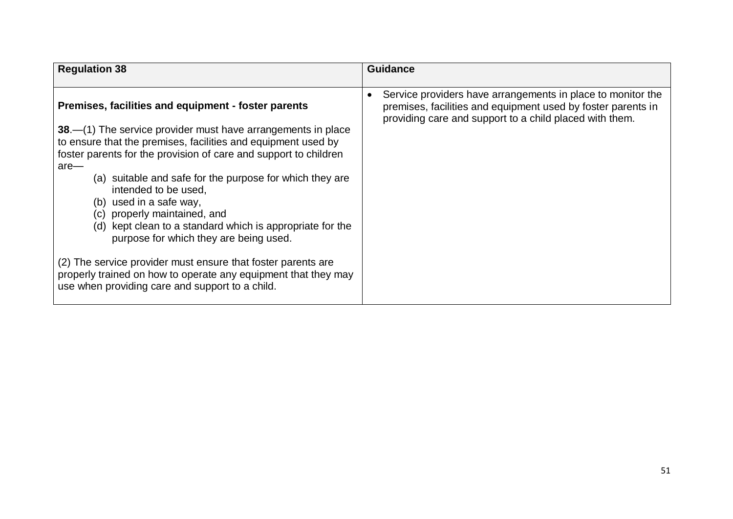| <b>Regulation 38</b>                                                                                                                                                                                                                                                                                                                                                                                                                                                                                                                                                                                                                                                                                          | <b>Guidance</b>                                                                                                                                                                                     |
|---------------------------------------------------------------------------------------------------------------------------------------------------------------------------------------------------------------------------------------------------------------------------------------------------------------------------------------------------------------------------------------------------------------------------------------------------------------------------------------------------------------------------------------------------------------------------------------------------------------------------------------------------------------------------------------------------------------|-----------------------------------------------------------------------------------------------------------------------------------------------------------------------------------------------------|
| Premises, facilities and equipment - foster parents<br>38.—(1) The service provider must have arrangements in place<br>to ensure that the premises, facilities and equipment used by<br>foster parents for the provision of care and support to children<br>$are-$<br>(a) suitable and safe for the purpose for which they are<br>intended to be used,<br>(b) used in a safe way,<br>(c) properly maintained, and<br>(d) kept clean to a standard which is appropriate for the<br>purpose for which they are being used.<br>(2) The service provider must ensure that foster parents are<br>properly trained on how to operate any equipment that they may<br>use when providing care and support to a child. | Service providers have arrangements in place to monitor the<br>$\bullet$<br>premises, facilities and equipment used by foster parents in<br>providing care and support to a child placed with them. |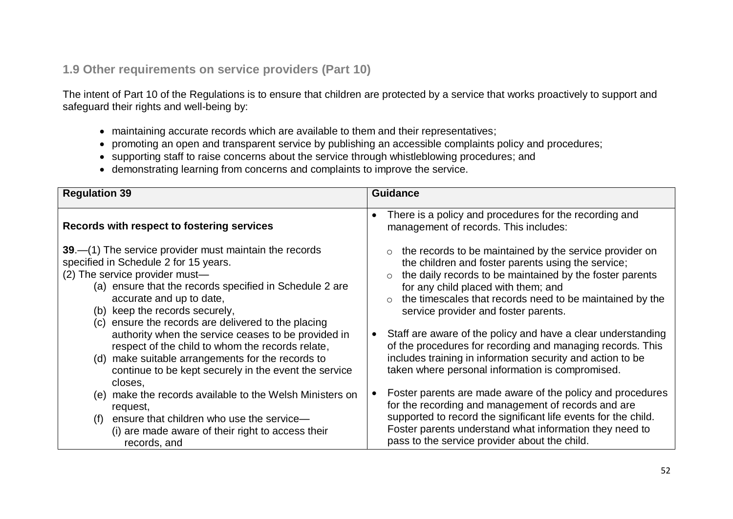### **1.9 Other requirements on service providers (Part 10)**

The intent of Part 10 of the Regulations is to ensure that children are protected by a service that works proactively to support and safeguard their rights and well-being by:

- maintaining accurate records which are available to them and their representatives;
- promoting an open and transparent service by publishing an accessible complaints policy and procedures;
- supporting staff to raise concerns about the service through whistleblowing procedures; and
- demonstrating learning from concerns and complaints to improve the service.

| <b>Regulation 39</b>                                                                                                                                                                                                                                                                                               | <b>Guidance</b>                                                                                                                                                                                                                                                                                                      |
|--------------------------------------------------------------------------------------------------------------------------------------------------------------------------------------------------------------------------------------------------------------------------------------------------------------------|----------------------------------------------------------------------------------------------------------------------------------------------------------------------------------------------------------------------------------------------------------------------------------------------------------------------|
| Records with respect to fostering services                                                                                                                                                                                                                                                                         | There is a policy and procedures for the recording and<br>$\bullet$<br>management of records. This includes:                                                                                                                                                                                                         |
| 39 – (1) The service provider must maintain the records<br>specified in Schedule 2 for 15 years.<br>(2) The service provider must-<br>(a) ensure that the records specified in Schedule 2 are<br>accurate and up to date,<br>(b) keep the records securely,<br>(c) ensure the records are delivered to the placing | the records to be maintained by the service provider on<br>the children and foster parents using the service;<br>the daily records to be maintained by the foster parents<br>for any child placed with them; and<br>the timescales that records need to be maintained by the<br>service provider and foster parents. |
| authority when the service ceases to be provided in<br>respect of the child to whom the records relate,<br>make suitable arrangements for the records to<br>(d)<br>continue to be kept securely in the event the service<br>closes,                                                                                | • Staff are aware of the policy and have a clear understanding<br>of the procedures for recording and managing records. This<br>includes training in information security and action to be<br>taken where personal information is compromised.                                                                       |
| make the records available to the Welsh Ministers on<br>(e)<br>request,                                                                                                                                                                                                                                            | Foster parents are made aware of the policy and procedures<br>for the recording and management of records and are                                                                                                                                                                                                    |
| ensure that children who use the service-<br>(f)<br>(i) are made aware of their right to access their<br>records, and                                                                                                                                                                                              | supported to record the significant life events for the child.<br>Foster parents understand what information they need to<br>pass to the service provider about the child.                                                                                                                                           |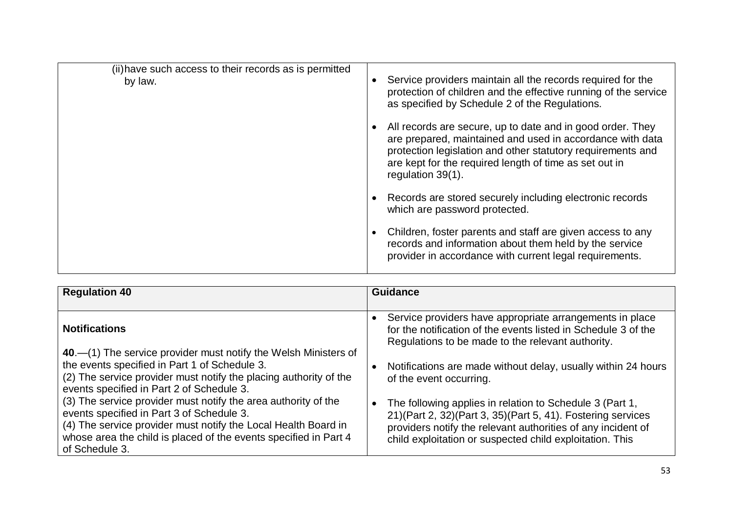| (ii) have such access to their records as is permitted<br>by law. | Service providers maintain all the records required for the<br>protection of children and the effective running of the service<br>as specified by Schedule 2 of the Regulations.                                                                                      |
|-------------------------------------------------------------------|-----------------------------------------------------------------------------------------------------------------------------------------------------------------------------------------------------------------------------------------------------------------------|
|                                                                   | All records are secure, up to date and in good order. They<br>are prepared, maintained and used in accordance with data<br>protection legislation and other statutory requirements and<br>are kept for the required length of time as set out in<br>regulation 39(1). |
|                                                                   | Records are stored securely including electronic records<br>which are password protected.                                                                                                                                                                             |
|                                                                   | Children, foster parents and staff are given access to any<br>records and information about them held by the service<br>provider in accordance with current legal requirements.                                                                                       |

| <b>Regulation 40</b>                                                                                                                                                                                                                                                | <b>Guidance</b>                                                                                                                                                                                                                                                     |
|---------------------------------------------------------------------------------------------------------------------------------------------------------------------------------------------------------------------------------------------------------------------|---------------------------------------------------------------------------------------------------------------------------------------------------------------------------------------------------------------------------------------------------------------------|
| <b>Notifications</b>                                                                                                                                                                                                                                                | Service providers have appropriate arrangements in place<br>for the notification of the events listed in Schedule 3 of the<br>Regulations to be made to the relevant authority.                                                                                     |
| 40.—(1) The service provider must notify the Welsh Ministers of<br>the events specified in Part 1 of Schedule 3.<br>(2) The service provider must notify the placing authority of the<br>events specified in Part 2 of Schedule 3.                                  | Notifications are made without delay, usually within 24 hours<br>of the event occurring.                                                                                                                                                                            |
| (3) The service provider must notify the area authority of the<br>events specified in Part 3 of Schedule 3.<br>(4) The service provider must notify the Local Health Board in<br>whose area the child is placed of the events specified in Part 4<br>of Schedule 3. | The following applies in relation to Schedule 3 (Part 1,<br>$\bullet$<br>21) (Part 2, 32) (Part 3, 35) (Part 5, 41). Fostering services<br>providers notify the relevant authorities of any incident of<br>child exploitation or suspected child exploitation. This |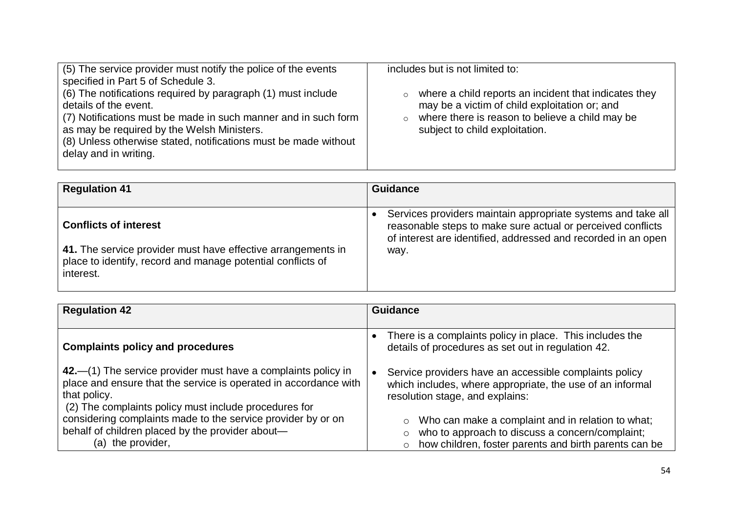| (5) The service provider must notify the police of the events<br>specified in Part 5 of Schedule 3.<br>(6) The notifications required by paragraph (1) must include<br>details of the event.<br>(7) Notifications must be made in such manner and in such form<br>as may be required by the Welsh Ministers.<br>(8) Unless otherwise stated, notifications must be made without<br>delay and in writing. | includes but is not limited to:<br>where a child reports an incident that indicates they<br>$\circ$<br>may be a victim of child exploitation or; and<br>where there is reason to believe a child may be<br>$\circ$<br>subject to child exploitation. |
|----------------------------------------------------------------------------------------------------------------------------------------------------------------------------------------------------------------------------------------------------------------------------------------------------------------------------------------------------------------------------------------------------------|------------------------------------------------------------------------------------------------------------------------------------------------------------------------------------------------------------------------------------------------------|
|----------------------------------------------------------------------------------------------------------------------------------------------------------------------------------------------------------------------------------------------------------------------------------------------------------------------------------------------------------------------------------------------------------|------------------------------------------------------------------------------------------------------------------------------------------------------------------------------------------------------------------------------------------------------|

| <b>Regulation 41</b>                                         | <b>Guidance</b>                                               |
|--------------------------------------------------------------|---------------------------------------------------------------|
| <b>Conflicts of interest</b>                                 | Services providers maintain appropriate systems and take all  |
| 41. The service provider must have effective arrangements in | reasonable steps to make sure actual or perceived conflicts   |
| place to identify, record and manage potential conflicts of  | of interest are identified, addressed and recorded in an open |
| interest.                                                    | way.                                                          |

| <b>Regulation 42</b>                                             | <b>Guidance</b>                                                                                                             |
|------------------------------------------------------------------|-----------------------------------------------------------------------------------------------------------------------------|
| <b>Complaints policy and procedures</b>                          | There is a complaints policy in place. This includes the<br>$\bullet$<br>details of procedures as set out in regulation 42. |
| 42.—(1) The service provider must have a complaints policy in    | Service providers have an accessible complaints policy                                                                      |
| place and ensure that the service is operated in accordance with | $\bullet$                                                                                                                   |
| that policy.                                                     | which includes, where appropriate, the use of an informal                                                                   |
| (2) The complaints policy must include procedures for            | resolution stage, and explains:                                                                                             |
| considering complaints made to the service provider by or on     | Who can make a complaint and in relation to what;                                                                           |
| behalf of children placed by the provider about-                 | who to approach to discuss a concern/complaint;                                                                             |
| (a) the provider,                                                | how children, foster parents and birth parents can be                                                                       |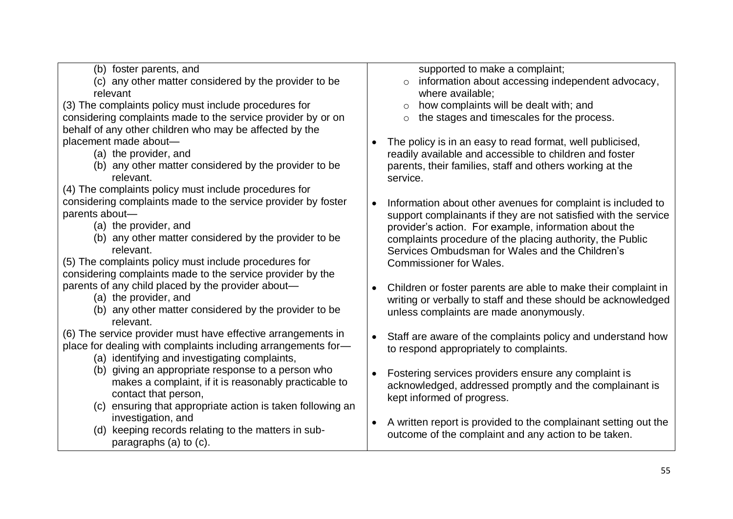- (b) foster parents, and
- (c) any other matter considered by the provider to be relevant

(3) The complaints policy must include procedures for considering complaints made to the service provider by or on behalf of any other children who may be affected by the placement made about—

- (a) the provider, and
- (b) any other matter considered by the provider to be relevant.

(4) The complaints policy must include procedures for considering complaints made to the service provider by foster parents about—

- (a) the provider, and
- (b) any other matter considered by the provider to be relevant.

(5) The complaints policy must include procedures for considering complaints made to the service provider by the parents of any child placed by the provider about—

- (a) the provider, and
- (b) any other matter considered by the provider to be relevant.

(6) The service provider must have effective arrangements in place for dealing with complaints including arrangements for—

- (a) identifying and investigating complaints,
- (b) giving an appropriate response to a person who makes a complaint, if it is reasonably practicable to contact that person,
- (c) ensuring that appropriate action is taken following an investigation, and

(d) keeping records relating to the matters in subparagraphs (a) to (c).

supported to make a complaint:

- o information about accessing independent advocacy, where available;
- $\circ$  how complaints will be dealt with; and
- o the stages and timescales for the process.
- The policy is in an easy to read format, well publicised, readily available and accessible to children and foster parents, their families, staff and others working at the service.
- Information about other avenues for complaint is included to support complainants if they are not satisfied with the service provider's action. For example, information about the complaints procedure of the placing authority, the Public Services Ombudsman for Wales and the Children's Commissioner for Wales.
- Children or foster parents are able to make their complaint in writing or verbally to staff and these should be acknowledged unless complaints are made anonymously.
- Staff are aware of the complaints policy and understand how to respond appropriately to complaints.
- Fostering services providers ensure any complaint is acknowledged, addressed promptly and the complainant is kept informed of progress.
- A written report is provided to the complainant setting out the outcome of the complaint and any action to be taken.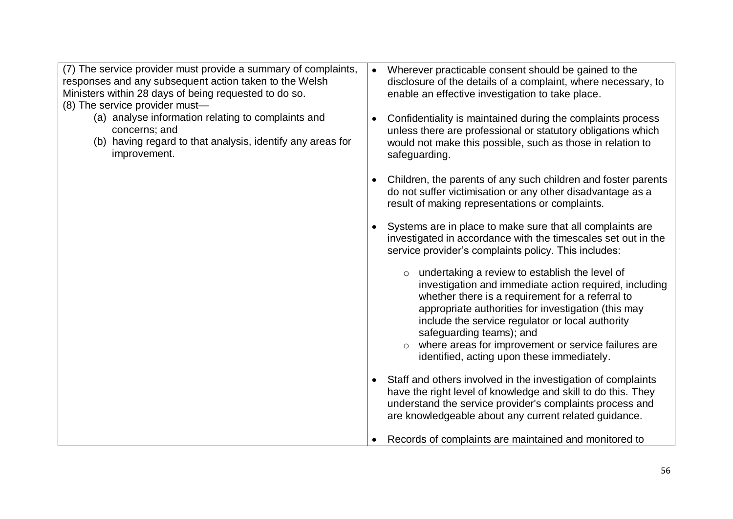| (7) The service provider must provide a summary of complaints,<br>responses and any subsequent action taken to the Welsh<br>Ministers within 28 days of being requested to do so.<br>(8) The service provider must- | Wherever practicable consent should be gained to the<br>disclosure of the details of a complaint, where necessary, to<br>enable an effective investigation to take place.                                                                                                                                                                                                                                        |
|---------------------------------------------------------------------------------------------------------------------------------------------------------------------------------------------------------------------|------------------------------------------------------------------------------------------------------------------------------------------------------------------------------------------------------------------------------------------------------------------------------------------------------------------------------------------------------------------------------------------------------------------|
| (a) analyse information relating to complaints and<br>concerns; and<br>(b) having regard to that analysis, identify any areas for<br>improvement.                                                                   | Confidentiality is maintained during the complaints process<br>$\bullet$<br>unless there are professional or statutory obligations which<br>would not make this possible, such as those in relation to<br>safeguarding.                                                                                                                                                                                          |
|                                                                                                                                                                                                                     | Children, the parents of any such children and foster parents<br>do not suffer victimisation or any other disadvantage as a<br>result of making representations or complaints.                                                                                                                                                                                                                                   |
|                                                                                                                                                                                                                     | Systems are in place to make sure that all complaints are<br>investigated in accordance with the timescales set out in the<br>service provider's complaints policy. This includes:                                                                                                                                                                                                                               |
|                                                                                                                                                                                                                     | $\circ$ undertaking a review to establish the level of<br>investigation and immediate action required, including<br>whether there is a requirement for a referral to<br>appropriate authorities for investigation (this may<br>include the service regulator or local authority<br>safeguarding teams); and<br>where areas for improvement or service failures are<br>identified, acting upon these immediately. |
|                                                                                                                                                                                                                     | Staff and others involved in the investigation of complaints<br>have the right level of knowledge and skill to do this. They                                                                                                                                                                                                                                                                                     |
|                                                                                                                                                                                                                     | understand the service provider's complaints process and<br>are knowledgeable about any current related guidance.                                                                                                                                                                                                                                                                                                |
|                                                                                                                                                                                                                     | Records of complaints are maintained and monitored to                                                                                                                                                                                                                                                                                                                                                            |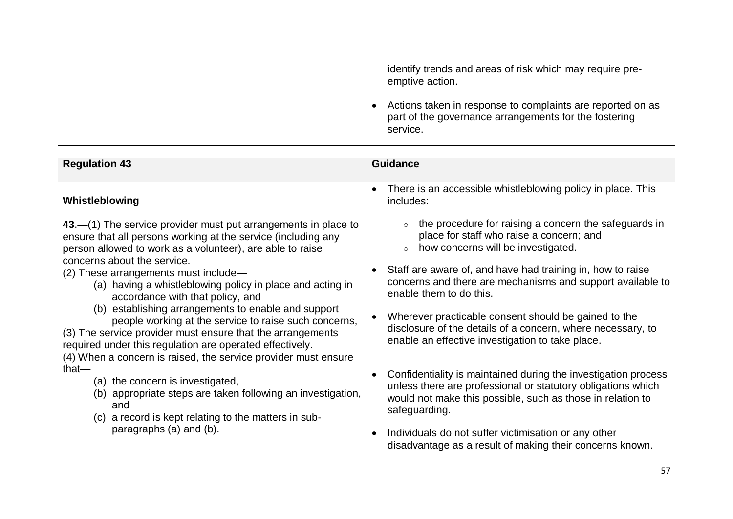|          | identify trends and areas of risk which may require pre-<br>emptive action.                                         |
|----------|---------------------------------------------------------------------------------------------------------------------|
| service. | Actions taken in response to complaints are reported on as<br>part of the governance arrangements for the fostering |

| <b>Regulation 43</b>                                                                                                                                                                                                                                                                                     | <b>Guidance</b>                                                                                                                                                                                               |
|----------------------------------------------------------------------------------------------------------------------------------------------------------------------------------------------------------------------------------------------------------------------------------------------------------|---------------------------------------------------------------------------------------------------------------------------------------------------------------------------------------------------------------|
| Whistleblowing                                                                                                                                                                                                                                                                                           | There is an accessible whistleblowing policy in place. This<br>$\bullet$<br>includes:                                                                                                                         |
| $43$ –(1) The service provider must put arrangements in place to<br>ensure that all persons working at the service (including any<br>person allowed to work as a volunteer), are able to raise<br>concerns about the service.                                                                            | the procedure for raising a concern the safeguards in<br>place for staff who raise a concern; and<br>how concerns will be investigated.<br>$\circ$                                                            |
| (2) These arrangements must include—<br>(a) having a whistleblowing policy in place and acting in<br>accordance with that policy, and                                                                                                                                                                    | Staff are aware of, and have had training in, how to raise<br>concerns and there are mechanisms and support available to<br>enable them to do this.                                                           |
| (b) establishing arrangements to enable and support<br>people working at the service to raise such concerns,<br>(3) The service provider must ensure that the arrangements<br>required under this regulation are operated effectively.<br>(4) When a concern is raised, the service provider must ensure | Wherever practicable consent should be gained to the<br>disclosure of the details of a concern, where necessary, to<br>enable an effective investigation to take place.                                       |
| that $-$<br>(a) the concern is investigated,<br>(b) appropriate steps are taken following an investigation,<br>and<br>(c) a record is kept relating to the matters in sub-                                                                                                                               | Confidentiality is maintained during the investigation process<br>unless there are professional or statutory obligations which<br>would not make this possible, such as those in relation to<br>safeguarding. |
| paragraphs (a) and (b).                                                                                                                                                                                                                                                                                  | Individuals do not suffer victimisation or any other<br>disadvantage as a result of making their concerns known.                                                                                              |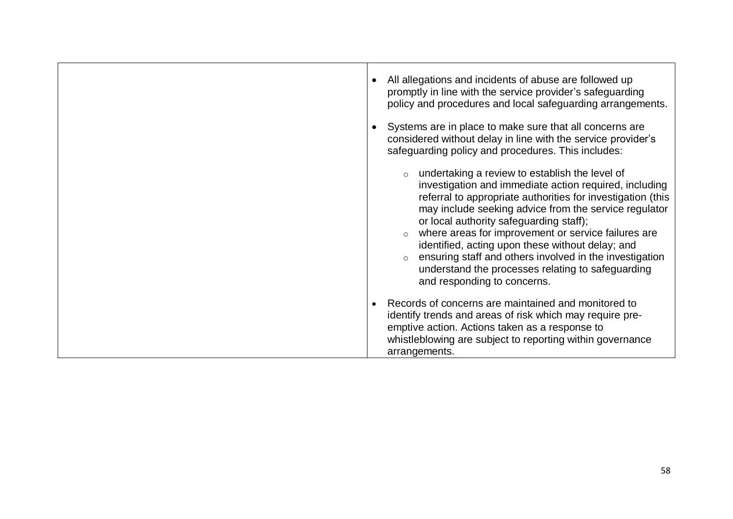|  | All allegations and incidents of abuse are followed up<br>promptly in line with the service provider's safeguarding<br>policy and procedures and local safeguarding arrangements.                                                                                                                                                                                                                                                                                                                                                     |
|--|---------------------------------------------------------------------------------------------------------------------------------------------------------------------------------------------------------------------------------------------------------------------------------------------------------------------------------------------------------------------------------------------------------------------------------------------------------------------------------------------------------------------------------------|
|  | Systems are in place to make sure that all concerns are<br>considered without delay in line with the service provider's<br>safeguarding policy and procedures. This includes:                                                                                                                                                                                                                                                                                                                                                         |
|  | undertaking a review to establish the level of<br>investigation and immediate action required, including<br>referral to appropriate authorities for investigation (this<br>may include seeking advice from the service regulator<br>or local authority safeguarding staff);<br>where areas for improvement or service failures are<br>identified, acting upon these without delay; and<br>ensuring staff and others involved in the investigation<br>understand the processes relating to safeguarding<br>and responding to concerns. |
|  | Records of concerns are maintained and monitored to<br>identify trends and areas of risk which may require pre-<br>emptive action. Actions taken as a response to<br>whistleblowing are subject to reporting within governance<br>arrangements.                                                                                                                                                                                                                                                                                       |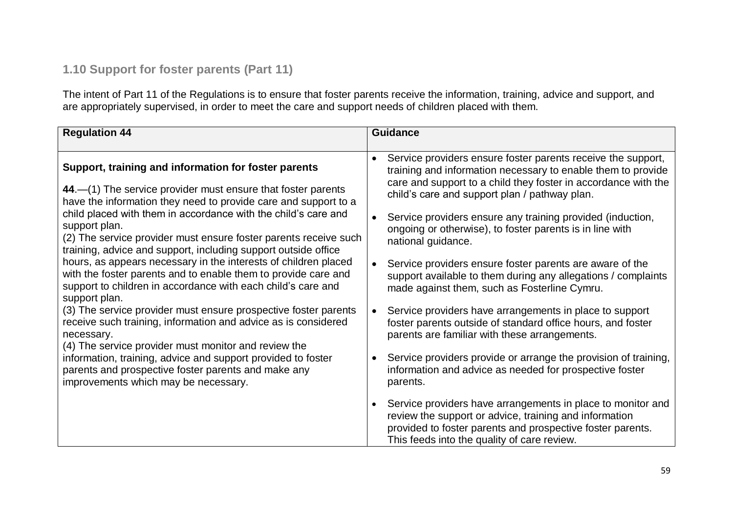# **1.10 Support for foster parents (Part 11)**

The intent of Part 11 of the Regulations is to ensure that foster parents receive the information, training, advice and support, and are appropriately supervised, in order to meet the care and support needs of children placed with them.

| <b>Regulation 44</b>                                                                                                                                                                                                                                                                                                                                                                                                                                                                                                                                                                                                                                                                                                                                                                                                                                                                                                                                                                                               | <b>Guidance</b>                                                                                                                                                                                                                                                                                                                                                                                                                                                                                                                                                                                                                                                                                                                                                                                                                                                                                                                          |
|--------------------------------------------------------------------------------------------------------------------------------------------------------------------------------------------------------------------------------------------------------------------------------------------------------------------------------------------------------------------------------------------------------------------------------------------------------------------------------------------------------------------------------------------------------------------------------------------------------------------------------------------------------------------------------------------------------------------------------------------------------------------------------------------------------------------------------------------------------------------------------------------------------------------------------------------------------------------------------------------------------------------|------------------------------------------------------------------------------------------------------------------------------------------------------------------------------------------------------------------------------------------------------------------------------------------------------------------------------------------------------------------------------------------------------------------------------------------------------------------------------------------------------------------------------------------------------------------------------------------------------------------------------------------------------------------------------------------------------------------------------------------------------------------------------------------------------------------------------------------------------------------------------------------------------------------------------------------|
| Support, training and information for foster parents<br>44. - (1) The service provider must ensure that foster parents<br>have the information they need to provide care and support to a<br>child placed with them in accordance with the child's care and<br>support plan.<br>(2) The service provider must ensure foster parents receive such<br>training, advice and support, including support outside office<br>hours, as appears necessary in the interests of children placed<br>with the foster parents and to enable them to provide care and<br>support to children in accordance with each child's care and<br>support plan.<br>(3) The service provider must ensure prospective foster parents<br>receive such training, information and advice as is considered<br>necessary.<br>(4) The service provider must monitor and review the<br>information, training, advice and support provided to foster<br>parents and prospective foster parents and make any<br>improvements which may be necessary. | Service providers ensure foster parents receive the support,<br>training and information necessary to enable them to provide<br>care and support to a child they foster in accordance with the<br>child's care and support plan / pathway plan.<br>Service providers ensure any training provided (induction,<br>$\bullet$<br>ongoing or otherwise), to foster parents is in line with<br>national guidance.<br>Service providers ensure foster parents are aware of the<br>$\bullet$<br>support available to them during any allegations / complaints<br>made against them, such as Fosterline Cymru.<br>Service providers have arrangements in place to support<br>$\bullet$<br>foster parents outside of standard office hours, and foster<br>parents are familiar with these arrangements.<br>Service providers provide or arrange the provision of training,<br>information and advice as needed for prospective foster<br>parents. |
|                                                                                                                                                                                                                                                                                                                                                                                                                                                                                                                                                                                                                                                                                                                                                                                                                                                                                                                                                                                                                    | Service providers have arrangements in place to monitor and<br>review the support or advice, training and information<br>provided to foster parents and prospective foster parents.<br>This feeds into the quality of care review.                                                                                                                                                                                                                                                                                                                                                                                                                                                                                                                                                                                                                                                                                                       |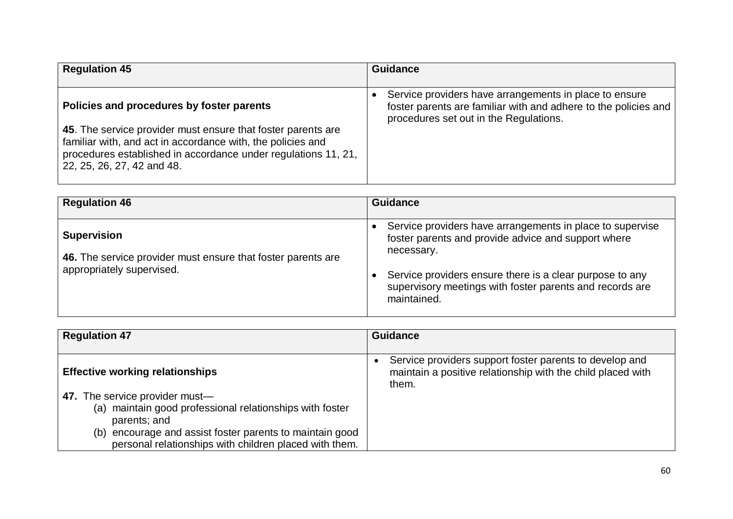| <b>Regulation 45</b>                                                                                                                                                                                                        | <b>Guidance</b>                                                                                                                                                     |
|-----------------------------------------------------------------------------------------------------------------------------------------------------------------------------------------------------------------------------|---------------------------------------------------------------------------------------------------------------------------------------------------------------------|
| Policies and procedures by foster parents                                                                                                                                                                                   | Service providers have arrangements in place to ensure<br>foster parents are familiar with and adhere to the policies and<br>procedures set out in the Regulations. |
| 45. The service provider must ensure that foster parents are<br>familiar with, and act in accordance with, the policies and<br>procedures established in accordance under regulations 11, 21,<br>22, 25, 26, 27, 42 and 48. |                                                                                                                                                                     |

| <b>Regulation 46</b>                                                                                            | <b>Guidance</b>                                                                                                                                                                                                                                                                                 |
|-----------------------------------------------------------------------------------------------------------------|-------------------------------------------------------------------------------------------------------------------------------------------------------------------------------------------------------------------------------------------------------------------------------------------------|
| <b>Supervision</b><br>46. The service provider must ensure that foster parents are<br>appropriately supervised. | Service providers have arrangements in place to supervise<br>$\bullet$<br>foster parents and provide advice and support where<br>necessary.<br>Service providers ensure there is a clear purpose to any<br>$\bullet$<br>supervisory meetings with foster parents and records are<br>maintained. |

| <b>Regulation 47</b>                                                                                                  | <b>Guidance</b>                                                                                                                              |
|-----------------------------------------------------------------------------------------------------------------------|----------------------------------------------------------------------------------------------------------------------------------------------|
|                                                                                                                       |                                                                                                                                              |
| <b>Effective working relationships</b>                                                                                | Service providers support foster parents to develop and<br>$\bullet$<br>maintain a positive relationship with the child placed with<br>them. |
| 47. The service provider must-<br>(a) maintain good professional relationships with foster<br>parents; and            |                                                                                                                                              |
| encourage and assist foster parents to maintain good<br>(b)<br>personal relationships with children placed with them. |                                                                                                                                              |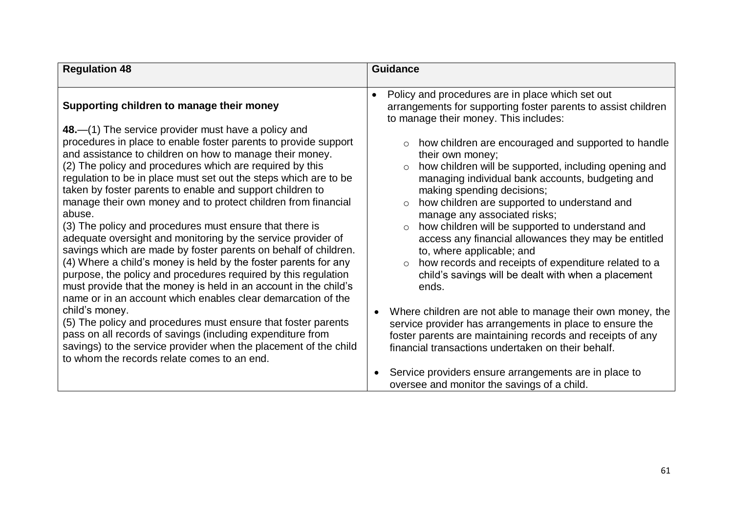| <b>Regulation 48</b>                                                                                                                                                                                                                                                                                                                                                                                                                                                                                                                                                                                                                                                                                                                                                                                                                                                                                                                                                                                                                                                                                                                                                                                                                               | <b>Guidance</b>                                                                                                                                                                                                                                                                                                                                                                                                                                                                                                                                                                                                                                                                                                                                                                                                                                                                                                                                                                                                                            |
|----------------------------------------------------------------------------------------------------------------------------------------------------------------------------------------------------------------------------------------------------------------------------------------------------------------------------------------------------------------------------------------------------------------------------------------------------------------------------------------------------------------------------------------------------------------------------------------------------------------------------------------------------------------------------------------------------------------------------------------------------------------------------------------------------------------------------------------------------------------------------------------------------------------------------------------------------------------------------------------------------------------------------------------------------------------------------------------------------------------------------------------------------------------------------------------------------------------------------------------------------|--------------------------------------------------------------------------------------------------------------------------------------------------------------------------------------------------------------------------------------------------------------------------------------------------------------------------------------------------------------------------------------------------------------------------------------------------------------------------------------------------------------------------------------------------------------------------------------------------------------------------------------------------------------------------------------------------------------------------------------------------------------------------------------------------------------------------------------------------------------------------------------------------------------------------------------------------------------------------------------------------------------------------------------------|
| Supporting children to manage their money<br>48.—(1) The service provider must have a policy and<br>procedures in place to enable foster parents to provide support<br>and assistance to children on how to manage their money.<br>(2) The policy and procedures which are required by this<br>regulation to be in place must set out the steps which are to be<br>taken by foster parents to enable and support children to<br>manage their own money and to protect children from financial<br>abuse.<br>(3) The policy and procedures must ensure that there is<br>adequate oversight and monitoring by the service provider of<br>savings which are made by foster parents on behalf of children.<br>(4) Where a child's money is held by the foster parents for any<br>purpose, the policy and procedures required by this regulation<br>must provide that the money is held in an account in the child's<br>name or in an account which enables clear demarcation of the<br>child's money.<br>(5) The policy and procedures must ensure that foster parents<br>pass on all records of savings (including expenditure from<br>savings) to the service provider when the placement of the child<br>to whom the records relate comes to an end. | Policy and procedures are in place which set out<br>$\bullet$<br>arrangements for supporting foster parents to assist children<br>to manage their money. This includes:<br>how children are encouraged and supported to handle<br>their own money;<br>how children will be supported, including opening and<br>$\circ$<br>managing individual bank accounts, budgeting and<br>making spending decisions;<br>how children are supported to understand and<br>manage any associated risks;<br>how children will be supported to understand and<br>$\circ$<br>access any financial allowances they may be entitled<br>to, where applicable; and<br>how records and receipts of expenditure related to a<br>$\circ$<br>child's savings will be dealt with when a placement<br>ends.<br>Where children are not able to manage their own money, the<br>$\bullet$<br>service provider has arrangements in place to ensure the<br>foster parents are maintaining records and receipts of any<br>financial transactions undertaken on their behalf. |
|                                                                                                                                                                                                                                                                                                                                                                                                                                                                                                                                                                                                                                                                                                                                                                                                                                                                                                                                                                                                                                                                                                                                                                                                                                                    | Service providers ensure arrangements are in place to<br>oversee and monitor the savings of a child.                                                                                                                                                                                                                                                                                                                                                                                                                                                                                                                                                                                                                                                                                                                                                                                                                                                                                                                                       |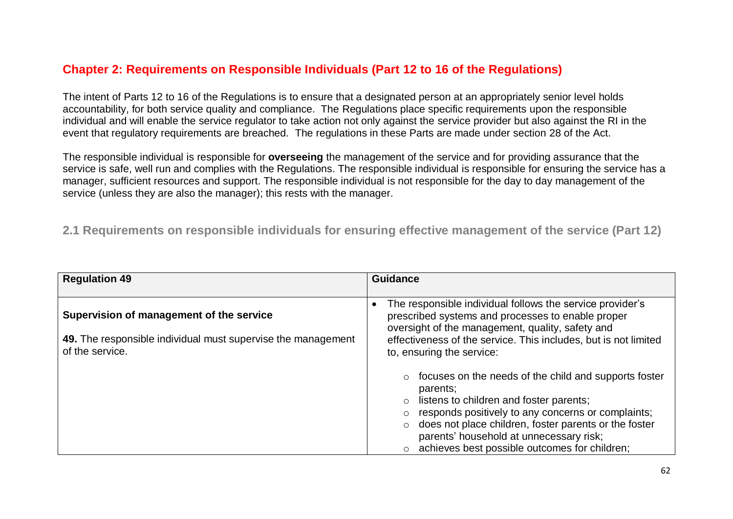## **Chapter 2: Requirements on Responsible Individuals (Part 12 to 16 of the Regulations)**

The intent of Parts 12 to 16 of the Regulations is to ensure that a designated person at an appropriately senior level holds accountability, for both service quality and compliance. The Regulations place specific requirements upon the responsible individual and will enable the service regulator to take action not only against the service provider but also against the RI in the event that regulatory requirements are breached. The regulations in these Parts are made under section 28 of the Act.

The responsible individual is responsible for **overseeing** the management of the service and for providing assurance that the service is safe, well run and complies with the Regulations. The responsible individual is responsible for ensuring the service has a manager, sufficient resources and support. The responsible individual is not responsible for the day to day management of the service (unless they are also the manager); this rests with the manager.

**2.1 Requirements on responsible individuals for ensuring effective management of the service (Part 12)**

| <b>Regulation 49</b>                                                                                                        | <b>Guidance</b>                                                                                                                                                                                                                                                                                                                               |
|-----------------------------------------------------------------------------------------------------------------------------|-----------------------------------------------------------------------------------------------------------------------------------------------------------------------------------------------------------------------------------------------------------------------------------------------------------------------------------------------|
| Supervision of management of the service<br>49. The responsible individual must supervise the management<br>of the service. | The responsible individual follows the service provider's<br>prescribed systems and processes to enable proper<br>oversight of the management, quality, safety and<br>effectiveness of the service. This includes, but is not limited<br>to, ensuring the service:                                                                            |
|                                                                                                                             | focuses on the needs of the child and supports foster<br>parents;<br>listens to children and foster parents;<br>responds positively to any concerns or complaints;<br>does not place children, foster parents or the foster<br>$\circ$<br>parents' household at unnecessary risk;<br>achieves best possible outcomes for children;<br>$\circ$ |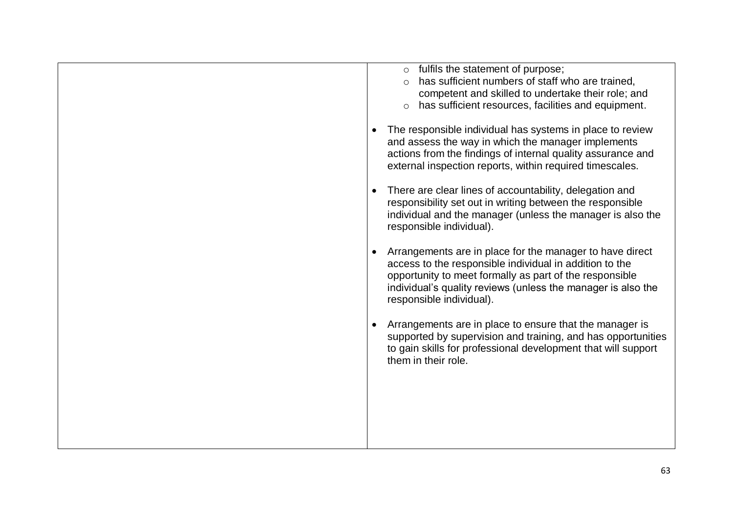| $\circ$ fulfils the statement of purpose;<br>has sufficient numbers of staff who are trained,<br>competent and skilled to undertake their role; and<br>has sufficient resources, facilities and equipment.                                                                 |
|----------------------------------------------------------------------------------------------------------------------------------------------------------------------------------------------------------------------------------------------------------------------------|
| The responsible individual has systems in place to review<br>and assess the way in which the manager implements<br>actions from the findings of internal quality assurance and<br>external inspection reports, within required timescales.                                 |
| There are clear lines of accountability, delegation and<br>responsibility set out in writing between the responsible<br>individual and the manager (unless the manager is also the<br>responsible individual).                                                             |
| Arrangements are in place for the manager to have direct<br>access to the responsible individual in addition to the<br>opportunity to meet formally as part of the responsible<br>individual's quality reviews (unless the manager is also the<br>responsible individual). |
| Arrangements are in place to ensure that the manager is<br>supported by supervision and training, and has opportunities<br>to gain skills for professional development that will support<br>them in their role.                                                            |
|                                                                                                                                                                                                                                                                            |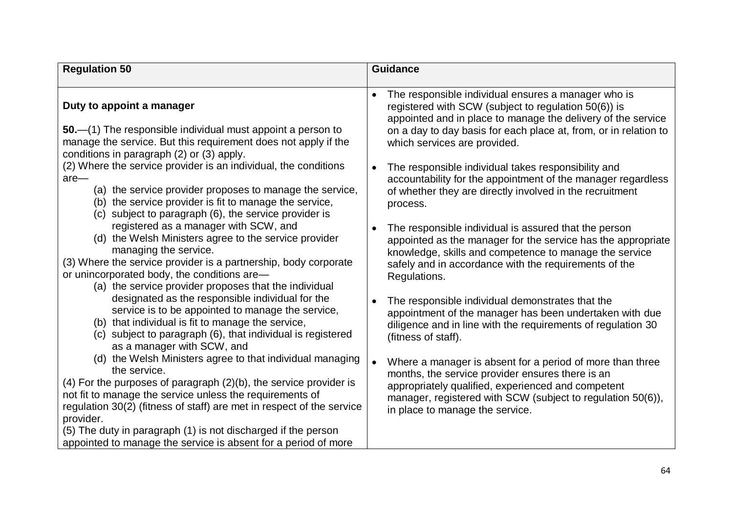| <b>Regulation 50</b>                                                                                                                                                                                                                                                                                                                                              | <b>Guidance</b>                                                                                                                                                                                                                                                                    |
|-------------------------------------------------------------------------------------------------------------------------------------------------------------------------------------------------------------------------------------------------------------------------------------------------------------------------------------------------------------------|------------------------------------------------------------------------------------------------------------------------------------------------------------------------------------------------------------------------------------------------------------------------------------|
|                                                                                                                                                                                                                                                                                                                                                                   |                                                                                                                                                                                                                                                                                    |
| Duty to appoint a manager                                                                                                                                                                                                                                                                                                                                         | The responsible individual ensures a manager who is<br>registered with SCW (subject to regulation 50(6)) is<br>appointed and in place to manage the delivery of the service                                                                                                        |
| 50.—(1) The responsible individual must appoint a person to<br>manage the service. But this requirement does not apply if the<br>conditions in paragraph (2) or (3) apply.                                                                                                                                                                                        | on a day to day basis for each place at, from, or in relation to<br>which services are provided.                                                                                                                                                                                   |
| (2) Where the service provider is an individual, the conditions<br>$are-$<br>(a) the service provider proposes to manage the service,<br>(b) the service provider is fit to manage the service,<br>(c) subject to paragraph (6), the service provider is                                                                                                          | The responsible individual takes responsibility and<br>$\bullet$<br>accountability for the appointment of the manager regardless<br>of whether they are directly involved in the recruitment<br>process.                                                                           |
| registered as a manager with SCW, and<br>(d) the Welsh Ministers agree to the service provider<br>managing the service.<br>(3) Where the service provider is a partnership, body corporate<br>or unincorporated body, the conditions are-<br>(a) the service provider proposes that the individual                                                                | The responsible individual is assured that the person<br>$\bullet$<br>appointed as the manager for the service has the appropriate<br>knowledge, skills and competence to manage the service<br>safely and in accordance with the requirements of the<br>Regulations.              |
| designated as the responsible individual for the<br>service is to be appointed to manage the service,<br>(b) that individual is fit to manage the service,<br>(c) subject to paragraph (6), that individual is registered<br>as a manager with SCW, and                                                                                                           | The responsible individual demonstrates that the<br>appointment of the manager has been undertaken with due<br>diligence and in line with the requirements of regulation 30<br>(fitness of staff).                                                                                 |
| (d) the Welsh Ministers agree to that individual managing<br>the service.<br>(4) For the purposes of paragraph (2)(b), the service provider is<br>not fit to manage the service unless the requirements of<br>regulation 30(2) (fitness of staff) are met in respect of the service<br>provider.<br>(5) The duty in paragraph (1) is not discharged if the person | $\bullet$<br>Where a manager is absent for a period of more than three<br>months, the service provider ensures there is an<br>appropriately qualified, experienced and competent<br>manager, registered with SCW (subject to regulation 50(6)),<br>in place to manage the service. |
| appointed to manage the service is absent for a period of more                                                                                                                                                                                                                                                                                                    |                                                                                                                                                                                                                                                                                    |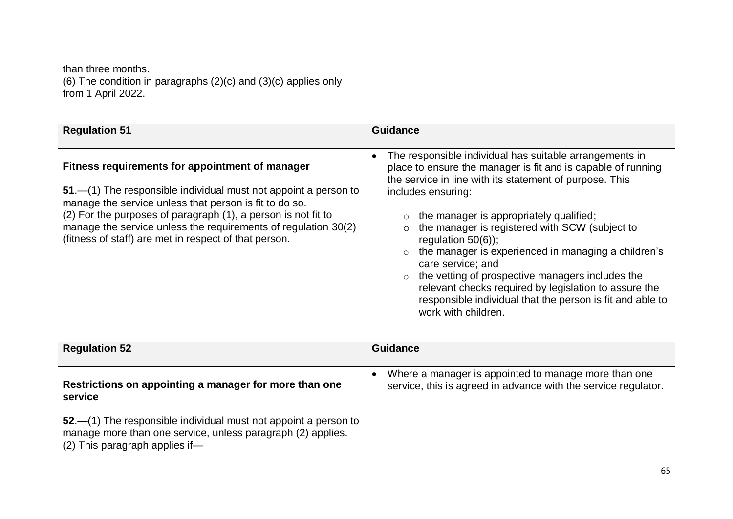| than three months.<br>$(6)$ The condition in paragraphs (2)(c) and (3)(c) applies only<br>from 1 April 2022. |  |
|--------------------------------------------------------------------------------------------------------------|--|
|                                                                                                              |  |

| <b>Regulation 51</b>                                                                                                                                                                                                                                                                                                                                                     | <b>Guidance</b>                                                                                                                                                                                                                                                                                                                                                                                                                                                                                                                                                                                                       |
|--------------------------------------------------------------------------------------------------------------------------------------------------------------------------------------------------------------------------------------------------------------------------------------------------------------------------------------------------------------------------|-----------------------------------------------------------------------------------------------------------------------------------------------------------------------------------------------------------------------------------------------------------------------------------------------------------------------------------------------------------------------------------------------------------------------------------------------------------------------------------------------------------------------------------------------------------------------------------------------------------------------|
| Fitness requirements for appointment of manager<br>51.—(1) The responsible individual must not appoint a person to<br>manage the service unless that person is fit to do so.<br>(2) For the purposes of paragraph (1), a person is not fit to<br>manage the service unless the requirements of regulation 30(2)<br>(fitness of staff) are met in respect of that person. | The responsible individual has suitable arrangements in<br>place to ensure the manager is fit and is capable of running<br>the service in line with its statement of purpose. This<br>includes ensuring:<br>the manager is appropriately qualified;<br>the manager is registered with SCW (subject to<br>regulation $50(6)$ ;<br>the manager is experienced in managing a children's<br>$\circ$<br>care service; and<br>the vetting of prospective managers includes the<br>relevant checks required by legislation to assure the<br>responsible individual that the person is fit and able to<br>work with children. |

| <b>Regulation 52</b>                                                                                                                                                | <b>Guidance</b>                                                                                                        |
|---------------------------------------------------------------------------------------------------------------------------------------------------------------------|------------------------------------------------------------------------------------------------------------------------|
| Restrictions on appointing a manager for more than one<br>service                                                                                                   | Where a manager is appointed to manage more than one<br>service, this is agreed in advance with the service regulator. |
| 52.—(1) The responsible individual must not appoint a person to<br>manage more than one service, unless paragraph (2) applies.<br>$(2)$ This paragraph applies if — |                                                                                                                        |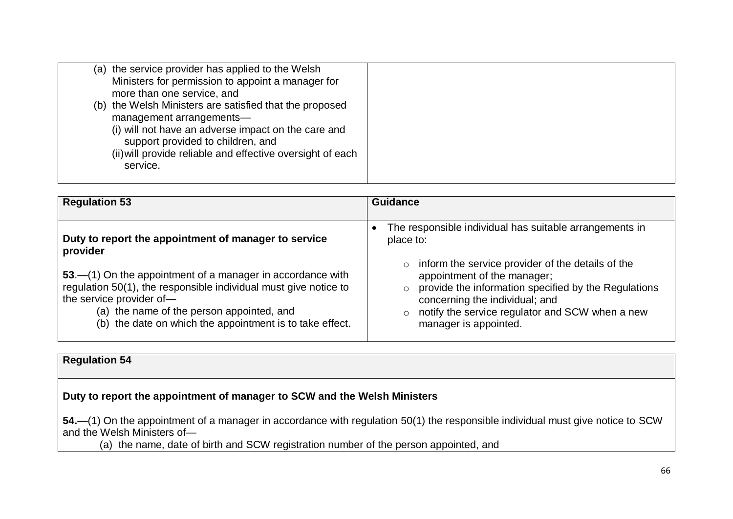| (a) the service provider has applied to the Welsh<br>Ministers for permission to appoint a manager for<br>more than one service, and<br>(b) the Welsh Ministers are satisfied that the proposed<br>management arrangements-<br>(i) will not have an adverse impact on the care and |  |
|------------------------------------------------------------------------------------------------------------------------------------------------------------------------------------------------------------------------------------------------------------------------------------|--|
| support provided to children, and<br>(ii) will provide reliable and effective oversight of each<br>service.                                                                                                                                                                        |  |

| <b>Regulation 53</b>                                                                                                                                                                                                                                                                                                                    | <b>Guidance</b>                                                                                                                                                                                                                                                                                                                                                 |
|-----------------------------------------------------------------------------------------------------------------------------------------------------------------------------------------------------------------------------------------------------------------------------------------------------------------------------------------|-----------------------------------------------------------------------------------------------------------------------------------------------------------------------------------------------------------------------------------------------------------------------------------------------------------------------------------------------------------------|
| Duty to report the appointment of manager to service<br>provider<br>53.—(1) On the appointment of a manager in accordance with<br>regulation 50(1), the responsible individual must give notice to<br>the service provider of-<br>(a) the name of the person appointed, and<br>(b) the date on which the appointment is to take effect. | The responsible individual has suitable arrangements in<br>place to:<br>inform the service provider of the details of the<br>$\circ$<br>appointment of the manager;<br>provide the information specified by the Regulations<br>$\circ$<br>concerning the individual; and<br>notify the service regulator and SCW when a new<br>$\circ$<br>manager is appointed. |

**Regulation 54**

## **Duty to report the appointment of manager to SCW and the Welsh Ministers**

**54.**—(1) On the appointment of a manager in accordance with regulation 50(1) the responsible individual must give notice to SCW and the Welsh Ministers of-

(a) the name, date of birth and SCW registration number of the person appointed, and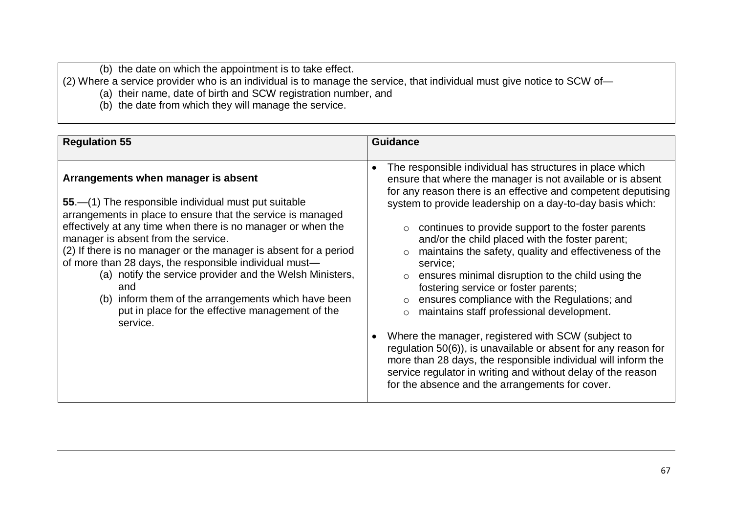(b) the date on which the appointment is to take effect.

(2) Where a service provider who is an individual is to manage the service, that individual must give notice to SCW of—

- (a) their name, date of birth and SCW registration number, and
- (b) the date from which they will manage the service.

| <b>Regulation 55</b>                                                                                                                                                                                                                                                                                                                                                                                                                                                                                                                                                                      | <b>Guidance</b>                                                                                                                                                                                                                                                                                                                                                                                                                                                                                                                                                                                                                                                                                                                                                                                                                                                                                                                                                    |
|-------------------------------------------------------------------------------------------------------------------------------------------------------------------------------------------------------------------------------------------------------------------------------------------------------------------------------------------------------------------------------------------------------------------------------------------------------------------------------------------------------------------------------------------------------------------------------------------|--------------------------------------------------------------------------------------------------------------------------------------------------------------------------------------------------------------------------------------------------------------------------------------------------------------------------------------------------------------------------------------------------------------------------------------------------------------------------------------------------------------------------------------------------------------------------------------------------------------------------------------------------------------------------------------------------------------------------------------------------------------------------------------------------------------------------------------------------------------------------------------------------------------------------------------------------------------------|
| Arrangements when manager is absent<br>55.—(1) The responsible individual must put suitable<br>arrangements in place to ensure that the service is managed<br>effectively at any time when there is no manager or when the<br>manager is absent from the service.<br>(2) If there is no manager or the manager is absent for a period<br>of more than 28 days, the responsible individual must-<br>(a) notify the service provider and the Welsh Ministers,<br>and<br>(b) inform them of the arrangements which have been<br>put in place for the effective management of the<br>service. | The responsible individual has structures in place which<br>$\bullet$<br>ensure that where the manager is not available or is absent<br>for any reason there is an effective and competent deputising<br>system to provide leadership on a day-to-day basis which:<br>continues to provide support to the foster parents<br>and/or the child placed with the foster parent;<br>maintains the safety, quality and effectiveness of the<br>$\circ$<br>service;<br>ensures minimal disruption to the child using the<br>fostering service or foster parents;<br>ensures compliance with the Regulations; and<br>maintains staff professional development.<br>Where the manager, registered with SCW (subject to<br>regulation 50(6)), is unavailable or absent for any reason for<br>more than 28 days, the responsible individual will inform the<br>service regulator in writing and without delay of the reason<br>for the absence and the arrangements for cover. |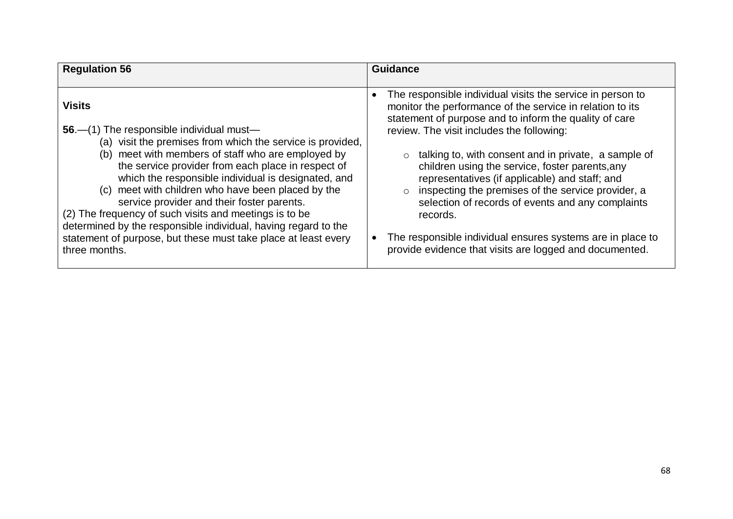| <b>Regulation 56</b>                                                                                                                                                                                                                                                                                                                                                                                                                                                                                                                                                                                          | <b>Guidance</b>                                                                                                                                                                                                                                                                                                                                                                                                                                                                                                                                                                                                                                          |
|---------------------------------------------------------------------------------------------------------------------------------------------------------------------------------------------------------------------------------------------------------------------------------------------------------------------------------------------------------------------------------------------------------------------------------------------------------------------------------------------------------------------------------------------------------------------------------------------------------------|----------------------------------------------------------------------------------------------------------------------------------------------------------------------------------------------------------------------------------------------------------------------------------------------------------------------------------------------------------------------------------------------------------------------------------------------------------------------------------------------------------------------------------------------------------------------------------------------------------------------------------------------------------|
| <b>Visits</b><br>56.—(1) The responsible individual must—<br>(a) visit the premises from which the service is provided,<br>(b) meet with members of staff who are employed by<br>the service provider from each place in respect of<br>which the responsible individual is designated, and<br>(c) meet with children who have been placed by the<br>service provider and their foster parents.<br>(2) The frequency of such visits and meetings is to be<br>determined by the responsible individual, having regard to the<br>statement of purpose, but these must take place at least every<br>three months. | The responsible individual visits the service in person to<br>$\bullet$<br>monitor the performance of the service in relation to its<br>statement of purpose and to inform the quality of care<br>review. The visit includes the following:<br>talking to, with consent and in private, a sample of<br>children using the service, foster parents, any<br>representatives (if applicable) and staff; and<br>inspecting the premises of the service provider, a<br>selection of records of events and any complaints<br>records.<br>The responsible individual ensures systems are in place to<br>provide evidence that visits are logged and documented. |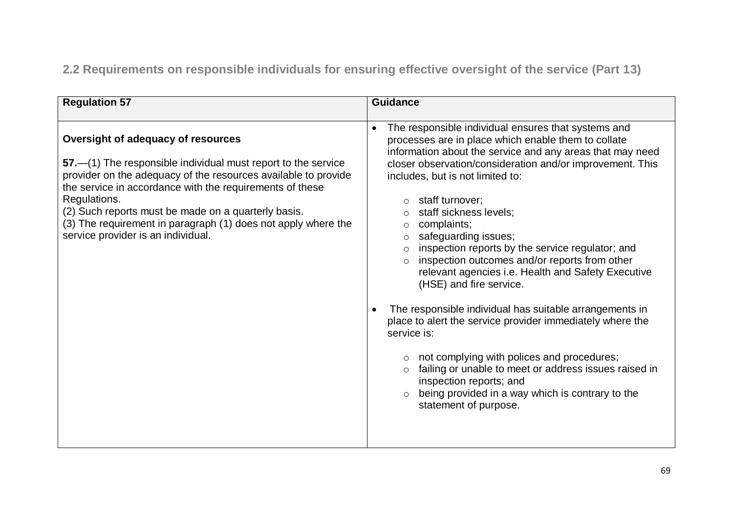**2.2 Requirements on responsible individuals for ensuring effective oversight of the service (Part 13)**

| <b>Regulation 57</b>                                                                                                                                                                                                                                                                                                                                                                                            | <b>Guidance</b>                                                                                                                                                                                                                                                                                                                                                                                                                                                                                                                                                                                                                                                                                                                                                                                                                                                                                                                                                                         |
|-----------------------------------------------------------------------------------------------------------------------------------------------------------------------------------------------------------------------------------------------------------------------------------------------------------------------------------------------------------------------------------------------------------------|-----------------------------------------------------------------------------------------------------------------------------------------------------------------------------------------------------------------------------------------------------------------------------------------------------------------------------------------------------------------------------------------------------------------------------------------------------------------------------------------------------------------------------------------------------------------------------------------------------------------------------------------------------------------------------------------------------------------------------------------------------------------------------------------------------------------------------------------------------------------------------------------------------------------------------------------------------------------------------------------|
| Oversight of adequacy of resources<br>57.—(1) The responsible individual must report to the service<br>provider on the adequacy of the resources available to provide<br>the service in accordance with the requirements of these<br>Regulations.<br>(2) Such reports must be made on a quarterly basis.<br>(3) The requirement in paragraph (1) does not apply where the<br>service provider is an individual. | The responsible individual ensures that systems and<br>processes are in place which enable them to collate<br>information about the service and any areas that may need<br>closer observation/consideration and/or improvement. This<br>includes, but is not limited to:<br>staff turnover;<br>staff sickness levels;<br>$\circ$<br>complaints;<br>$\circ$<br>safeguarding issues;<br>$\circ$<br>inspection reports by the service regulator; and<br>$\circ$<br>inspection outcomes and/or reports from other<br>$\circ$<br>relevant agencies i.e. Health and Safety Executive<br>(HSE) and fire service.<br>The responsible individual has suitable arrangements in<br>$\bullet$<br>place to alert the service provider immediately where the<br>service is:<br>not complying with polices and procedures;<br>failing or unable to meet or address issues raised in<br>$\circ$<br>inspection reports; and<br>being provided in a way which is contrary to the<br>statement of purpose. |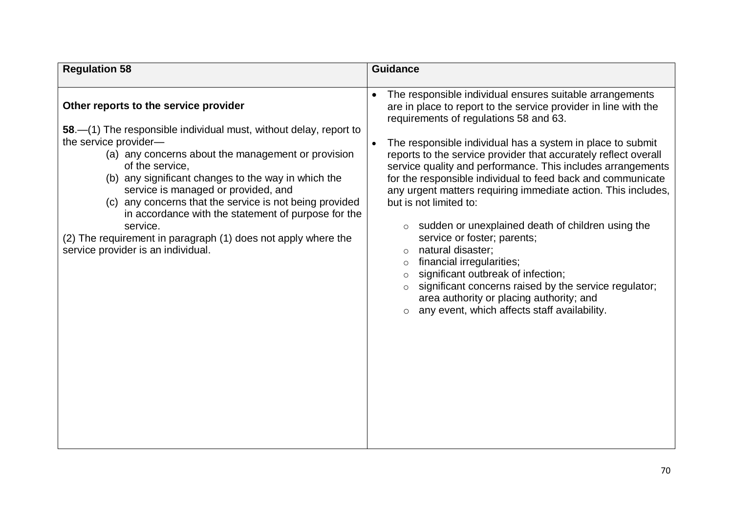| <b>Regulation 58</b>                                                                                                                                                                                                                                                                                                                                                                                                                                                                                                                            | <b>Guidance</b>                                                                                                                                                                                                                                                                                                                                                                                                                                                                                                                                                                                                                                                                                                                                                                                                                                                                                                                        |
|-------------------------------------------------------------------------------------------------------------------------------------------------------------------------------------------------------------------------------------------------------------------------------------------------------------------------------------------------------------------------------------------------------------------------------------------------------------------------------------------------------------------------------------------------|----------------------------------------------------------------------------------------------------------------------------------------------------------------------------------------------------------------------------------------------------------------------------------------------------------------------------------------------------------------------------------------------------------------------------------------------------------------------------------------------------------------------------------------------------------------------------------------------------------------------------------------------------------------------------------------------------------------------------------------------------------------------------------------------------------------------------------------------------------------------------------------------------------------------------------------|
| Other reports to the service provider<br>58.-(1) The responsible individual must, without delay, report to<br>the service provider-<br>(a) any concerns about the management or provision<br>of the service,<br>(b) any significant changes to the way in which the<br>service is managed or provided, and<br>(c) any concerns that the service is not being provided<br>in accordance with the statement of purpose for the<br>service.<br>(2) The requirement in paragraph (1) does not apply where the<br>service provider is an individual. | The responsible individual ensures suitable arrangements<br>$\bullet$<br>are in place to report to the service provider in line with the<br>requirements of regulations 58 and 63.<br>The responsible individual has a system in place to submit<br>$\bullet$<br>reports to the service provider that accurately reflect overall<br>service quality and performance. This includes arrangements<br>for the responsible individual to feed back and communicate<br>any urgent matters requiring immediate action. This includes,<br>but is not limited to:<br>sudden or unexplained death of children using the<br>service or foster; parents;<br>natural disaster;<br>financial irregularities;<br>$\circ$<br>significant outbreak of infection;<br>$\circ$<br>significant concerns raised by the service regulator;<br>$\circ$<br>area authority or placing authority; and<br>any event, which affects staff availability.<br>$\circ$ |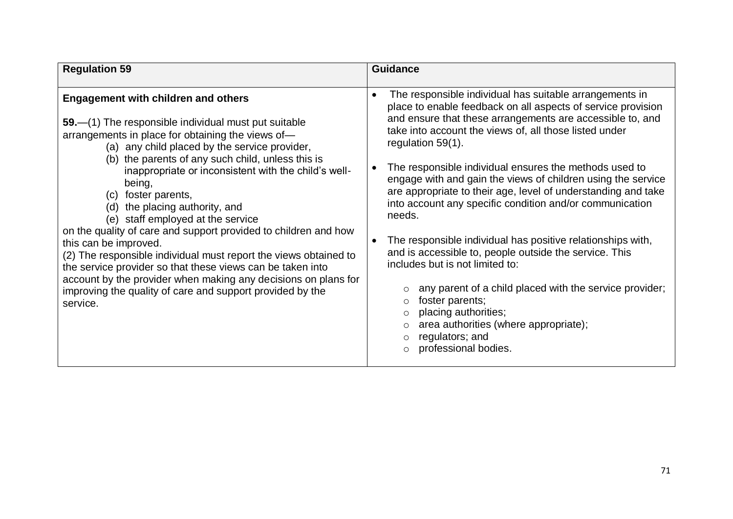| <b>Regulation 59</b>                                                                                                                                                                                                                                                                                                                                                                                                                                                                                                                                                                                                                                                                                                                                                                                         | <b>Guidance</b>                                                                                                                                                                                                                                                                                                                                                                                                                                                                                                                                                                                                                                                                                                                                                                                                                                                                                                                            |
|--------------------------------------------------------------------------------------------------------------------------------------------------------------------------------------------------------------------------------------------------------------------------------------------------------------------------------------------------------------------------------------------------------------------------------------------------------------------------------------------------------------------------------------------------------------------------------------------------------------------------------------------------------------------------------------------------------------------------------------------------------------------------------------------------------------|--------------------------------------------------------------------------------------------------------------------------------------------------------------------------------------------------------------------------------------------------------------------------------------------------------------------------------------------------------------------------------------------------------------------------------------------------------------------------------------------------------------------------------------------------------------------------------------------------------------------------------------------------------------------------------------------------------------------------------------------------------------------------------------------------------------------------------------------------------------------------------------------------------------------------------------------|
| <b>Engagement with children and others</b><br>59.—(1) The responsible individual must put suitable<br>arrangements in place for obtaining the views of-<br>(a) any child placed by the service provider,<br>(b) the parents of any such child, unless this is<br>inappropriate or inconsistent with the child's well-<br>being,<br>foster parents,<br>(C)<br>the placing authority, and<br>(d)<br>(e) staff employed at the service<br>on the quality of care and support provided to children and how<br>this can be improved.<br>(2) The responsible individual must report the views obtained to<br>the service provider so that these views can be taken into<br>account by the provider when making any decisions on plans for<br>improving the quality of care and support provided by the<br>service. | The responsible individual has suitable arrangements in<br>$\bullet$<br>place to enable feedback on all aspects of service provision<br>and ensure that these arrangements are accessible to, and<br>take into account the views of, all those listed under<br>regulation 59(1).<br>The responsible individual ensures the methods used to<br>engage with and gain the views of children using the service<br>are appropriate to their age, level of understanding and take<br>into account any specific condition and/or communication<br>needs.<br>The responsible individual has positive relationships with,<br>$\bullet$<br>and is accessible to, people outside the service. This<br>includes but is not limited to:<br>any parent of a child placed with the service provider;<br>foster parents;<br>$\circ$<br>placing authorities;<br>area authorities (where appropriate);<br>$\circ$<br>regulators; and<br>professional bodies. |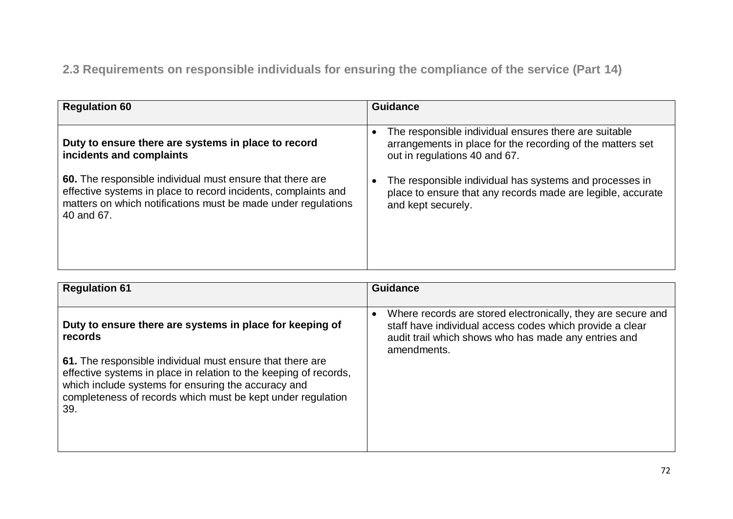**2.3 Requirements on responsible individuals for ensuring the compliance of the service (Part 14)**

| <b>Regulation 60</b>                                                                                                                                                                                       | <b>Guidance</b>                                                                                                                                                   |
|------------------------------------------------------------------------------------------------------------------------------------------------------------------------------------------------------------|-------------------------------------------------------------------------------------------------------------------------------------------------------------------|
| Duty to ensure there are systems in place to record<br>incidents and complaints                                                                                                                            | The responsible individual ensures there are suitable<br>$\bullet$<br>arrangements in place for the recording of the matters set<br>out in regulations 40 and 67. |
| 60. The responsible individual must ensure that there are<br>effective systems in place to record incidents, complaints and<br>matters on which notifications must be made under regulations<br>40 and 67. | The responsible individual has systems and processes in<br>place to ensure that any records made are legible, accurate<br>and kept securely.                      |

| <b>Regulation 61</b>                                                                                                                                                                                                                                                                                                               | <b>Guidance</b>                                                                                                                                                                                              |
|------------------------------------------------------------------------------------------------------------------------------------------------------------------------------------------------------------------------------------------------------------------------------------------------------------------------------------|--------------------------------------------------------------------------------------------------------------------------------------------------------------------------------------------------------------|
| Duty to ensure there are systems in place for keeping of<br>records<br>61. The responsible individual must ensure that there are<br>effective systems in place in relation to the keeping of records,<br>which include systems for ensuring the accuracy and<br>completeness of records which must be kept under regulation<br>39. | Where records are stored electronically, they are secure and<br>$\bullet$<br>staff have individual access codes which provide a clear<br>audit trail which shows who has made any entries and<br>amendments. |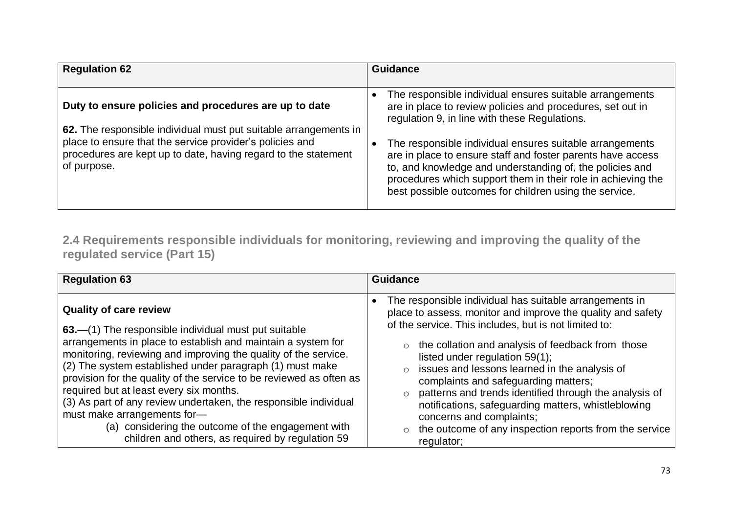| <b>Regulation 62</b>                                                                                                                                                                                          | <b>Guidance</b>                                                                                                                                                                                                                                                                                               |
|---------------------------------------------------------------------------------------------------------------------------------------------------------------------------------------------------------------|---------------------------------------------------------------------------------------------------------------------------------------------------------------------------------------------------------------------------------------------------------------------------------------------------------------|
|                                                                                                                                                                                                               |                                                                                                                                                                                                                                                                                                               |
| Duty to ensure policies and procedures are up to date                                                                                                                                                         | The responsible individual ensures suitable arrangements<br>are in place to review policies and procedures, set out in<br>regulation 9, in line with these Regulations.                                                                                                                                       |
| 62. The responsible individual must put suitable arrangements in<br>place to ensure that the service provider's policies and<br>procedures are kept up to date, having regard to the statement<br>of purpose. | The responsible individual ensures suitable arrangements<br>are in place to ensure staff and foster parents have access<br>to, and knowledge and understanding of, the policies and<br>procedures which support them in their role in achieving the<br>best possible outcomes for children using the service. |

**2.4 Requirements responsible individuals for monitoring, reviewing and improving the quality of the regulated service (Part 15)**

| <b>Regulation 63</b>                                                                                                                                                                                                                                                                                                                                                                                                                                                                                                                                                                                                 | <b>Guidance</b>                                                                                                                                                                                                                                                                                                                                                                                                                                                                                                                                                                                                               |
|----------------------------------------------------------------------------------------------------------------------------------------------------------------------------------------------------------------------------------------------------------------------------------------------------------------------------------------------------------------------------------------------------------------------------------------------------------------------------------------------------------------------------------------------------------------------------------------------------------------------|-------------------------------------------------------------------------------------------------------------------------------------------------------------------------------------------------------------------------------------------------------------------------------------------------------------------------------------------------------------------------------------------------------------------------------------------------------------------------------------------------------------------------------------------------------------------------------------------------------------------------------|
| <b>Quality of care review</b><br>63.—(1) The responsible individual must put suitable<br>arrangements in place to establish and maintain a system for<br>monitoring, reviewing and improving the quality of the service.<br>(2) The system established under paragraph (1) must make<br>provision for the quality of the service to be reviewed as often as<br>required but at least every six months.<br>(3) As part of any review undertaken, the responsible individual<br>must make arrangements for-<br>(a) considering the outcome of the engagement with<br>children and others, as required by regulation 59 | The responsible individual has suitable arrangements in<br>place to assess, monitor and improve the quality and safety<br>of the service. This includes, but is not limited to:<br>$\circ$ the collation and analysis of feedback from those<br>listed under regulation 59(1);<br>issues and lessons learned in the analysis of<br>$\circ$<br>complaints and safeguarding matters;<br>patterns and trends identified through the analysis of<br>$\circ$<br>notifications, safeguarding matters, whistleblowing<br>concerns and complaints;<br>the outcome of any inspection reports from the service<br>$\circ$<br>regulator; |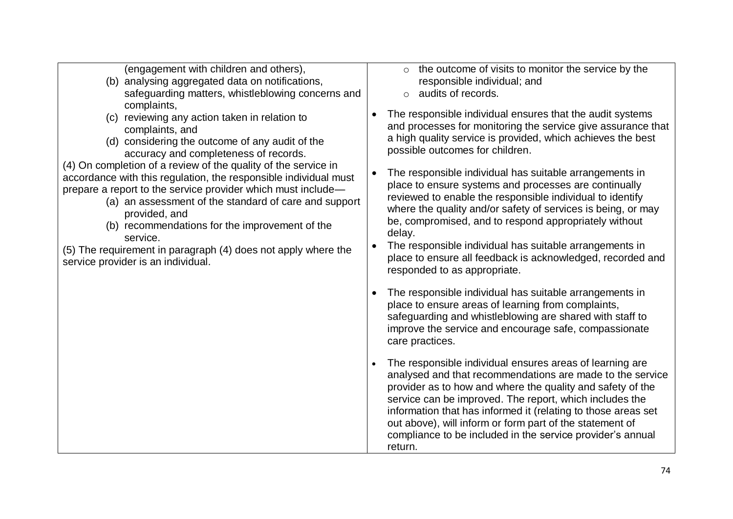| (engagement with children and others), |
|----------------------------------------|

- (b) analysing aggregated data on notifications, safeguarding matters, whistleblowing concerns and complaints,
- (c) reviewing any action taken in relation to complaints, and
- (d) considering the outcome of any audit of the accuracy and completeness of records.
- (4) On completion of a review of the quality of the service in accordance with this regulation, the responsible individual must prepare a report to the service provider which must include—
	- (a) an assessment of the standard of care and support provided, and
	- (b) recommendations for the improvement of the service.
- (5) The requirement in paragraph (4) does not apply where the service provider is an individual.
- $\circ$  the outcome of visits to monitor the service by the responsible individual; and
- o audits of records.
- The responsible individual ensures that the audit systems and processes for monitoring the service give assurance that a high quality service is provided, which achieves the best possible outcomes for children.
- The responsible individual has suitable arrangements in place to ensure systems and processes are continually reviewed to enable the responsible individual to identify where the quality and/or safety of services is being, or may be, compromised, and to respond appropriately without delay.
- The responsible individual has suitable arrangements in place to ensure all feedback is acknowledged, recorded and responded to as appropriate.
- The responsible individual has suitable arrangements in place to ensure areas of learning from complaints, safeguarding and whistleblowing are shared with staff to improve the service and encourage safe, compassionate care practices.
- The responsible individual ensures areas of learning are analysed and that recommendations are made to the service provider as to how and where the quality and safety of the service can be improved. The report, which includes the information that has informed it (relating to those areas set out above), will inform or form part of the statement of compliance to be included in the service provider's annual return.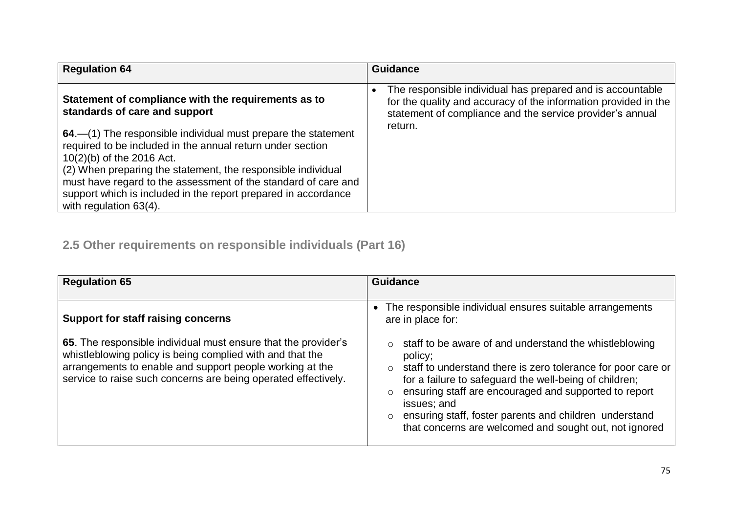| <b>Regulation 64</b>                                                                                                                                                                                                                                                                                                                                                                   | <b>Guidance</b>                                                                                                                                                                            |
|----------------------------------------------------------------------------------------------------------------------------------------------------------------------------------------------------------------------------------------------------------------------------------------------------------------------------------------------------------------------------------------|--------------------------------------------------------------------------------------------------------------------------------------------------------------------------------------------|
| Statement of compliance with the requirements as to<br>standards of care and support                                                                                                                                                                                                                                                                                                   | The responsible individual has prepared and is accountable<br>for the quality and accuracy of the information provided in the<br>statement of compliance and the service provider's annual |
| 64.—(1) The responsible individual must prepare the statement<br>required to be included in the annual return under section<br>10(2)(b) of the 2016 Act.<br>(2) When preparing the statement, the responsible individual<br>must have regard to the assessment of the standard of care and<br>support which is included in the report prepared in accordance<br>with regulation 63(4). | return.                                                                                                                                                                                    |

# **2.5 Other requirements on responsible individuals (Part 16)**

| <b>Regulation 65</b>                                                                                                                                                                                                                                      | <b>Guidance</b>                                                                                                                                                                                                                                                                                                                                                                                               |
|-----------------------------------------------------------------------------------------------------------------------------------------------------------------------------------------------------------------------------------------------------------|---------------------------------------------------------------------------------------------------------------------------------------------------------------------------------------------------------------------------------------------------------------------------------------------------------------------------------------------------------------------------------------------------------------|
| <b>Support for staff raising concerns</b>                                                                                                                                                                                                                 | The responsible individual ensures suitable arrangements<br>$\bullet$<br>are in place for:                                                                                                                                                                                                                                                                                                                    |
| 65. The responsible individual must ensure that the provider's<br>whistleblowing policy is being complied with and that the<br>arrangements to enable and support people working at the<br>service to raise such concerns are being operated effectively. | staff to be aware of and understand the whistleblowing<br>policy;<br>staff to understand there is zero tolerance for poor care or<br>$\circ$<br>for a failure to safeguard the well-being of children;<br>ensuring staff are encouraged and supported to report<br>$\circ$<br>issues; and<br>ensuring staff, foster parents and children understand<br>that concerns are welcomed and sought out, not ignored |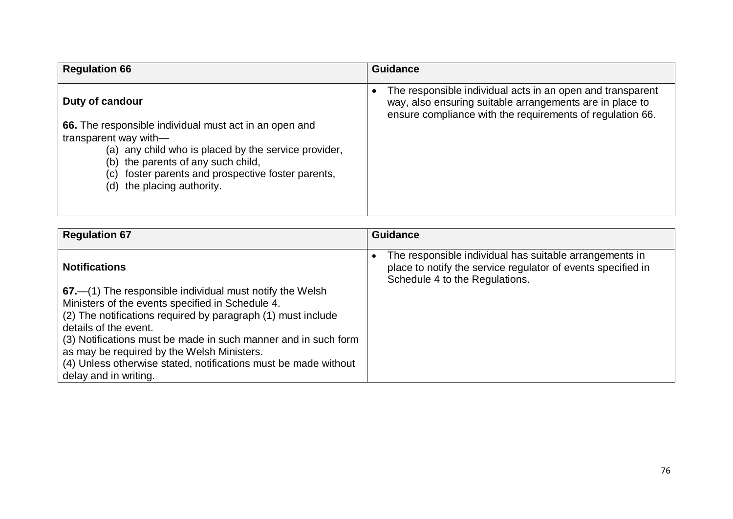| <b>Regulation 66</b>                                                                                                                                                                                                                                                                    | <b>Guidance</b>                                                                                                                                                                                  |
|-----------------------------------------------------------------------------------------------------------------------------------------------------------------------------------------------------------------------------------------------------------------------------------------|--------------------------------------------------------------------------------------------------------------------------------------------------------------------------------------------------|
| Duty of candour<br>66. The responsible individual must act in an open and<br>transparent way with-<br>(a) any child who is placed by the service provider,<br>(b) the parents of any such child,<br>foster parents and prospective foster parents,<br>(C)<br>(d) the placing authority. | The responsible individual acts in an open and transparent<br>$\bullet$<br>way, also ensuring suitable arrangements are in place to<br>ensure compliance with the requirements of regulation 66. |

| <b>Regulation 67</b>                                                                                             | <b>Guidance</b>                                                                                                                                           |
|------------------------------------------------------------------------------------------------------------------|-----------------------------------------------------------------------------------------------------------------------------------------------------------|
| <b>Notifications</b>                                                                                             | The responsible individual has suitable arrangements in<br>place to notify the service regulator of events specified in<br>Schedule 4 to the Regulations. |
| 67.—(1) The responsible individual must notify the Welsh                                                         |                                                                                                                                                           |
| Ministers of the events specified in Schedule 4.<br>(2) The notifications required by paragraph (1) must include |                                                                                                                                                           |
| details of the event.                                                                                            |                                                                                                                                                           |
| (3) Notifications must be made in such manner and in such form                                                   |                                                                                                                                                           |
| as may be required by the Welsh Ministers.<br>(4) Unless otherwise stated, notifications must be made without    |                                                                                                                                                           |
| delay and in writing.                                                                                            |                                                                                                                                                           |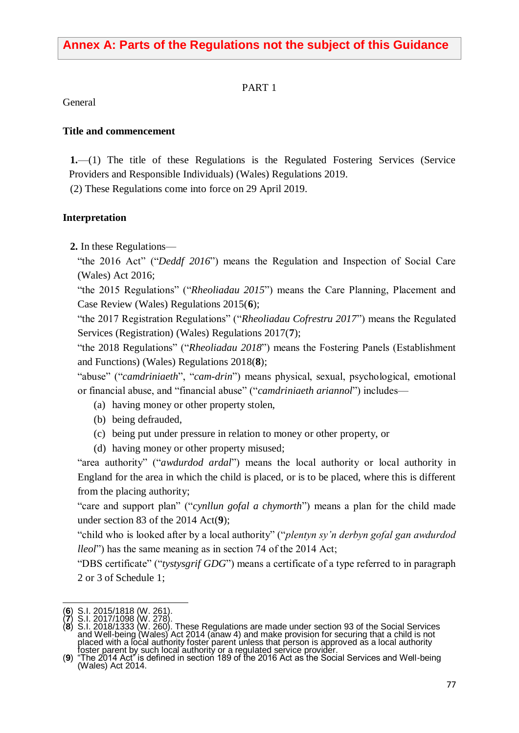## **Annex A: Parts of the Regulations not the subject of this Guidance**

#### PART 1

General

#### **Title and commencement**

**1.**—(1) The title of these Regulations is the Regulated Fostering Services (Service Providers and Responsible Individuals) (Wales) Regulations 2019.

(2) These Regulations come into force on 29 April 2019.

#### **Interpretation**

**2.** In these Regulations—

"the 2016 Act" ("*Deddf 2016*") means the Regulation and Inspection of Social Care (Wales) Act 2016;

"the 2015 Regulations" ("*Rheoliadau 2015*") means the Care Planning, Placement and Case Review (Wales) Regulations 2015(**6**);

"the 2017 Registration Regulations" ("*Rheoliadau Cofrestru 2017*") means the Regulated Services (Registration) (Wales) Regulations 2017(**7**);

"the 2018 Regulations" ("*Rheoliadau 2018*") means the Fostering Panels (Establishment and Functions) (Wales) Regulations 2018(**8**);

"abuse" ("*camdriniaeth*", "*cam-drin*") means physical, sexual, psychological, emotional or financial abuse, and "financial abuse" ("*camdriniaeth ariannol*") includes—

- (a) having money or other property stolen,
- (b) being defrauded,
- (c) being put under pressure in relation to money or other property, or
- (d) having money or other property misused;

"area authority" ("*awdurdod ardal*") means the local authority or local authority in England for the area in which the child is placed, or is to be placed, where this is different from the placing authority;

"care and support plan" ("*cynllun gofal a chymorth*") means a plan for the child made under section 83 of the 2014 Act(**9**);

"child who is looked after by a local authority" ("*plentyn sy'n derbyn gofal gan awdurdod lleol*") has the same meaning as in section 74 of the 2014 Act;

"DBS certificate" ("*tystysgrif GDG*") means a certificate of a type referred to in paragraph 2 or 3 of Schedule 1;

<sup>1</sup> (**6**) S.I. 2015/1818 (W. 261).

<sup>(</sup>**7**) S.I. 2017/1098 (W. 278).

<sup>(</sup>**8**) S.I. 2018/1333 (W. 260). These Regulations are made under section 93 of the Social Services and Well-being (Wales) Act 2014 (anaw 4) and make provision for securing that a child is not placed with a local authority foster parent unless that person is approved as a local authority foster parent by such local authority or a regulated service provider.

<sup>(</sup>**9**) "The 2014 Act" is defined in section 189 of the 2016 Act as the Social Services and Well-being (Wales) Act 2014.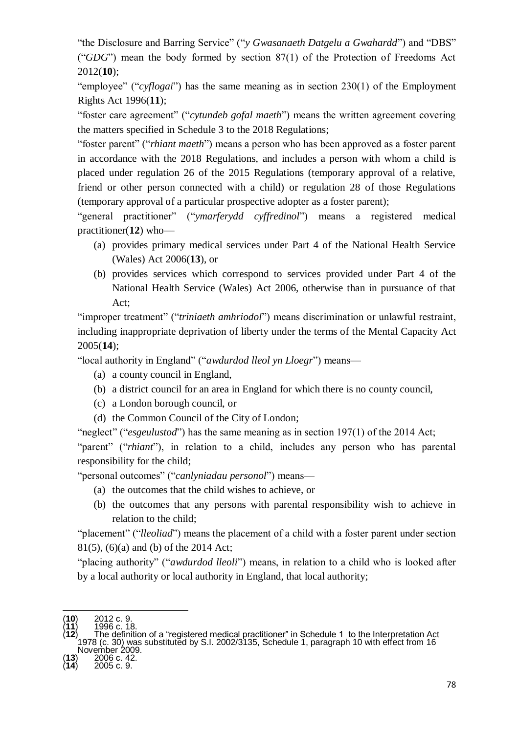"the Disclosure and Barring Service" ("*y Gwasanaeth Datgelu a Gwahardd*") and "DBS" ("*GDG*") mean the body formed by section 87(1) of the Protection of Freedoms Act 2012(**10**);

"employee" ("*cyflogai*") has the same meaning as in section 230(1) of the Employment Rights Act 1996(**11**);

"foster care agreement" ("*cytundeb gofal maeth*") means the written agreement covering the matters specified in [Schedule 3](https://login.westlaw.co.uk/maf/wluk/app/document?src=doc&linktype=ref&context=51&crumb-action=replace&docguid=IA9D10530E45211DA8D70A0E70A78ED65) to the 2018 Regulations;

"foster parent" ("*rhiant maeth*") means a person who has been approved as a foster parent in accordance with the 2018 Regulations, and includes a person with whom a child is placed under regulation 26 of the 2015 Regulations (temporary approval of a relative, friend or other person connected with a child) or regulation 28 of those Regulations (temporary approval of a particular prospective adopter as a foster parent);

"general practitioner" ("*ymarferydd cyffredinol*") means a registered medical practitioner(**12**) who—

- (a) provides primary medical services under Part 4 of the National Health Service (Wales) Act 2006(**13**), or
- (b) provides services which correspond to services provided under Part 4 of the National Health Service (Wales) Act 2006, otherwise than in pursuance of that Act;

"improper treatment" ("*triniaeth amhriodol*") means discrimination or unlawful restraint, including inappropriate deprivation of liberty under the terms of the Mental Capacity Act 2005(**14**);

"local authority in England" ("*awdurdod lleol yn Lloegr*") means—

- (a) a county council in England,
- (b) a district council for an area in England for which there is no county council,
- (c) a London borough council, or
- (d) the Common Council of the City of London;
- "neglect" ("*esgeulustod*") has the same meaning as in section 197(1) of the 2014 Act;

"parent" ("*rhiant*"), in relation to a child, includes any person who has parental responsibility for the child;

"personal outcomes" ("*canlyniadau personol*") means—

- (a) the outcomes that the child wishes to achieve, or
- (b) the outcomes that any persons with parental responsibility wish to achieve in relation to the child;

"placement" ("*lleoliad*") means the placement of a child with a foster parent under section 81(5), (6)(a) and (b) of the 2014 Act;

"placing authority" ("*awdurdod lleoli*") means, in relation to a child who is looked after by a local authority or local authority in England, that local authority;

1

<sup>(</sup>**10**) 2012 c. 9. (**11**) 1996 c. 18.

<sup>(</sup>**12**) The definition of a "registered medical practitioner" in Schedule 1 to the Interpretation Act 1978 (c. 30) was substituted by S.I. 2002/3135, Schedule 1, paragraph 10 with effect from 16 November 2009.

<sup>(</sup>**13**) 2006 c. 42.

<sup>(</sup>**14**) 2005 c. 9.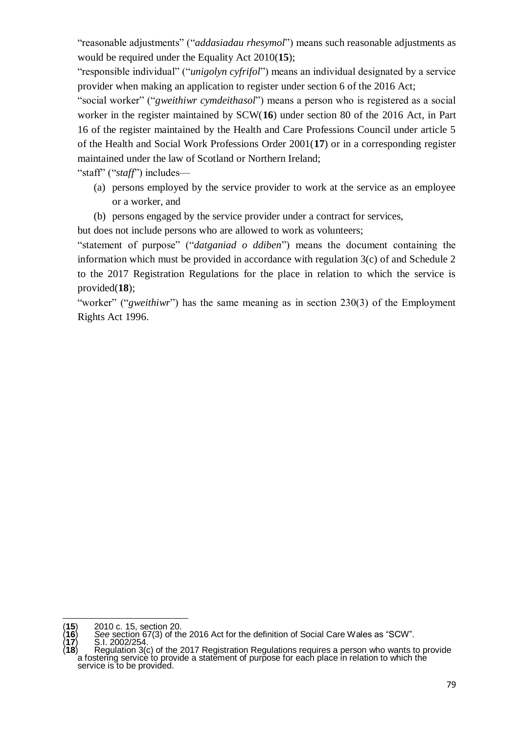"reasonable adjustments" ("*addasiadau rhesymol*") means such reasonable adjustments as would be required under the Equality Act 2010(**15**);

"responsible individual" ("*unigolyn cyfrifol*") means an individual designated by a service provider when making an application to register under section 6 of the 2016 Act;

"social worker" ("*gweithiwr cymdeithasol*") means a person who is registered as a social worker in the register maintained by SCW(**16**) under section 80 of the [2016](https://www.lexisnexis.com/uk/legal/search/enhRunRemoteLink.do?A=0.09503398365703042&service=citation&langcountry=GB&backKey=20_T26953403105&linkInfo=F%23GB%23W_MEAS%23num%25w2016_2a_Title%25&ersKey=23_T26953398598) Act, in Part 16 of the register maintained by the Health and Care Professions Council under article 5 of the Health and Social Work Professions Order 2001(**17**) or in a corresponding register maintained under the law of Scotland or Northern Ireland;

"staff" ("*staff*") includes—

- (a) persons employed by the service provider to work at the service as an employee or a worker, and
- (b) persons engaged by the service provider under a contract for services,

but does not include persons who are allowed to work as volunteers;

"statement of purpose" ("*datganiad o ddiben*") means the document containing the information which must be provided in accordance with regulation 3(c) of and Schedule 2 to the 2017 Registration Regulations for the place in relation to which the service is provided(**18**);

"worker" ("*gweithiwr*") has the same meaning as in section 230(3) of the Employment Rights Act 1996.

1

<sup>(</sup>**15**) 2010 c. 15, section 20.

<sup>(</sup>**16**) *See* section 67(3) of the 2016 Act for the definition of Social Care Wales as "SCW". (**17**) S.I. 2002/254.

<sup>(</sup>**18**) Regulation 3(c) of the 2017 Registration Regulations requires a person who wants to provide a fostering service to provide a statement of purpose for each place in relation to which the service is to be provided.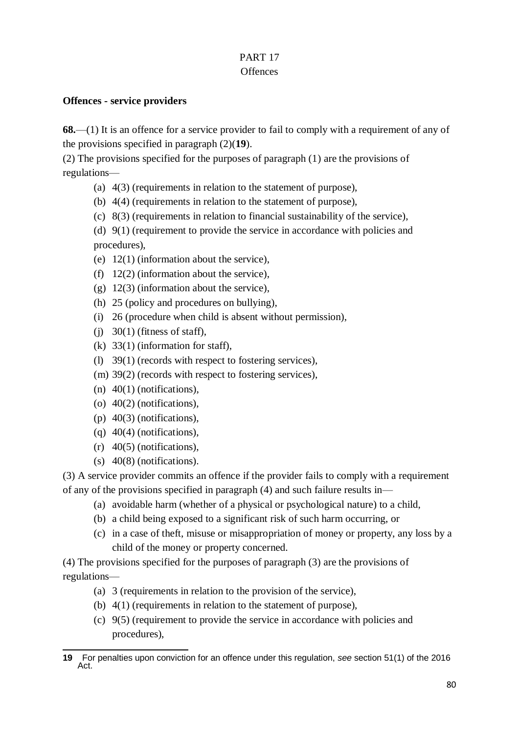## PART 17

## **Offences**

## **Offences - service providers**

**68.**—(1) It is an offence for a service provider to fail to comply with a requirement of any of the provisions specified in paragraph (2)(**19**).

(2) The provisions specified for the purposes of paragraph (1) are the provisions of regulations—

- (a) 4(3) (requirements in relation to the statement of purpose),
- (b) 4(4) (requirements in relation to the statement of purpose),
- (c) 8(3) (requirements in relation to financial sustainability of the service),

(d) 9(1) (requirement to provide the service in accordance with policies and procedures),

- (e) 12(1) (information about the service),
- (f) 12(2) (information about the service),
- (g) 12(3) (information about the service),
- (h) 25 (policy and procedures on bullying),
- (i) 26 (procedure when child is absent without permission),
- (j)  $30(1)$  (fitness of staff),
- (k) 33(1) (information for staff),
- (l) 39(1) (records with respect to fostering services),
- (m) 39(2) (records with respect to fostering services),
- $(n)$  40(1) (notifications),
- (o) 40(2) (notifications),
- (p) 40(3) (notifications),
- (q) 40(4) (notifications),
- (r) 40(5) (notifications),
- (s) 40(8) (notifications).

(3) A service provider commits an offence if the provider fails to comply with a requirement of any of the provisions specified in paragraph (4) and such failure results in—

- (a) avoidable harm (whether of a physical or psychological nature) to a child,
- (b) a child being exposed to a significant risk of such harm occurring, or
- (c) in a case of theft, misuse or misappropriation of money or property, any loss by a child of the money or property concerned.

(4) The provisions specified for the purposes of paragraph (3) are the provisions of regulations—

- (a) 3 (requirements in relation to the provision of the service),
- (b) 4(1) (requirements in relation to the statement of purpose),
- (c) 9(5) (requirement to provide the service in accordance with policies and procedures),

<sup>-</sup>**19** For penalties upon conviction for an offence under this regulation, *see* section 51(1) of the 2016 Act.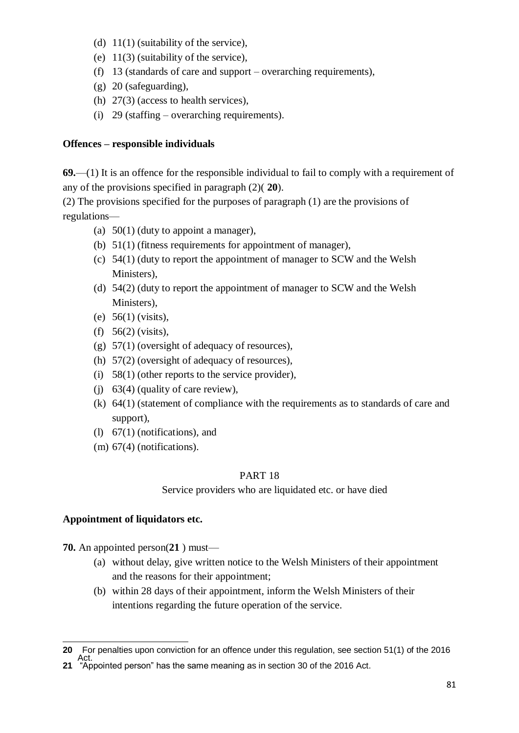- (d)  $11(1)$  (suitability of the service),
- (e) 11(3) (suitability of the service),
- (f) 13 (standards of care and support overarching requirements).
- (g) 20 (safeguarding),
- (h) 27(3) (access to health services),
- (i) 29 (staffing overarching requirements).

### **Offences – responsible individuals**

**69.**—(1) It is an offence for the responsible individual to fail to comply with a requirement of any of the provisions specified in paragraph (2)( **20**).

(2) The provisions specified for the purposes of paragraph (1) are the provisions of regulations—

- (a)  $50(1)$  (duty to appoint a manager),
- (b) 51(1) (fitness requirements for appointment of manager),
- (c) 54(1) (duty to report the appointment of manager to SCW and the Welsh Ministers),
- (d) 54(2) (duty to report the appointment of manager to SCW and the Welsh Ministers),
- (e) 56(1) (visits),
- (f) 56(2) (visits),
- (g) 57(1) (oversight of adequacy of resources),
- (h) 57(2) (oversight of adequacy of resources),
- (i) 58(1) (other reports to the service provider),
- (j) 63(4) (quality of care review),
- (k) 64(1) (statement of compliance with the requirements as to standards of care and support),
- (l) 67(1) (notifications), and
- (m) 67(4) (notifications).

### PART 18

Service providers who are liquidated etc. or have died

## **Appointment of liquidators etc.**

**70.** An appointed person(**21** ) must—

- (a) without delay, give written notice to the Welsh Ministers of their appointment and the reasons for their appointment;
- (b) within 28 days of their appointment, inform the Welsh Ministers of their intentions regarding the future operation of the service.

<sup>1</sup> **20** For penalties upon conviction for an offence under this regulation, see section 51(1) of the 2016

Act. **21** "Appointed person" has the same meaning as in section 30 of the 2016 Act.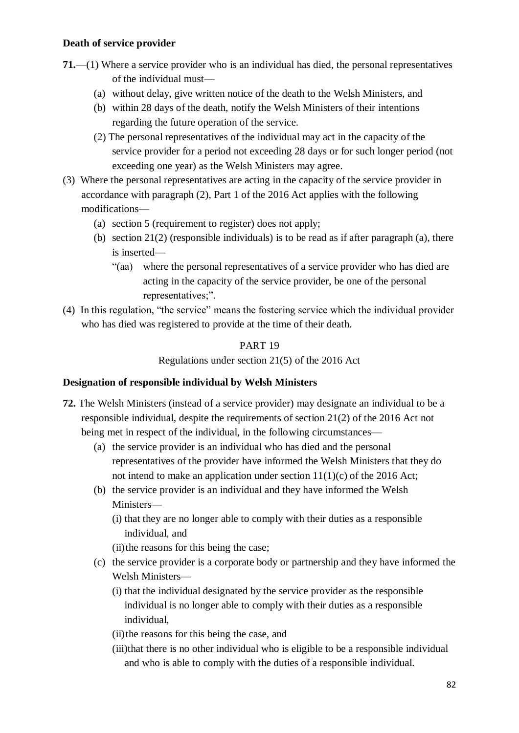## **Death of service provider**

- **71.**—(1) Where a service provider who is an individual has died, the personal representatives of the individual must—
	- (a) without delay, give written notice of the death to the Welsh Ministers, and
	- (b) within 28 days of the death, notify the Welsh Ministers of their intentions regarding the future operation of the service.
	- (2) The personal representatives of the individual may act in the capacity of the service provider for a period not exceeding 28 days or for such longer period (not exceeding one year) as the Welsh Ministers may agree.
- (3) Where the personal representatives are acting in the capacity of the service provider in accordance with paragraph (2), Part 1 of the 2016 Act applies with the following modifications—
	- (a) section 5 (requirement to register) does not apply;
	- (b) section  $21(2)$  (responsible individuals) is to be read as if after paragraph (a), there is inserted—
		- "(aa) where the personal representatives of a service provider who has died are acting in the capacity of the service provider, be one of the personal representatives;".
- (4) In this regulation, "the service" means the fostering service which the individual provider who has died was registered to provide at the time of their death.

### PART 19

Regulations under section 21(5) of the 2016 Act

### **Designation of responsible individual by Welsh Ministers**

- **72.** The Welsh Ministers (instead of a service provider) may designate an individual to be a responsible individual, despite the requirements of section 21(2) of the 2016 Act not being met in respect of the individual, in the following circumstances—
	- (a) the service provider is an individual who has died and the personal representatives of the provider have informed the Welsh Ministers that they do not intend to make an application under section  $11(1)(c)$  of the 2016 Act;
	- (b) the service provider is an individual and they have informed the Welsh Ministers—
		- (i) that they are no longer able to comply with their duties as a responsible individual, and
		- (ii)the reasons for this being the case;
	- (c) the service provider is a corporate body or partnership and they have informed the Welsh Ministers—
		- (i) that the individual designated by the service provider as the responsible individual is no longer able to comply with their duties as a responsible individual,
		- (ii)the reasons for this being the case, and
		- (iii)that there is no other individual who is eligible to be a responsible individual and who is able to comply with the duties of a responsible individual.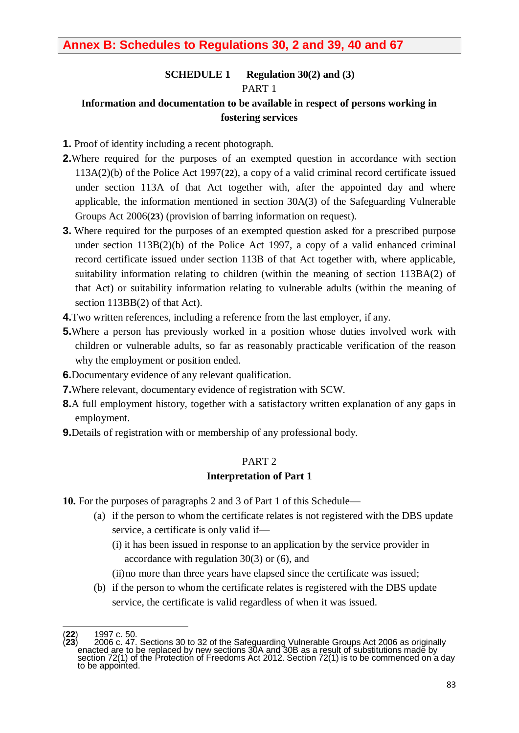## **Annex B: Schedules to Regulations 30, 2 and 39, 40 and 67**

## **SCHEDULE 1 Regulation 30(2) and (3)** PART 1

## **Information and documentation to be available in respect of persons working in fostering services**

- **1.** Proof of identity including a recent photograph.
- **2.**Where required for the purposes of an exempted question in accordance with section 113A(2)(b) of the Police Act 1997(**22**), a copy of a valid criminal record certificate issued under section 113A of that Act together with, after the appointed day and where applicable, the information mentioned in section 30A(3) of the Safeguarding Vulnerable Groups Act 2006(**23**) (provision of barring information on request).
- **3.** Where required for the purposes of an exempted question asked for a prescribed purpose under section 113B(2)(b) of the Police Act 1997, a copy of a valid enhanced criminal record certificate issued under section 113B of that Act together with, where applicable, suitability information relating to children (within the meaning of section 113BA(2) of that Act) or suitability information relating to vulnerable adults (within the meaning of section 113BB(2) of that Act).
- **4.**Two written references, including a reference from the last employer, if any.
- **5.**Where a person has previously worked in a position whose duties involved work with children or vulnerable adults, so far as reasonably practicable verification of the reason why the employment or position ended.
- **6.**Documentary evidence of any relevant qualification.
- **7.**Where relevant, documentary evidence of registration with SCW.
- **8.**A full employment history, together with a satisfactory written explanation of any gaps in employment.
- **9.**Details of registration with or membership of any professional body.

#### PART 2

#### **Interpretation of Part 1**

- **10.** For the purposes of paragraphs 2 and 3 of Part 1 of this Schedule—
	- (a) if the person to whom the certificate relates is not registered with the DBS update service, a certificate is only valid if—
		- (i) it has been issued in response to an application by the service provider in accordance with regulation 30(3) or (6), and
		- (ii)no more than three years have elapsed since the certificate was issued;
	- (b) if the person to whom the certificate relates is registered with the DBS update service, the certificate is valid regardless of when it was issued.

<sup>1</sup> (**22**) 1997 c. 50.

<sup>(</sup>**23**) 2006 c. 47. Sections 30 to 32 of the Safeguarding Vulnerable Groups Act 2006 as originally enacted are to be replaced by new sections 30A and 30B as a result of substitutions made by section 72(1) of the Protection of Freedoms Act 2012. Section 72(1) is to be commenced on a day to be appointed.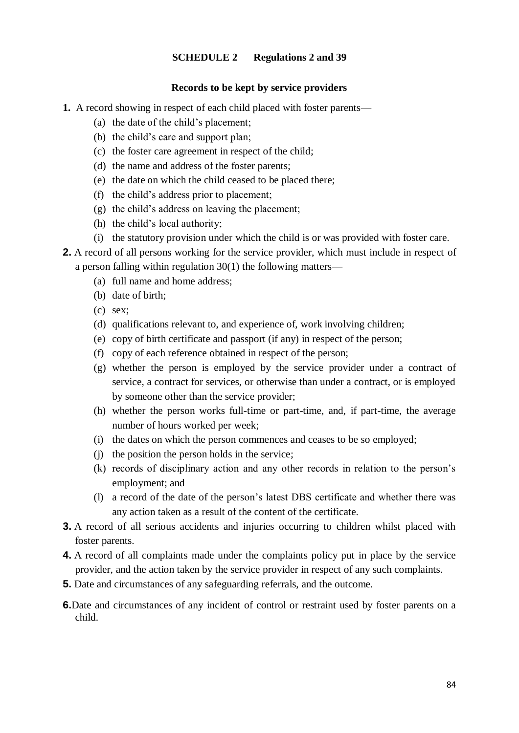#### **SCHEDULE 2 Regulations 2 and 39**

#### **Records to be kept by service providers**

- **1.** A record showing in respect of each child placed with foster parents—
	- (a) the date of the child's placement;
	- (b) the child's care and support plan;
	- (c) the foster care agreement in respect of the child;
	- (d) the name and address of the foster parents;
	- (e) the date on which the child ceased to be placed there;
	- (f) the child's address prior to placement;
	- (g) the child's address on leaving the placement;
	- (h) the child's local authority;
	- (i) the statutory provision under which the child is or was provided with foster care.
- **2.** A record of all persons working for the service provider, which must include in respect of a person falling within regulation 30(1) the following matters—
	- (a) full name and home address;
	- (b) date of birth;
	- (c) sex;
	- (d) qualifications relevant to, and experience of, work involving children;
	- (e) copy of birth certificate and passport (if any) in respect of the person;
	- (f) copy of each reference obtained in respect of the person;
	- (g) whether the person is employed by the service provider under a contract of service, a contract for services, or otherwise than under a contract, or is employed by someone other than the service provider;
	- (h) whether the person works full-time or part-time, and, if part-time, the average number of hours worked per week;
	- (i) the dates on which the person commences and ceases to be so employed;
	- (j) the position the person holds in the service;
	- (k) records of disciplinary action and any other records in relation to the person's employment; and
	- (l) a record of the date of the person's latest DBS certificate and whether there was any action taken as a result of the content of the certificate.
- **3.** A record of all serious accidents and injuries occurring to children whilst placed with foster parents.
- **4.** A record of all complaints made under the complaints policy put in place by the service provider, and the action taken by the service provider in respect of any such complaints.
- **5.** Date and circumstances of any safeguarding referrals, and the outcome.
- **6.**Date and circumstances of any incident of control or restraint used by foster parents on a child.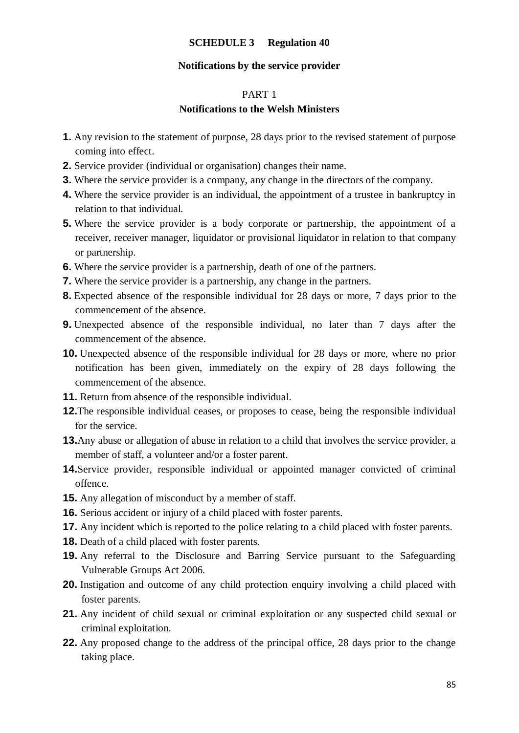#### **SCHEDULE 3 Regulation 40**

#### **Notifications by the service provider**

#### PART 1

#### **Notifications to the Welsh Ministers**

- **1.** Any revision to the statement of purpose, 28 days prior to the revised statement of purpose coming into effect.
- **2.** Service provider (individual or organisation) changes their name.
- **3.** Where the service provider is a company, any change in the directors of the company.
- **4.** Where the service provider is an individual, the appointment of a trustee in bankruptcy in relation to that individual.
- **5.** Where the service provider is a body corporate or partnership, the appointment of a receiver, receiver manager, liquidator or provisional liquidator in relation to that company or partnership.
- **6.** Where the service provider is a partnership, death of one of the partners.
- **7.** Where the service provider is a partnership, any change in the partners.
- **8.** Expected absence of the responsible individual for 28 days or more, 7 days prior to the commencement of the absence.
- **9.** Unexpected absence of the responsible individual, no later than 7 days after the commencement of the absence.
- **10.** Unexpected absence of the responsible individual for 28 days or more, where no prior notification has been given, immediately on the expiry of 28 days following the commencement of the absence.
- **11.** Return from absence of the responsible individual.
- **12.**The responsible individual ceases, or proposes to cease, being the responsible individual for the service.
- **13.**Any abuse or allegation of abuse in relation to a child that involves the service provider, a member of staff, a volunteer and/or a foster parent.
- **14.**Service provider, responsible individual or appointed manager convicted of criminal offence.
- **15.** Any allegation of misconduct by a member of staff.
- **16.** Serious accident or injury of a child placed with foster parents.
- **17.** Any incident which is reported to the police relating to a child placed with foster parents.
- **18.** Death of a child placed with foster parents.
- **19.** Any referral to the Disclosure and Barring Service pursuant to the Safeguarding Vulnerable Groups Act 2006.
- **20.** Instigation and outcome of any child protection enquiry involving a child placed with foster parents.
- **21.** Any incident of child sexual or criminal exploitation or any suspected child sexual or criminal exploitation.
- **22.** Any proposed change to the address of the principal office, 28 days prior to the change taking place.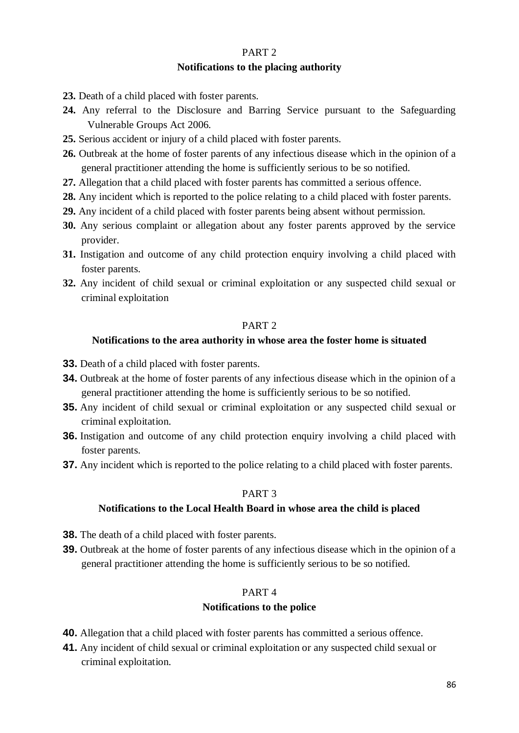## PART 2

#### **Notifications to the placing authority**

- **23.** Death of a child placed with foster parents.
- **24.** Any referral to the Disclosure and Barring Service pursuant to the Safeguarding Vulnerable Groups Act 2006.
- **25.** Serious accident or injury of a child placed with foster parents.
- **26.** Outbreak at the home of foster parents of any infectious disease which in the opinion of a general practitioner attending the home is sufficiently serious to be so notified.
- **27.** Allegation that a child placed with foster parents has committed a serious offence.
- **28.** Any incident which is reported to the police relating to a child placed with foster parents.
- **29.** Any incident of a child placed with foster parents being absent without permission.
- **30.** Any serious complaint or allegation about any foster parents approved by the service provider.
- **31.** Instigation and outcome of any child protection enquiry involving a child placed with foster parents.
- **32.** Any incident of child sexual or criminal exploitation or any suspected child sexual or criminal exploitation

#### PART 2

#### **Notifications to the area authority in whose area the foster home is situated**

- **33.** Death of a child placed with foster parents.
- **34.** Outbreak at the home of foster parents of any infectious disease which in the opinion of a general practitioner attending the home is sufficiently serious to be so notified.
- **35.** Any incident of child sexual or criminal exploitation or any suspected child sexual or criminal exploitation.
- **36.** Instigation and outcome of any child protection enquiry involving a child placed with foster parents.
- **37.** Any incident which is reported to the police relating to a child placed with foster parents.

#### PART 3

#### **Notifications to the Local Health Board in whose area the child is placed**

- **38.** The death of a child placed with foster parents.
- **39.** Outbreak at the home of foster parents of any infectious disease which in the opinion of a general practitioner attending the home is sufficiently serious to be so notified.

#### PART 4

#### **Notifications to the police**

- **40.** Allegation that a child placed with foster parents has committed a serious offence.
- **41.** Any incident of child sexual or criminal exploitation or any suspected child sexual or criminal exploitation.